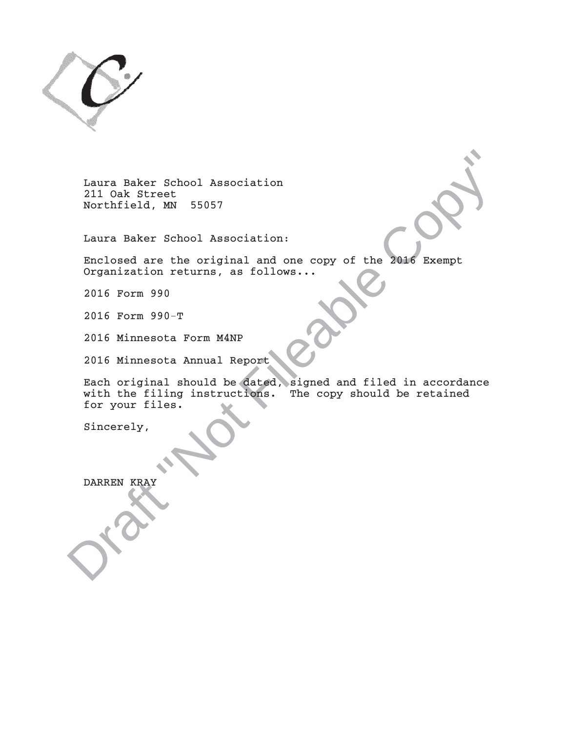

Laura Baker School Association 211 Oak Street Northfield, MN 55057

Laura Baker School Association:

Enclosed are the original and one copy of the 2016 Exempt Organization returns, as follows...

2016 Form 990

2016 Form 990-T

2016 Minnesota Form M4NP

2016 Minnesota Annual Report

Laura Baker School Association<br>
211 Oak Street<br>
Northfield, MW 55057<br>
Laura Baker School Association:<br>
Enclosed are the original and one copy of the 2016 Exempt<br>
Enganization returns, as follows...<br>
2016 Form 990-T<br>
2016 M Each original should be dated, signed and filed in accordance with the filing instructions. The copy should be retained for your files.

Sincerely,

DARREN KRAY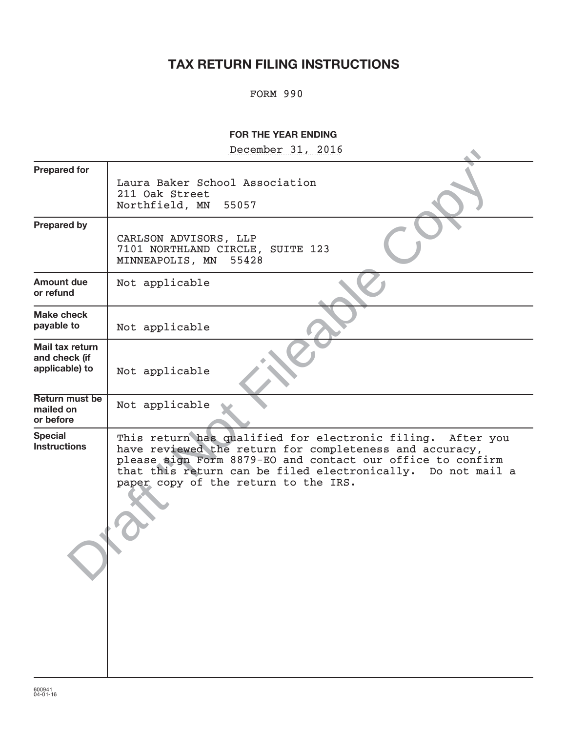# **TAX RETURN FILING INSTRUCTIONS**

## FORM 990

## **FOR THE YEAR ENDING**

December 31, 2016

|                                                    | December 21' RATO                                                                                                                                                                                                                                                                             |
|----------------------------------------------------|-----------------------------------------------------------------------------------------------------------------------------------------------------------------------------------------------------------------------------------------------------------------------------------------------|
| <b>Prepared for</b>                                | Laura Baker School Association<br>211 Oak Street<br>Northfield, MN<br>55057                                                                                                                                                                                                                   |
| <b>Prepared by</b>                                 | CARLSON ADVISORS, LLP<br>7101 NORTHLAND CIRCLE, SUITE 123<br>MINNEAPOLIS, MN<br>55428                                                                                                                                                                                                         |
| <b>Amount due</b><br>or refund                     | Not applicable                                                                                                                                                                                                                                                                                |
| <b>Make check</b><br>payable to                    | Not applicable                                                                                                                                                                                                                                                                                |
| Mail tax return<br>and check (if<br>applicable) to | Not applicable                                                                                                                                                                                                                                                                                |
| Return must be<br>mailed on<br>or before           | Not applicable                                                                                                                                                                                                                                                                                |
| <b>Special</b><br><b>Instructions</b>              | This return has qualified for electronic filing.<br>After you<br>have reviewed the return for completeness and accuracy,<br>please sign Form 8879-EO and contact our office to confirm<br>that this return can be filed electronically. Do not mail a<br>paper copy of the return to the IRS. |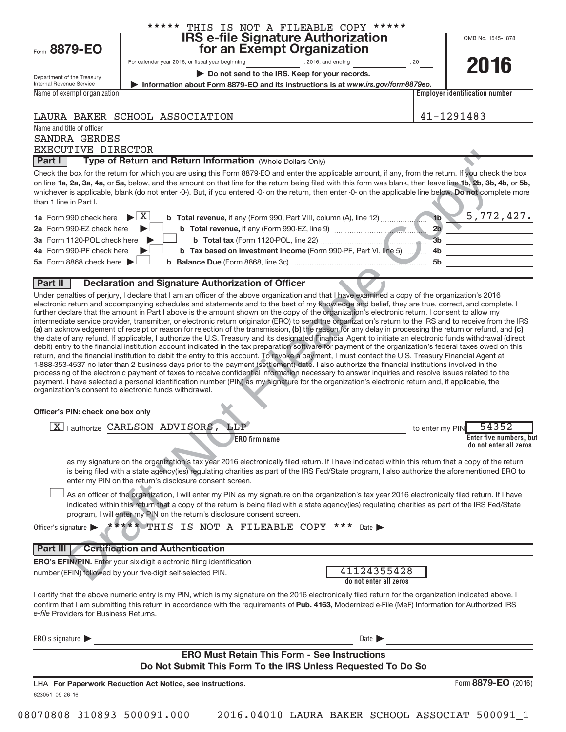| Form 8879-EO                                                               | ***** THIS IS NOT A FILEABLE COPY *****<br><b>IRS e-file Signature Authorization<br/>for an Exempt Organization</b>                                                                                                                                                                                                                                                                                                                                                                                                                                                                                                                                                                                                                                                                                                                                                                                                                                                                                                                                                                                                                                                                                                                                                                                                          | OMB No. 1545-1878                                         |
|----------------------------------------------------------------------------|------------------------------------------------------------------------------------------------------------------------------------------------------------------------------------------------------------------------------------------------------------------------------------------------------------------------------------------------------------------------------------------------------------------------------------------------------------------------------------------------------------------------------------------------------------------------------------------------------------------------------------------------------------------------------------------------------------------------------------------------------------------------------------------------------------------------------------------------------------------------------------------------------------------------------------------------------------------------------------------------------------------------------------------------------------------------------------------------------------------------------------------------------------------------------------------------------------------------------------------------------------------------------------------------------------------------------|-----------------------------------------------------------|
|                                                                            |                                                                                                                                                                                                                                                                                                                                                                                                                                                                                                                                                                                                                                                                                                                                                                                                                                                                                                                                                                                                                                                                                                                                                                                                                                                                                                                              | 2016                                                      |
| Department of the Treasury                                                 | Do not send to the IRS. Keep for your records.                                                                                                                                                                                                                                                                                                                                                                                                                                                                                                                                                                                                                                                                                                                                                                                                                                                                                                                                                                                                                                                                                                                                                                                                                                                                               |                                                           |
| Internal Revenue Service                                                   | Information about Form 8879-EO and its instructions is at www.irs.gov/form8879eo.                                                                                                                                                                                                                                                                                                                                                                                                                                                                                                                                                                                                                                                                                                                                                                                                                                                                                                                                                                                                                                                                                                                                                                                                                                            |                                                           |
| Name of exempt organization                                                |                                                                                                                                                                                                                                                                                                                                                                                                                                                                                                                                                                                                                                                                                                                                                                                                                                                                                                                                                                                                                                                                                                                                                                                                                                                                                                                              | <b>Employer identification number</b>                     |
|                                                                            | LAURA BAKER SCHOOL ASSOCIATION                                                                                                                                                                                                                                                                                                                                                                                                                                                                                                                                                                                                                                                                                                                                                                                                                                                                                                                                                                                                                                                                                                                                                                                                                                                                                               | 41-1291483                                                |
| Name and title of officer                                                  |                                                                                                                                                                                                                                                                                                                                                                                                                                                                                                                                                                                                                                                                                                                                                                                                                                                                                                                                                                                                                                                                                                                                                                                                                                                                                                                              |                                                           |
| SANDRA GERDES<br>EXECUTIVE DIRECTOR                                        |                                                                                                                                                                                                                                                                                                                                                                                                                                                                                                                                                                                                                                                                                                                                                                                                                                                                                                                                                                                                                                                                                                                                                                                                                                                                                                                              |                                                           |
| Part I                                                                     | Type of Return and Return Information (Whole Dollars Only)                                                                                                                                                                                                                                                                                                                                                                                                                                                                                                                                                                                                                                                                                                                                                                                                                                                                                                                                                                                                                                                                                                                                                                                                                                                                   |                                                           |
|                                                                            | Check the box for the return for which you are using this Form 8879-EO and enter the applicable amount, if any, from the return. If you check the box                                                                                                                                                                                                                                                                                                                                                                                                                                                                                                                                                                                                                                                                                                                                                                                                                                                                                                                                                                                                                                                                                                                                                                        |                                                           |
| than 1 line in Part I.                                                     | on line 1a, 2a, 3a, 4a, or 5a, below, and the amount on that line for the return being filed with this form was blank, then leave line 1b, 2b, 3b, 4b, or 5b,<br>whichever is applicable, blank (do not enter -0-). But, if you entered -0- on the return, then enter -0- on the applicable line below. Do not complete more                                                                                                                                                                                                                                                                                                                                                                                                                                                                                                                                                                                                                                                                                                                                                                                                                                                                                                                                                                                                 |                                                           |
| 1a Form 990 check here                                                     | $\blacktriangleright$ $\mid$ X $\mid$                                                                                                                                                                                                                                                                                                                                                                                                                                                                                                                                                                                                                                                                                                                                                                                                                                                                                                                                                                                                                                                                                                                                                                                                                                                                                        | 5,772,427.                                                |
| 2a Form 990-EZ check here                                                  |                                                                                                                                                                                                                                                                                                                                                                                                                                                                                                                                                                                                                                                                                                                                                                                                                                                                                                                                                                                                                                                                                                                                                                                                                                                                                                                              | 2 <sub>b</sub>                                            |
| 3a Form 1120-POL check here                                                |                                                                                                                                                                                                                                                                                                                                                                                                                                                                                                                                                                                                                                                                                                                                                                                                                                                                                                                                                                                                                                                                                                                                                                                                                                                                                                                              | 3 <sub>b</sub>                                            |
| 4a Form 990-PF check here<br>5a Form 8868 check here $\blacktriangleright$ | b Tax based on investment income (Form 990-PF, Part VI, line 5)  4b                                                                                                                                                                                                                                                                                                                                                                                                                                                                                                                                                                                                                                                                                                                                                                                                                                                                                                                                                                                                                                                                                                                                                                                                                                                          | <u> 1989 - Johann Barn, mars eta bainar eta idazlea (</u> |
|                                                                            |                                                                                                                                                                                                                                                                                                                                                                                                                                                                                                                                                                                                                                                                                                                                                                                                                                                                                                                                                                                                                                                                                                                                                                                                                                                                                                                              |                                                           |
| Part II                                                                    | <b>Declaration and Signature Authorization of Officer</b>                                                                                                                                                                                                                                                                                                                                                                                                                                                                                                                                                                                                                                                                                                                                                                                                                                                                                                                                                                                                                                                                                                                                                                                                                                                                    |                                                           |
|                                                                            | intermediate service provider, transmitter, or electronic return originator (ERO) to send the organization's return to the IRS and to receive from the IRS<br>(a) an acknowledgement of receipt or reason for rejection of the transmission, (b) the reason for any delay in processing the return or refund, and (c)<br>the date of any refund. If applicable, I authorize the U.S. Treasury and its designated Financial Agent to initiate an electronic funds withdrawal (direct<br>debit) entry to the financial institution account indicated in the tax preparation software for payment of the organization's federal taxes owed on this<br>return, and the financial institution to debit the entry to this account. To revoke a payment, I must contact the U.S. Treasury Financial Agent at<br>1-888-353-4537 no later than 2 business days prior to the payment (settlement) date. I also authorize the financial institutions involved in the<br>processing of the electronic payment of taxes to receive confidential information necessary to answer inquiries and resolve issues related to the<br>payment. I have selected a personal identification number (PIN) as my signature for the organization's electronic return and, if applicable, the<br>organization's consent to electronic funds withdrawal. |                                                           |
| Officer's PIN: check one box only                                          |                                                                                                                                                                                                                                                                                                                                                                                                                                                                                                                                                                                                                                                                                                                                                                                                                                                                                                                                                                                                                                                                                                                                                                                                                                                                                                                              |                                                           |
|                                                                            | X   authorize CARLSON ADVISORS, LLP                                                                                                                                                                                                                                                                                                                                                                                                                                                                                                                                                                                                                                                                                                                                                                                                                                                                                                                                                                                                                                                                                                                                                                                                                                                                                          | 54352<br>to enter my PIN                                  |
|                                                                            | ERO firm name                                                                                                                                                                                                                                                                                                                                                                                                                                                                                                                                                                                                                                                                                                                                                                                                                                                                                                                                                                                                                                                                                                                                                                                                                                                                                                                | Enter five numbers, but<br>do not enter all zeros         |
|                                                                            | as my signature on the organization's tax year 2016 electronically filed return. If I have indicated within this return that a copy of the return<br>is being filed with a state agency(ies) regulating charities as part of the IRS Fed/State program, I also authorize the aforementioned ERO to<br>enter my PIN on the return's disclosure consent screen.                                                                                                                                                                                                                                                                                                                                                                                                                                                                                                                                                                                                                                                                                                                                                                                                                                                                                                                                                                |                                                           |
|                                                                            | As an officer of the organization, I will enter my PIN as my signature on the organization's tax year 2016 electronically filed return. If I have<br>indicated within this return that a copy of the return is being filed with a state agency(ies) regulating charities as part of the IRS Fed/State<br>program, I will enter my PIN on the return's disclosure consent screen.                                                                                                                                                                                                                                                                                                                                                                                                                                                                                                                                                                                                                                                                                                                                                                                                                                                                                                                                             |                                                           |
|                                                                            | Officer's signature $\triangleright$ ***** THIS IS NOT A FILEABLE COPY ***<br>Date $\blacktriangleright$                                                                                                                                                                                                                                                                                                                                                                                                                                                                                                                                                                                                                                                                                                                                                                                                                                                                                                                                                                                                                                                                                                                                                                                                                     |                                                           |
|                                                                            |                                                                                                                                                                                                                                                                                                                                                                                                                                                                                                                                                                                                                                                                                                                                                                                                                                                                                                                                                                                                                                                                                                                                                                                                                                                                                                                              |                                                           |
| Part III                                                                   | <b>Certification and Authentication</b>                                                                                                                                                                                                                                                                                                                                                                                                                                                                                                                                                                                                                                                                                                                                                                                                                                                                                                                                                                                                                                                                                                                                                                                                                                                                                      |                                                           |
|                                                                            | ERO's EFIN/PIN. Enter your six-digit electronic filing identification<br>41124355428<br>number (EFIN) followed by your five-digit self-selected PIN.<br>do not enter all zeros                                                                                                                                                                                                                                                                                                                                                                                                                                                                                                                                                                                                                                                                                                                                                                                                                                                                                                                                                                                                                                                                                                                                               |                                                           |
| e-file Providers for Business Returns.                                     | I certify that the above numeric entry is my PIN, which is my signature on the 2016 electronically filed return for the organization indicated above. I<br>confirm that I am submitting this return in accordance with the requirements of Pub. 4163, Modernized e-File (MeF) Information for Authorized IRS                                                                                                                                                                                                                                                                                                                                                                                                                                                                                                                                                                                                                                                                                                                                                                                                                                                                                                                                                                                                                 |                                                           |
| ERO's signature $\blacktriangleright$                                      | Date $\blacktriangleright$                                                                                                                                                                                                                                                                                                                                                                                                                                                                                                                                                                                                                                                                                                                                                                                                                                                                                                                                                                                                                                                                                                                                                                                                                                                                                                   |                                                           |
|                                                                            | <b>ERO Must Retain This Form - See Instructions</b>                                                                                                                                                                                                                                                                                                                                                                                                                                                                                                                                                                                                                                                                                                                                                                                                                                                                                                                                                                                                                                                                                                                                                                                                                                                                          |                                                           |
|                                                                            | Do Not Submit This Form To the IRS Unless Requested To Do So                                                                                                                                                                                                                                                                                                                                                                                                                                                                                                                                                                                                                                                                                                                                                                                                                                                                                                                                                                                                                                                                                                                                                                                                                                                                 |                                                           |
| 623051 09-26-16                                                            | LHA For Paperwork Reduction Act Notice, see instructions.                                                                                                                                                                                                                                                                                                                                                                                                                                                                                                                                                                                                                                                                                                                                                                                                                                                                                                                                                                                                                                                                                                                                                                                                                                                                    | Form 8879-EO (2016)                                       |

<sup>08070808 310893 500091.000 2016.04010</sup> LAURA BAKER SCHOOL ASSOCIAT 500091\_1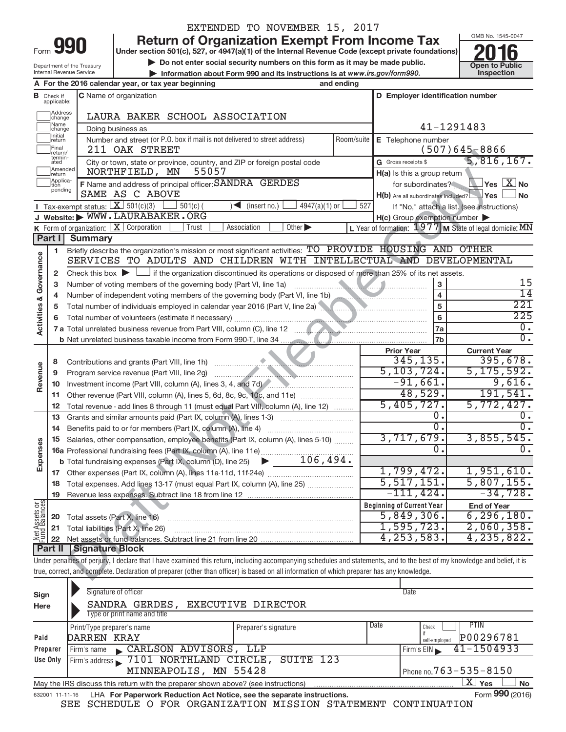| rm<br>٠<br>٠ |  |
|--------------|--|

## EXTENDED TO NOVEMBER 15, 2017

**Return of Organization Exempt From Income Tax**<br>Under section 501(c), 527, or 4947(a)(1) of the Internal Revenue Code (except private foundations)<br>Do not enter social security numbers on this form as it may be made public.

**Under section 501(c), 527, or 4947(a)(1) of the Internal Revenue Code (except private foundations) Example 1 DO NOT SEX (SET AND THE SOCIETY OF SAMPLE AND SET AND SEX AND SEX AND DO not enter social security numbers on this form as it may be made public.<br>
<br>
<b>Business on the public COPEN COPEN COPEN COPEN COPEN COPEN CO** 



Department of the Treasury Internal Revenue Service

|                                |                               | Internal Revenue Service                       |                                                     |            |                                                                              | Information about Form 990 and its instructions is at www.irs.gov/form990.                                                                  |            |                                                                                                                                                                                                                                      |                              | Inspection                                                                                                                                                                 |
|--------------------------------|-------------------------------|------------------------------------------------|-----------------------------------------------------|------------|------------------------------------------------------------------------------|---------------------------------------------------------------------------------------------------------------------------------------------|------------|--------------------------------------------------------------------------------------------------------------------------------------------------------------------------------------------------------------------------------------|------------------------------|----------------------------------------------------------------------------------------------------------------------------------------------------------------------------|
|                                |                               |                                                | A For the 2016 calendar year, or tax year beginning |            |                                                                              |                                                                                                                                             | and ending |                                                                                                                                                                                                                                      |                              |                                                                                                                                                                            |
|                                | <b>B</b> Check if applicable: |                                                | <b>C</b> Name of organization                       |            |                                                                              |                                                                                                                                             |            |                                                                                                                                                                                                                                      |                              | D Employer identification number                                                                                                                                           |
|                                | Address<br>change             |                                                |                                                     |            | LAURA BAKER SCHOOL ASSOCIATION                                               |                                                                                                                                             |            |                                                                                                                                                                                                                                      |                              |                                                                                                                                                                            |
|                                | Name<br>change                |                                                | Doing business as                                   |            |                                                                              |                                                                                                                                             |            |                                                                                                                                                                                                                                      |                              | 41-1291483                                                                                                                                                                 |
|                                | Initial<br>return             |                                                |                                                     |            | Number and street (or P.O. box if mail is not delivered to street address)   |                                                                                                                                             | Room/suite | E Telephone number                                                                                                                                                                                                                   |                              |                                                                                                                                                                            |
|                                | Final<br>return/<br>termin-   |                                                | 211 OAK STREET                                      |            |                                                                              |                                                                                                                                             |            |                                                                                                                                                                                                                                      |                              | $(507)645 - 8866$                                                                                                                                                          |
|                                | ated<br>Amended               |                                                |                                                     |            |                                                                              | City or town, state or province, country, and ZIP or foreign postal code                                                                    |            | G Gross receipts \$                                                                                                                                                                                                                  |                              | 5,816,167.                                                                                                                                                                 |
|                                | return<br>Applica-            |                                                | NORTHFIELD, MN                                      |            | 55057<br>F Name and address of principal officer: SANDRA GERDES              |                                                                                                                                             |            | H(a) Is this a group return                                                                                                                                                                                                          |                              |                                                                                                                                                                            |
|                                | pending                       |                                                | SAME AS C ABOVE                                     |            |                                                                              |                                                                                                                                             |            |                                                                                                                                                                                                                                      |                              | for subordinates?<br><b>Ves</b> X No<br>H(b) Are all subordinates included? Yes<br>∫No                                                                                     |
|                                |                               | <b>I</b> Tax-exempt status: $X \mid 501(c)(3)$ |                                                     | $501(c)$ ( | (insert no.)<br>$\blacksquare$                                               | $4947(a)(1)$ or                                                                                                                             | 527        |                                                                                                                                                                                                                                      |                              | If "No," attach a list. (see instructions)                                                                                                                                 |
|                                |                               |                                                | J Website: WWW.LAURABAKER.ORG                       |            |                                                                              |                                                                                                                                             |            | $H(c)$ Group exemption number $\blacktriangleright$                                                                                                                                                                                  |                              |                                                                                                                                                                            |
|                                |                               |                                                | K Form of organization: X Corporation               | Trust      | Association                                                                  | Other $\blacktriangleright$                                                                                                                 |            |                                                                                                                                                                                                                                      |                              | L Year of formation: 1977 M State of legal domicile: MN                                                                                                                    |
|                                | Part I                        | <b>Summary</b>                                 |                                                     |            |                                                                              |                                                                                                                                             |            |                                                                                                                                                                                                                                      |                              |                                                                                                                                                                            |
|                                | 1                             |                                                |                                                     |            |                                                                              | Briefly describe the organization's mission or most significant activities: TO PROVIDE HOUSING AND OTHER                                    |            |                                                                                                                                                                                                                                      |                              |                                                                                                                                                                            |
| Activities & Governance        |                               |                                                |                                                     |            |                                                                              | SERVICES TO ADULTS AND CHILDREN WITH INTELLECTUAL AND DEVELOPMENTAL                                                                         |            |                                                                                                                                                                                                                                      |                              |                                                                                                                                                                            |
|                                | 2                             |                                                |                                                     |            |                                                                              | Check this box $\blacktriangleright$ $\Box$ if the organization discontinued its operations or disposed of more than 25% of its net assets. |            |                                                                                                                                                                                                                                      |                              |                                                                                                                                                                            |
|                                | 3                             |                                                |                                                     |            | Number of voting members of the governing body (Part VI, line 1a)            |                                                                                                                                             |            | <u> Estados de la Carlina de la Carlina de la Carlina de la Carlina de la Carlina de la Carlina de la Carlina de la Carlina de la Carlina de la Carlina de la Carlina de la Carlina de la Carlina de la Carlina de la Carlina de</u> | 3                            | 15<br>14                                                                                                                                                                   |
|                                | 4                             |                                                |                                                     |            |                                                                              |                                                                                                                                             |            |                                                                                                                                                                                                                                      | $\overline{\mathbf{4}}$<br>5 | 221                                                                                                                                                                        |
|                                | 5                             |                                                |                                                     |            |                                                                              | Total number of individuals employed in calendar year 2016 (Part V, line 2a)                                                                |            |                                                                                                                                                                                                                                      | 6                            | 225                                                                                                                                                                        |
|                                | 6                             |                                                |                                                     |            |                                                                              |                                                                                                                                             |            |                                                                                                                                                                                                                                      | 7a                           | 0.                                                                                                                                                                         |
|                                |                               |                                                |                                                     |            |                                                                              |                                                                                                                                             |            |                                                                                                                                                                                                                                      | 7b                           | $\overline{0}$ .                                                                                                                                                           |
|                                |                               |                                                |                                                     |            |                                                                              |                                                                                                                                             |            | <b>Prior Year</b>                                                                                                                                                                                                                    |                              | <b>Current Year</b>                                                                                                                                                        |
|                                | 8                             |                                                |                                                     |            |                                                                              |                                                                                                                                             |            | 345, 135.                                                                                                                                                                                                                            |                              | 395,678.                                                                                                                                                                   |
|                                | 9                             |                                                |                                                     |            |                                                                              |                                                                                                                                             |            | 5, 103, 724.                                                                                                                                                                                                                         |                              | 5, 175, 592.                                                                                                                                                               |
| Revenue                        | 10                            |                                                |                                                     |            |                                                                              |                                                                                                                                             |            | $-91,661.$                                                                                                                                                                                                                           |                              | 9,616.                                                                                                                                                                     |
|                                | 11                            |                                                |                                                     |            |                                                                              | Other revenue (Part VIII, column (A), lines 5, 6d, 8c, 9c, 10c, and 11e)                                                                    |            |                                                                                                                                                                                                                                      | 48,529.                      | 191,541.                                                                                                                                                                   |
|                                | 12                            |                                                |                                                     |            |                                                                              | Total revenue - add lines 8 through 11 (must equal Part VIII, column (A), line 12)                                                          |            | 5,405,727.                                                                                                                                                                                                                           |                              | 5,772,427.                                                                                                                                                                 |
|                                | 13                            |                                                |                                                     |            |                                                                              | Grants and similar amounts paid (Part IX, column (A), lines 1-3)                                                                            |            |                                                                                                                                                                                                                                      | 0.<br>$\overline{0}$ .       | $\overline{0}$ .                                                                                                                                                           |
|                                | 14                            |                                                |                                                     |            | Benefits paid to or for members (Part IX, column (A), line 4)                |                                                                                                                                             |            | 3,717,679.                                                                                                                                                                                                                           |                              | 3,855,545.                                                                                                                                                                 |
|                                | 15                            |                                                |                                                     |            |                                                                              | Salaries, other compensation, employee benefits (Part IX, column (A), lines 5-10)                                                           |            |                                                                                                                                                                                                                                      | Ω.                           | 0.                                                                                                                                                                         |
| Expenses                       |                               |                                                |                                                     |            |                                                                              | <b>b</b> Total fundraising expenses (Part IX, column (D), line 25) $\rightarrow$ 106, 494.                                                  |            |                                                                                                                                                                                                                                      |                              |                                                                                                                                                                            |
|                                |                               |                                                |                                                     |            |                                                                              |                                                                                                                                             |            | 1,799,472.                                                                                                                                                                                                                           |                              | 1,951,610.                                                                                                                                                                 |
|                                |                               |                                                |                                                     |            | 18 Total expenses. Add lines 13-17 (must equal Part IX, column (A), line 25) |                                                                                                                                             |            | 5,517,151.                                                                                                                                                                                                                           |                              | 5,807,155.                                                                                                                                                                 |
|                                | 19                            |                                                |                                                     |            |                                                                              |                                                                                                                                             |            | $-111, 424.$                                                                                                                                                                                                                         |                              | $-34,728.$                                                                                                                                                                 |
|                                |                               |                                                |                                                     |            |                                                                              |                                                                                                                                             |            | <b>Beginning of Current Year</b>                                                                                                                                                                                                     |                              | <b>End of Year</b>                                                                                                                                                         |
| Net Assets or<br>Fund Balances | 20                            |                                                | Total assets (Part X, line 16)                      |            |                                                                              |                                                                                                                                             |            | 5,849,306.                                                                                                                                                                                                                           |                              | 6, 296, 180.                                                                                                                                                               |
|                                | 21                            |                                                | Total liabilities (Part X, line 26)                 |            |                                                                              |                                                                                                                                             |            | 1,595,723.                                                                                                                                                                                                                           |                              | 2,060,358.                                                                                                                                                                 |
|                                | 22                            |                                                |                                                     |            |                                                                              |                                                                                                                                             |            | 4, 253, 583.                                                                                                                                                                                                                         |                              | 4, 235, 822.                                                                                                                                                               |
|                                | Part II                       | <b>Signature Block</b>                         |                                                     |            |                                                                              |                                                                                                                                             |            |                                                                                                                                                                                                                                      |                              |                                                                                                                                                                            |
|                                |                               |                                                |                                                     |            |                                                                              |                                                                                                                                             |            |                                                                                                                                                                                                                                      |                              | Under penalties of perjury, I declare that I have examined this return, including accompanying schedules and statements, and to the best of my knowledge and belief, it is |
|                                |                               |                                                |                                                     |            |                                                                              | true, correct, and complete. Declaration of preparer (other than officer) is based on all information of which preparer has any knowledge.  |            |                                                                                                                                                                                                                                      |                              |                                                                                                                                                                            |
|                                |                               |                                                |                                                     |            |                                                                              |                                                                                                                                             |            |                                                                                                                                                                                                                                      |                              |                                                                                                                                                                            |

| Sign<br>Here    | Signature of officer<br>SANDRA GERDES,<br>Type or print name and title            | EXECUTIVE DIRECTOR           | Date                                       |
|-----------------|-----------------------------------------------------------------------------------|------------------------------|--------------------------------------------|
| Paid            | Print/Type preparer's name<br>DARREN KRAY                                         | Date<br>Preparer's signature | PHN<br>Check<br>P00296781<br>self-emploved |
| Preparer        | CARLSON ADVISORS, LLP<br>Firm's name<br>$\mathbf{K}$                              |                              | $41 - 1504933$<br>Firm's EIN               |
| Use Only        | Firm's address 7101 NORTHLAND CIRCLE,                                             | SUITE 123                    |                                            |
|                 | MINNEAPOLIS, MN 55428                                                             |                              | Phone no. $763 - 535 - 8150$               |
|                 | May the IRS discuss this return with the preparer shown above? (see instructions) |                              | ΧI<br><b>No</b><br>Yes                     |
| 632001 11-11-16 | LHA For Paperwork Reduction Act Notice, see the separate instructions.            |                              | Form 990 (2016)                            |

SEE SCHEDULE O FOR ORGANIZATION MISSION STATEMENT CONTINUATION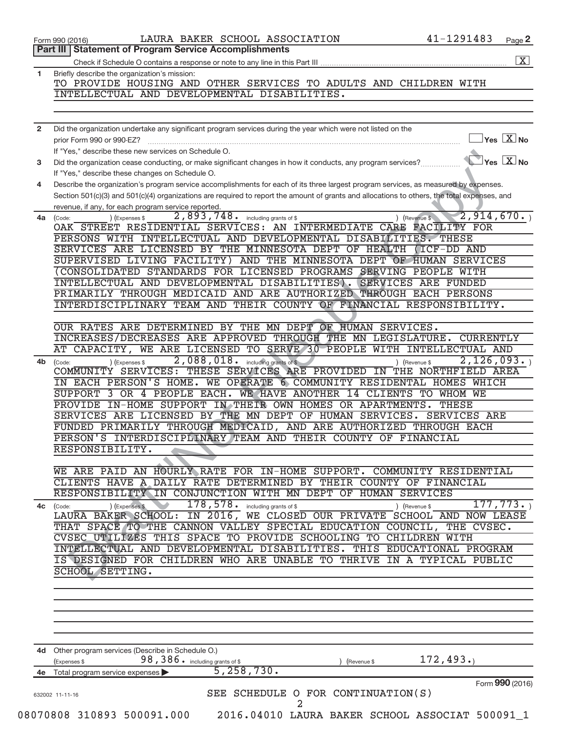|                | <b>Statement of Program Service Accomplishments</b><br>Part III I                                                                                                 |
|----------------|-------------------------------------------------------------------------------------------------------------------------------------------------------------------|
|                | $\boxed{\text{X}}$                                                                                                                                                |
| 1              | Briefly describe the organization's mission:                                                                                                                      |
|                | TO PROVIDE HOUSING AND OTHER SERVICES TO ADULTS AND CHILDREN WITH                                                                                                 |
|                | INTELLECTUAL AND DEVELOPMENTAL DISABILITIES.                                                                                                                      |
|                |                                                                                                                                                                   |
|                |                                                                                                                                                                   |
| $\overline{2}$ | Did the organization undertake any significant program services during the year which were not listed on the                                                      |
|                | $\vert$ Yes $\vert$ $\overline{\mathrm{X}}$ No<br>prior Form 990 or 990-EZ?                                                                                       |
|                | If "Yes." describe these new services on Schedule O.                                                                                                              |
| 3              | $\blacktriangleright$ Yes $\boxed{\mathrm{X}}$ No<br>Did the organization cease conducting, or make significant changes in how it conducts, any program services? |
|                | If "Yes," describe these changes on Schedule O.                                                                                                                   |
| 4              | Describe the organization's program service accomplishments for each of its three largest program services, as measured by expenses.                              |
|                | Section 501(c)(3) and 501(c)(4) organizations are required to report the amount of grants and allocations to others, the total expenses, and                      |
|                | revenue, if any, for each program service reported.                                                                                                               |
|                | 2,893,748.<br>2,914,670.<br>including grants of \$<br>) (Revenue \$<br>4a (Code:<br>(Expenses \$                                                                  |
|                | OAK STREET RESIDENTIAL SERVICES: AN INTERMEDIATE CARE FACILITY FOR                                                                                                |
|                | PERSONS WITH INTELLECTUAL AND DEVELOPMENTAL DISABILITIES. THESE                                                                                                   |
|                | SERVICES ARE LICENSED BY THE MINNESOTA DEPT OF HEALTH<br>(ICF-DD AND                                                                                              |
|                | SUPERVISED LIVING FACILITY) AND THE MINNESOTA DEPT OF HUMAN SERVICES<br>CONSOLIDATED STANDARDS FOR LICENSED PROGRAMS SERVING PEOPLE WITH                          |
|                | INTELLECTUAL AND DEVELOPMENTAL DISABILITIES). SERVICES ARE FUNDED                                                                                                 |
|                | PRIMARILY THROUGH MEDICAID AND ARE AUTHORIZED THROUGH EACH PERSONS                                                                                                |
|                | INTERDISCIPLINARY TEAM AND THEIR COUNTY OF FINANCIAL RESPONSIBILITY.                                                                                              |
|                |                                                                                                                                                                   |
|                | OUR RATES ARE DETERMINED BY THE MN DEPT OF HUMAN SERVICES.                                                                                                        |
|                | INCREASES/DECREASES ARE APPROVED THROUGH THE MN LEGISLATURE.<br><b>CURRENTLY</b>                                                                                  |
|                | AT CAPACITY, WE ARE LICENSED TO SERVE 30 PEOPLE WITH INTELLECTUAL AND                                                                                             |
| 4b             | 2,088,018.<br>2,126,093.<br>including grants of \$<br>) (Expenses \$<br>(Code:<br>) (Revenue \$                                                                   |
|                | COMMUNITY SERVICES: THESE SERVICES ARE PROVIDED IN THE NORTHFIELD AREA                                                                                            |
|                | IN EACH PERSON'S HOME. WE OPERATE 6 COMMUNITY RESIDENTAL HOMES WHICH                                                                                              |
|                | SUPPORT 3 OR 4 PEOPLE EACH. WE HAVE ANOTHER 14 CLIENTS<br>TO WHOM WE                                                                                              |
|                | PROVIDE IN-HOME SUPPORT IN THEIR OWN HOMES OR APARTMENTS.<br><b>THESE</b>                                                                                         |
|                | SERVICES ARE LICENSED BY THE MN DEPT OF HUMAN SERVICES.<br><b>SERVICES ARE</b>                                                                                    |
|                | FUNDED PRIMARILY THROUGH MEDICAID, AND ARE AUTHORIZED THROUGH EACH                                                                                                |
|                | PERSON'S INTERDISCIPLINARY TEAM AND THEIR COUNTY OF FINANCIAL                                                                                                     |
|                | <b>RESPONSIBILITY</b>                                                                                                                                             |
|                |                                                                                                                                                                   |
|                | ARE PAID AN HOURLY RATE FOR IN-HOME SUPPORT. COMMUNITY RESIDENTIAL<br>WE.                                                                                         |
|                | CLIENTS HAVE A DAILY RATE DETERMINED BY THEIR COUNTY OF FINANCIAL                                                                                                 |
|                | RESPONSIBILITY IN CONJUNCTION WITH MN DEPT OF HUMAN SERVICES                                                                                                      |
| 4с             | 178,578.<br>177, 773.<br>) (Expenses \$<br>including grants of \$<br>) (Revenue \$<br>(Code:                                                                      |
|                | LAURA BAKER SCHOOL: IN 2016,<br>WE CLOSED OUR PRIVATE SCHOOL AND NOW LEASE                                                                                        |
|                | THAT SPACE TO THE CANNON VALLEY SPECIAL EDUCATION COUNCIL,<br>THE CVSEC.                                                                                          |
|                | CVSEC UTILIZES THIS SPACE TO PROVIDE SCHOOLING TO CHILDREN WITH                                                                                                   |
|                | INTELLECTUAL AND DEVELOPMENTAL DISABILITIES.<br>THIS EDUCATIONAL PROGRAM                                                                                          |
|                | IS DESIGNED FOR CHILDREN WHO ARE UNABLE TO THRIVE IN A TYPICAL PUBLIC                                                                                             |
|                | <b>SCHOOL SETTING.</b>                                                                                                                                            |
|                |                                                                                                                                                                   |
|                |                                                                                                                                                                   |
|                |                                                                                                                                                                   |
|                |                                                                                                                                                                   |
|                |                                                                                                                                                                   |
|                |                                                                                                                                                                   |
|                | 4d Other program services (Describe in Schedule O.)                                                                                                               |
|                |                                                                                                                                                                   |
|                | 172, 493.<br>98, 386. including grants of \$<br>(Expenses \$<br>(Revenue \$                                                                                       |
| 4е             | 5, 258, 730.<br>Total program service expenses                                                                                                                    |
|                | Form 990 (2016)                                                                                                                                                   |
|                | SEE SCHEDULE O FOR CONTINUATION(S)<br>632002 11-11-16<br>2                                                                                                        |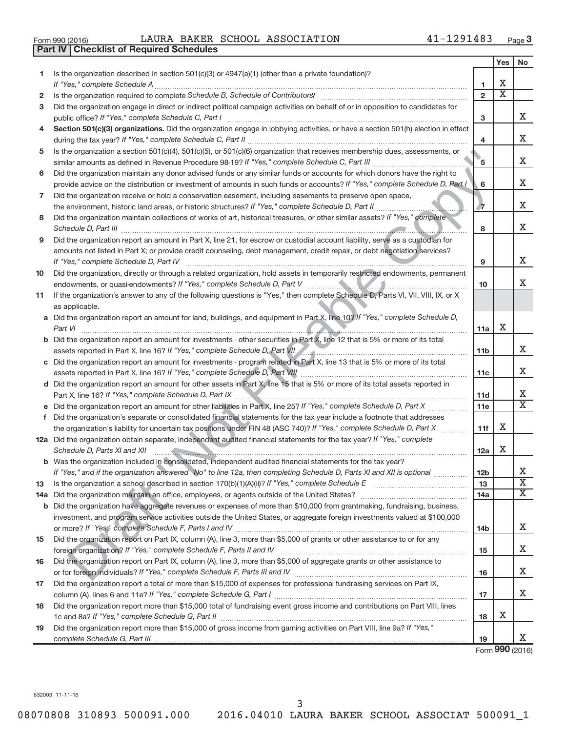| Form 990 (2016) |  |  |
|-----------------|--|--|

Form 990 (2016)  $\qquad$  LAURA BAKER SCHOOL ASSOCIATION  $\qquad \qquad 41-1291483$  Page

|    | <b>Part IV   Checklist of Required Schedules</b>                                                                                                                                                                                     |                 |                             |                             |
|----|--------------------------------------------------------------------------------------------------------------------------------------------------------------------------------------------------------------------------------------|-----------------|-----------------------------|-----------------------------|
|    |                                                                                                                                                                                                                                      |                 | Yes                         | No                          |
| 1. | Is the organization described in section 501(c)(3) or 4947(a)(1) (other than a private foundation)?                                                                                                                                  |                 |                             |                             |
|    |                                                                                                                                                                                                                                      | 1               | х                           |                             |
| 2  |                                                                                                                                                                                                                                      | $\overline{2}$  | $\overline{\textnormal{x}}$ |                             |
| з  | Did the organization engage in direct or indirect political campaign activities on behalf of or in opposition to candidates for                                                                                                      |                 |                             |                             |
|    |                                                                                                                                                                                                                                      | з               |                             | x                           |
| 4  | Section 501(c)(3) organizations. Did the organization engage in lobbying activities, or have a section 501(h) election in effect                                                                                                     |                 |                             |                             |
|    |                                                                                                                                                                                                                                      | 4               |                             | x                           |
| 5  | Is the organization a section 501(c)(4), 501(c)(5), or 501(c)(6) organization that receives membership dues, assessments, or                                                                                                         |                 |                             |                             |
|    |                                                                                                                                                                                                                                      | ʹ5              |                             | Χ                           |
|    |                                                                                                                                                                                                                                      |                 |                             |                             |
| 6  | Did the organization maintain any donor advised funds or any similar funds or accounts for which donors have the right to                                                                                                            | 6               |                             | Χ                           |
|    | provide advice on the distribution or investment of amounts in such funds or accounts? If "Yes," complete Schedule D, Part I                                                                                                         |                 |                             |                             |
| 7  | Did the organization receive or hold a conservation easement, including easements to preserve open space,                                                                                                                            |                 |                             | Χ                           |
|    | the environment, historic land areas, or historic structures? If "Yes," complete Schedule D, Part II                                                                                                                                 | -7              |                             |                             |
| 8  | Did the organization maintain collections of works of art, historical treasures, or other similar assets? If "Yes," complete                                                                                                         |                 |                             | х                           |
|    |                                                                                                                                                                                                                                      | 8               |                             |                             |
| 9  | Did the organization report an amount in Part X, line 21, for escrow or custodial account liability, serve as a custodian for                                                                                                        |                 |                             |                             |
|    | amounts not listed in Part X; or provide credit counseling, debt management, credit repair, or debt negotiation services?                                                                                                            |                 |                             |                             |
|    | If "Yes," complete Schedule D, Part IV                                                                                                                                                                                               | 9               |                             | Χ                           |
| 10 | Did the organization, directly or through a related organization, hold assets in temporarily restricted endowments, permanent                                                                                                        |                 |                             |                             |
|    |                                                                                                                                                                                                                                      | 10              |                             | x                           |
| 11 | If the organization's answer to any of the following questions is "Yes," then complete Schedule D, Parts VI, VII, VIII, IX, or X                                                                                                     |                 |                             |                             |
|    | as applicable.                                                                                                                                                                                                                       |                 |                             |                             |
|    | a Did the organization report an amount for land, buildings, and equipment in Part X, line 10? If "Yes," complete Schedule D,                                                                                                        |                 |                             |                             |
|    | Part VI                                                                                                                                                                                                                              | 11a             | Х                           |                             |
|    | <b>b</b> Did the organization report an amount for investments - other securities in Part X, line 12 that is 5% or more of its total                                                                                                 |                 |                             |                             |
|    | assets reported in Part X, line 16? If "Yes," complete Schedule D, Part VII                                                                                                                                                          | 11 <sub>b</sub> |                             | x                           |
|    | c Did the organization report an amount for investments - program related in Part X, line 13 that is 5% or more of its total                                                                                                         |                 |                             |                             |
|    | assets reported in Part X, line 16? If "Yes," complete Schedule D, Part VIII                                                                                                                                                         | 11c             |                             | x                           |
|    | d Did the organization report an amount for other assets in Part X, line 15 that is 5% or more of its total assets reported in                                                                                                       |                 |                             |                             |
|    |                                                                                                                                                                                                                                      | 11d             |                             | х                           |
|    |                                                                                                                                                                                                                                      | 11e             |                             | $\overline{\textnormal{x}}$ |
| f  | Did the organization's separate or consolidated financial statements for the tax year include a footnote that addresses                                                                                                              |                 |                             |                             |
|    | the organization's liability for uncertain tax positions under FIN 48 (ASC 740)? If "Yes," complete Schedule D, Part X                                                                                                               | 11f             | x                           |                             |
|    | 12a Did the organization obtain separate, independent audited financial statements for the tax year? If "Yes," complete                                                                                                              |                 |                             |                             |
|    | Schedule D, Parts XI and XII <b>continuum continuum continuum continuum continuum continuum continuum continuum continuum continuum continuum continuum continuum continuum continuum continuum continuum continuum continuum co</b> | 12a             | Х                           |                             |
|    | b Was the organization included in consolidated, independent audited financial statements for the tax year?                                                                                                                          |                 |                             |                             |
|    | If "Yes," and if the organization answered "No" to line 12a, then completing Schedule D, Parts XI and XII is optional                                                                                                                | 12 <sub>b</sub> |                             | х                           |
| 13 |                                                                                                                                                                                                                                      | 13              |                             | $\overline{\textbf{X}}$     |
|    |                                                                                                                                                                                                                                      | 14a             |                             | Χ                           |
|    | <b>b</b> Did the organization have aggregate revenues or expenses of more than \$10,000 from grantmaking, fundraising, business,                                                                                                     |                 |                             |                             |
|    | investment, and program service activities outside the United States, or aggregate foreign investments valued at \$100,000                                                                                                           |                 |                             |                             |
|    |                                                                                                                                                                                                                                      | 14b             |                             | х                           |
| 15 | Did the organization report on Part IX, column (A), line 3, more than \$5,000 of grants or other assistance to or for any                                                                                                            |                 |                             |                             |
|    |                                                                                                                                                                                                                                      | 15              |                             | х                           |
| 16 | Did the organization report on Part IX, column (A), line 3, more than \$5,000 of aggregate grants or other assistance to                                                                                                             |                 |                             |                             |
|    |                                                                                                                                                                                                                                      | 16              |                             | х                           |
| 17 | Did the organization report a total of more than \$15,000 of expenses for professional fundraising services on Part IX,                                                                                                              |                 |                             |                             |
|    |                                                                                                                                                                                                                                      | 17              |                             | х                           |
| 18 | Did the organization report more than \$15,000 total of fundraising event gross income and contributions on Part VIII, lines                                                                                                         |                 |                             |                             |
|    |                                                                                                                                                                                                                                      | 18              | х                           |                             |
| 19 | Did the organization report more than \$15,000 of gross income from gaming activities on Part VIII, line 9a? If "Yes,"                                                                                                               |                 |                             |                             |
|    |                                                                                                                                                                                                                                      | 19              |                             | X.                          |

Form **990** (2016)

632003 11-11-16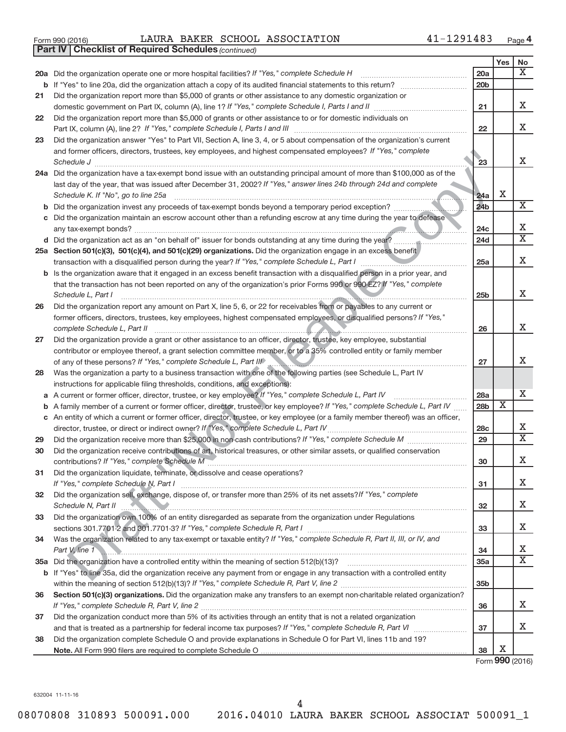| LAURA BAKER SCHOOL ASSOCIATION<br>Form 990 (2016) | 41-1291483 | Page |
|---------------------------------------------------|------------|------|
|---------------------------------------------------|------------|------|

**Part IV Checklist of Required Schedules**

*(continued)*

|    |                                                                                                                                                        |                 | Yes                     | No                               |
|----|--------------------------------------------------------------------------------------------------------------------------------------------------------|-----------------|-------------------------|----------------------------------|
|    | 20a Did the organization operate one or more hospital facilities? If "Yes," complete Schedule H                                                        | 20a             |                         | X                                |
|    | <b>b</b> If "Yes" to line 20a, did the organization attach a copy of its audited financial statements to this return?                                  | 20 <sub>b</sub> |                         |                                  |
| 21 | Did the organization report more than \$5,000 of grants or other assistance to any domestic organization or                                            |                 |                         |                                  |
|    | domestic government on Part IX, column (A), line 1? If "Yes," complete Schedule I, Parts I and II                                                      | 21              |                         | x                                |
| 22 | Did the organization report more than \$5,000 of grants or other assistance to or for domestic individuals on                                          |                 |                         |                                  |
|    |                                                                                                                                                        | 22              |                         | x                                |
| 23 | Did the organization answer "Yes" to Part VII, Section A, line 3, 4, or 5 about compensation of the organization's current                             |                 |                         |                                  |
|    | and former officers, directors, trustees, key employees, and highest compensated employees? If "Yes," complete                                         |                 |                         |                                  |
|    | Schedule J                                                                                                                                             | 23              |                         | x                                |
|    | 24a Did the organization have a tax-exempt bond issue with an outstanding principal amount of more than \$100,000 as of the                            |                 |                         |                                  |
|    | last day of the year, that was issued after December 31, 2002? If "Yes," answer lines 24b through 24d and complete                                     |                 | Χ                       |                                  |
|    | Schedule K. If "No", go to line 25a                                                                                                                    | 24a             |                         | $\overline{\text{X}}$            |
|    | b Did the organization invest any proceeds of tax-exempt bonds beyond a temporary period exception?                                                    | 24 <sub>b</sub> |                         |                                  |
| с  | Did the organization maintain an escrow account other than a refunding escrow at any time during the year to defease                                   | 24c             |                         | х                                |
|    | d Did the organization act as an "on behalf of" issuer for bonds outstanding at any time during the year?                                              | 24d             |                         | $\overline{\textnormal{x}}$      |
|    | 25a Section 501(c)(3), 501(c)(4), and 501(c)(29) organizations. Did the organization engage in an excess benefit                                       |                 |                         |                                  |
|    |                                                                                                                                                        | 25a             |                         | x                                |
|    | b Is the organization aware that it engaged in an excess benefit transaction with a disqualified person in a prior year, and                           |                 |                         |                                  |
|    | that the transaction has not been reported on any of the organization's prior Forms 990 or 990-EZ? If "Yes," complete                                  |                 |                         |                                  |
|    | Schedule L, Part I                                                                                                                                     | 25 <sub>b</sub> |                         | x                                |
| 26 | Did the organization report any amount on Part X, line 5, 6, or 22 for receivables from or payables to any current or                                  |                 |                         |                                  |
|    | former officers, directors, trustees, key employees, highest compensated employees, or disqualified persons? If "Yes,"<br>complete Schedule L, Part II | 26              |                         | x                                |
| 27 | Did the organization provide a grant or other assistance to an officer, director, trustee, key employee, substantial                                   |                 |                         |                                  |
|    | contributor or employee thereof, a grant selection committee member, or to a 35% controlled entity or family member                                    |                 |                         |                                  |
|    |                                                                                                                                                        | 27              |                         | x                                |
| 28 | Was the organization a party to a business transaction with one of the following parties (see Schedule L, Part IV                                      |                 |                         |                                  |
|    | instructions for applicable filing thresholds, conditions, and exceptions):                                                                            |                 |                         |                                  |
|    | A current or former officer, director, trustee, or key employee? If "Yes," complete Schedule L, Part IV                                                | 28a             |                         | x                                |
| b  | A family member of a current or former officer, director, trustee, or key employee? If "Yes," complete Schedule L, Part IV                             | 28 <sub>b</sub> | $\overline{\textbf{x}}$ |                                  |
|    | c An entity of which a current or former officer, director, trustee, or key employee (or a family member thereof) was an officer,                      |                 |                         |                                  |
|    |                                                                                                                                                        | 28c             |                         | х<br>$\overline{\textnormal{x}}$ |
| 29 |                                                                                                                                                        | 29              |                         |                                  |
| 30 | Did the organization receive contributions of art, historical treasures, or other similar assets, or qualified conservation                            | 30              |                         | x                                |
| 31 |                                                                                                                                                        |                 |                         |                                  |
|    | Did the organization liquidate, terminate, or dissolve and cease operations?                                                                           | 31              |                         | X.                               |
| 32 | Did the organization sell, exchange, dispose of, or transfer more than 25% of its net assets? If "Yes," complete                                       |                 |                         |                                  |
|    | Schedule N, Part II<br><u> 1980 - Andrea Stadt Britain, amerikan besteht for de stadt besteht for de stadt besteht for de stadt besteht</u>            | 32              |                         | x                                |
| 33 | Did the organization own 100% of an entity disregarded as separate from the organization under Regulations                                             |                 |                         |                                  |
|    |                                                                                                                                                        | 33              |                         | x                                |
| 34 | Was the organization related to any tax-exempt or taxable entity? If "Yes," complete Schedule R, Part II, III, or IV, and                              |                 |                         |                                  |
|    | Part V, line 1                                                                                                                                         | 34              |                         | x                                |
|    |                                                                                                                                                        | 35a             |                         | $\overline{\textnormal{x}}$      |
|    | b If "Yes" to line 35a, did the organization receive any payment from or engage in any transaction with a controlled entity                            |                 |                         |                                  |
|    |                                                                                                                                                        | 35 <sub>b</sub> |                         |                                  |
| 36 | Section 501(c)(3) organizations. Did the organization make any transfers to an exempt non-charitable related organization?                             |                 |                         |                                  |
|    |                                                                                                                                                        | 36              |                         | x                                |
| 37 | Did the organization conduct more than 5% of its activities through an entity that is not a related organization                                       |                 |                         | x                                |
|    |                                                                                                                                                        | 37              |                         |                                  |
| 38 | Did the organization complete Schedule O and provide explanations in Schedule O for Part VI, lines 11b and 19?                                         | 38              | х                       |                                  |
|    |                                                                                                                                                        |                 |                         |                                  |

Form **990** (2016)

632004 11-11-16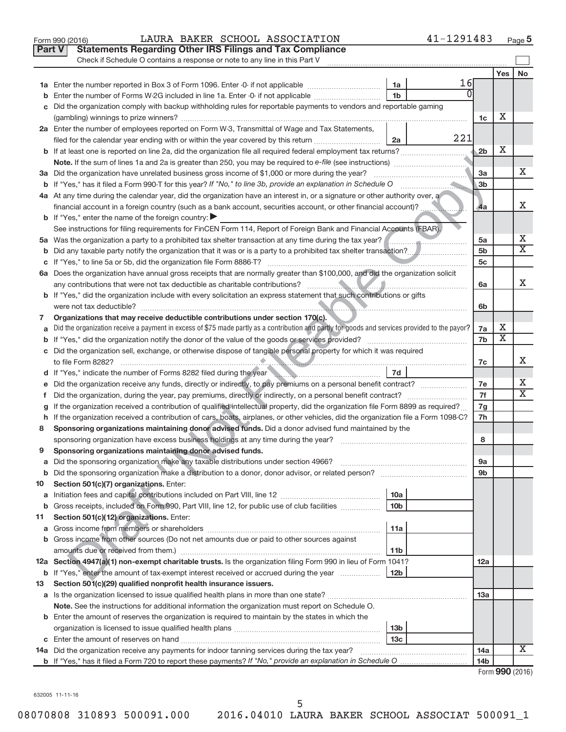|               | 41-1291483<br>LAURA BAKER SCHOOL ASSOCIATION<br>Form 990 (2016)                                                                                                                                                                                                          |                 |     | Page 5                  |
|---------------|--------------------------------------------------------------------------------------------------------------------------------------------------------------------------------------------------------------------------------------------------------------------------|-----------------|-----|-------------------------|
| <b>Part V</b> | <b>Statements Regarding Other IRS Filings and Tax Compliance</b>                                                                                                                                                                                                         |                 |     |                         |
|               | Check if Schedule O contains a response or note to any line in this Part V                                                                                                                                                                                               |                 |     |                         |
|               |                                                                                                                                                                                                                                                                          |                 | Yes | No                      |
|               | 16<br>1a<br>1a Enter the number reported in Box 3 of Form 1096. Enter -0- if not applicable                                                                                                                                                                              |                 |     |                         |
| b             | Enter the number of Forms W-2G included in line 1a. Enter -0- if not applicable<br>1b                                                                                                                                                                                    |                 |     |                         |
| с             | Did the organization comply with backup withholding rules for reportable payments to vendors and reportable gaming                                                                                                                                                       |                 |     |                         |
|               |                                                                                                                                                                                                                                                                          | 1c              | х   |                         |
|               | 2a Enter the number of employees reported on Form W-3, Transmittal of Wage and Tax Statements,                                                                                                                                                                           |                 |     |                         |
|               | 221<br>filed for the calendar year ending with or within the year covered by this return <i>manumumumum</i><br>2a                                                                                                                                                        |                 |     |                         |
|               | <b>b</b> If at least one is reported on line 2a, did the organization file all required federal employment tax returns?                                                                                                                                                  | 2 <sub>b</sub>  | Х   |                         |
|               |                                                                                                                                                                                                                                                                          |                 |     |                         |
|               | 3a Did the organization have unrelated business gross income of \$1,000 or more during the year?                                                                                                                                                                         | 3a              |     | х                       |
|               | <b>b</b> If "Yes," has it filed a Form 990-T for this year? If "No," to line 3b, provide an explanation in Schedule O                                                                                                                                                    | 3 <sub>b</sub>  |     |                         |
|               | 4a At any time during the calendar year, did the organization have an interest in, or a signature or other authority over, a                                                                                                                                             |                 |     |                         |
|               | financial account in a foreign country (such as a bank account, securities account, or other financial account)?                                                                                                                                                         | 4a              |     | X                       |
|               | <b>b</b> If "Yes," enter the name of the foreign country: $\blacktriangleright$                                                                                                                                                                                          |                 |     |                         |
|               | See instructions for filing requirements for FinCEN Form 114, Report of Foreign Bank and Financial Accounts (FBAR).                                                                                                                                                      |                 |     |                         |
|               | 5a Was the organization a party to a prohibited tax shelter transaction at any time during the tax year?                                                                                                                                                                 | 5a              |     | х                       |
| b             |                                                                                                                                                                                                                                                                          | 5 <sub>b</sub>  |     | $\overline{\text{X}}$   |
| с             | If "Yes," to line 5a or 5b, did the organization file Form 8886-T?                                                                                                                                                                                                       | 5c              |     |                         |
|               | 6a Does the organization have annual gross receipts that are normally greater than \$100,000, and did the organization solicit                                                                                                                                           |                 |     |                         |
|               |                                                                                                                                                                                                                                                                          | 6a              |     | х                       |
|               | b If "Yes," did the organization include with every solicitation an express statement that such contributions or gifts                                                                                                                                                   |                 |     |                         |
|               |                                                                                                                                                                                                                                                                          | 6b              |     |                         |
| 7             | Organizations that may receive deductible contributions under section 170(c).                                                                                                                                                                                            |                 | х   |                         |
| a             | Did the organization receive a payment in excess of \$75 made partly as a contribution and partly for goods and services provided to the payor?                                                                                                                          | 7a              | X   |                         |
| b             |                                                                                                                                                                                                                                                                          | 7b              |     |                         |
|               | c Did the organization sell, exchange, or otherwise dispose of tangible personal property for which it was required                                                                                                                                                      |                 |     | x                       |
|               | to file Form 8282?<br><u> De Barbara (Barbara (Barbara (Barbara (Barbara (Barbara (Barbara (Barbara (Barbara (Barbara (Barbara (Barbara (Barbara (Barbara (Barbara (Barbara (Barbara (Barbara (Barbara (Barbara (Barbara (Barbara (Barbara (Barbara (B</u><br> 7d        | 7c              |     |                         |
|               | d If "Yes," indicate the number of Forms 8282 filed during the year manufactured in the set of the set of the set of the set of the set of the set of the set of the set of the set of the set of the set of the set of the se                                           |                 |     | x                       |
| е             | Did the organization, during the year, pay premiums, directly or indirectly, on a personal benefit contract?                                                                                                                                                             | 7e<br>7f        |     | $\overline{\texttt{x}}$ |
| f.            |                                                                                                                                                                                                                                                                          | 7g              |     |                         |
| g             | If the organization received a contribution of qualified intellectual property, did the organization file Form 8899 as required?<br>h If the organization received a contribution of cars, boats, airplanes, or other vehicles, did the organization file a Form 1098-C? | 7h              |     |                         |
| 8             | Sponsoring organizations maintaining donor advised funds. Did a donor advised fund maintained by the                                                                                                                                                                     |                 |     |                         |
|               | sponsoring organization have excess business holdings at any time during the year?                                                                                                                                                                                       | 8               |     |                         |
| 9             | Sponsoring organizations maintaining donor advised funds.                                                                                                                                                                                                                |                 |     |                         |
| а             | Did the sponsoring organization make any taxable distributions under section 4966?                                                                                                                                                                                       | 9а              |     |                         |
| b             |                                                                                                                                                                                                                                                                          | 9b              |     |                         |
| 10            | Section 501(c)(7) organizations. Enter:                                                                                                                                                                                                                                  |                 |     |                         |
| a             | 10a                                                                                                                                                                                                                                                                      |                 |     |                         |
| b             | 10 <sub>b</sub><br>Gross receipts, included on Form 990, Part VIII, line 12, for public use of club facilities                                                                                                                                                           |                 |     |                         |
| 11            | Section 501(c)(12) organizations. Enter:                                                                                                                                                                                                                                 |                 |     |                         |
| а             | 11a                                                                                                                                                                                                                                                                      |                 |     |                         |
| b             | Gross income from other sources (Do not net amounts due or paid to other sources against                                                                                                                                                                                 |                 |     |                         |
|               | 11 <sub>b</sub>                                                                                                                                                                                                                                                          |                 |     |                         |
|               | 12a Section 4947(a)(1) non-exempt charitable trusts. Is the organization filing Form 990 in lieu of Form 1041?                                                                                                                                                           | 12a             |     |                         |
| b             | 12 <sub>b</sub><br>If "Yes," enter the amount of tax-exempt interest received or accrued during the year                                                                                                                                                                 |                 |     |                         |
| 13            | Section 501(c)(29) qualified nonprofit health insurance issuers.                                                                                                                                                                                                         |                 |     |                         |
| а             |                                                                                                                                                                                                                                                                          | 13a             |     |                         |
|               | Note. See the instructions for additional information the organization must report on Schedule O.                                                                                                                                                                        |                 |     |                         |
|               | <b>b</b> Enter the amount of reserves the organization is required to maintain by the states in which the                                                                                                                                                                |                 |     |                         |
|               | 13 <sub>b</sub>                                                                                                                                                                                                                                                          |                 |     |                         |
|               | 13 <sub>c</sub>                                                                                                                                                                                                                                                          |                 |     |                         |
|               | 14a Did the organization receive any payments for indoor tanning services during the tax year?<br><u> 1986 - Jan Barbarat, martin da shekarar 1986 - A</u>                                                                                                               | 14a             |     | X                       |
|               |                                                                                                                                                                                                                                                                          | 14 <sub>b</sub> |     |                         |
|               |                                                                                                                                                                                                                                                                          |                 |     | Form 990 (2016)         |

632005 11-11-16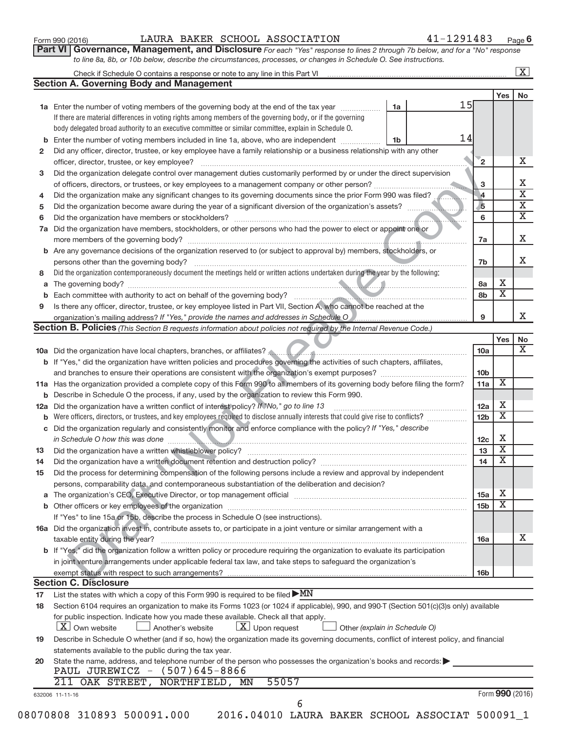|              |                                                                                                                                                                                                 |                         |                             | $\boxed{\text{X}}$      |
|--------------|-------------------------------------------------------------------------------------------------------------------------------------------------------------------------------------------------|-------------------------|-----------------------------|-------------------------|
|              | <b>Section A. Governing Body and Management</b>                                                                                                                                                 |                         |                             |                         |
|              |                                                                                                                                                                                                 |                         | Yes                         | No                      |
|              | 15<br>1a Enter the number of voting members of the governing body at the end of the tax year<br>1a                                                                                              |                         |                             |                         |
|              | If there are material differences in voting rights among members of the governing body, or if the governing                                                                                     |                         |                             |                         |
|              | body delegated broad authority to an executive committee or similar committee, explain in Schedule O.                                                                                           |                         |                             |                         |
| b            | 14<br>Enter the number of voting members included in line 1a, above, who are independent<br>1b                                                                                                  |                         |                             |                         |
| $\mathbf{2}$ | Did any officer, director, trustee, or key employee have a family relationship or a business relationship with any other                                                                        |                         |                             |                         |
|              | officer, director, trustee, or key employee?                                                                                                                                                    | $\mathbf{2}$            |                             | X                       |
| 3            | Did the organization delegate control over management duties customarily performed by or under the direct supervision                                                                           |                         |                             |                         |
|              |                                                                                                                                                                                                 | 3                       |                             |                         |
| 4            | Did the organization make any significant changes to its governing documents since the prior Form 990 was filed?                                                                                | $\vert$ 4               |                             |                         |
| 5            | Did the organization become aware during the year of a significant diversion of the organization's assets?                                                                                      | $\overline{\mathbf{5}}$ |                             | $\overline{\mathbf{X}}$ |
| 6            |                                                                                                                                                                                                 | 6                       |                             | $\overline{\mathbf{X}}$ |
|              | Did the organization have members, stockholders, or other persons who had the power to elect or appoint one or                                                                                  |                         |                             |                         |
| 7a           |                                                                                                                                                                                                 |                         |                             |                         |
|              |                                                                                                                                                                                                 | 7a                      |                             |                         |
| b            | Are any governance decisions of the organization reserved to (or subject to approval by) members, stockholders, or                                                                              |                         |                             |                         |
|              | Did the organization contemporaneously document the meetings held or written actions undertaken during the year by the following:                                                               | 7b                      |                             |                         |
| 8            |                                                                                                                                                                                                 |                         | х                           |                         |
| a            |                                                                                                                                                                                                 | 8a                      | $\overline{\textbf{x}}$     |                         |
| b            |                                                                                                                                                                                                 | 8b                      |                             |                         |
| 9            | Is there any officer, director, trustee, or key employee listed in Part VII, Section A, who cannot be reached at the                                                                            |                         |                             |                         |
|              | organization's mailing address? If "Yes," provide the names and addresses in Schedule O                                                                                                         | 9                       |                             |                         |
|              | <b>Section B. Policies</b> (This Section B requests information about policies not required by the Internal Revenue Code.)                                                                      |                         |                             |                         |
|              |                                                                                                                                                                                                 |                         | Yes                         |                         |
|              |                                                                                                                                                                                                 | 10a                     |                             |                         |
|              | b If "Yes," did the organization have written policies and procedures governing the activities of such chapters, affiliates,                                                                    |                         |                             |                         |
|              |                                                                                                                                                                                                 | 10 <sub>b</sub>         |                             |                         |
|              | 11a Has the organization provided a complete copy of this Form 990 to all members of its governing body before filing the form?                                                                 | 11a                     | $\overline{\mathbf{X}}$     |                         |
|              | <b>b</b> Describe in Schedule O the process, if any, used by the organization to review this Form 990.                                                                                          |                         |                             |                         |
| 12a          | Did the organization have a written conflict of interest policy? If Wo," go to line 13                                                                                                          | 12a                     | Х                           |                         |
|              | Were officers, directors, or trustees, and key employees required to disclose annually interests that could give rise to conflicts?                                                             | 12b                     | $\overline{\textnormal{x}}$ |                         |
| С            | Did the organization regularly and consistently monitor and enforce compliance with the policy? If "Yes," describe                                                                              |                         |                             |                         |
|              | in Schedule O how this was done                                                                                                                                                                 | 12c                     | Χ                           |                         |
| 13           |                                                                                                                                                                                                 | 13                      | $\overline{\textbf{x}}$     |                         |
|              | Did the organization have a written document retention and destruction policy? [111] [12] manufaction manufaction in the organization have a written document retention and destruction policy? | 14                      | $\overline{\texttt{x}}$     |                         |
| 15           | Did the process for determining compensation of the following persons include a review and approval by independent                                                                              |                         |                             |                         |
|              | persons, comparability data, and contemporaneous substantiation of the deliberation and decision?                                                                                               |                         |                             |                         |
| a            |                                                                                                                                                                                                 | 15a                     | Х                           |                         |
| b            |                                                                                                                                                                                                 | 15 <sub>b</sub>         | $\overline{\textbf{X}}$     |                         |
|              | If "Yes" to line 15a or 15b, describe the process in Schedule O (see instructions).                                                                                                             |                         |                             |                         |
|              | 16a Did the organization invest in, contribute assets to, or participate in a joint venture or similar arrangement with a                                                                       |                         |                             |                         |
|              | taxable entity during the year?                                                                                                                                                                 | 16a                     |                             |                         |
|              | b If "Yes," did the organization follow a written policy or procedure requiring the organization to evaluate its participation                                                                  |                         |                             |                         |
|              | in joint venture arrangements under applicable federal tax law, and take steps to safeguard the organization's                                                                                  |                         |                             |                         |
|              |                                                                                                                                                                                                 |                         |                             |                         |
|              | <b>Section C. Disclosure</b>                                                                                                                                                                    | 16 <sub>b</sub>         |                             |                         |
|              |                                                                                                                                                                                                 |                         |                             |                         |
| 17           | List the states with which a copy of this Form 990 is required to be filed $\blacktriangleright MN$                                                                                             |                         |                             |                         |
| 18           | Section 6104 requires an organization to make its Forms 1023 (or 1024 if applicable), 990, and 990-T (Section 501(c)(3)s only) available                                                        |                         |                             |                         |
|              | for public inspection. Indicate how you made these available. Check all that apply.                                                                                                             |                         |                             |                         |
|              | $\lfloor x \rfloor$ Upon request<br>X Own website<br>Another's website<br>Other (explain in Schedule O)                                                                                         |                         |                             |                         |
| 19           | Describe in Schedule O whether (and if so, how) the organization made its governing documents, conflict of interest policy, and financial                                                       |                         |                             |                         |
|              | statements available to the public during the tax year.                                                                                                                                         |                         |                             |                         |
| 20           | State the name, address, and telephone number of the person who possesses the organization's books and records:                                                                                 |                         |                             |                         |
|              | PAUL JUREWICZ - (507)645-8866                                                                                                                                                                   |                         |                             |                         |
|              |                                                                                                                                                                                                 |                         |                             |                         |
|              | 211 OAK STREET, NORTHFIELD, MN<br>55057                                                                                                                                                         |                         |                             |                         |
|              | 632006 11-11-16<br>6                                                                                                                                                                            |                         | Form 990 (2016)             |                         |

Form 990 (2016)  $\qquad$  LAURA BAKER SCHOOL ASSOCIATION  $\qquad \qquad 41-1291483$  Page

41-1291483 Page 6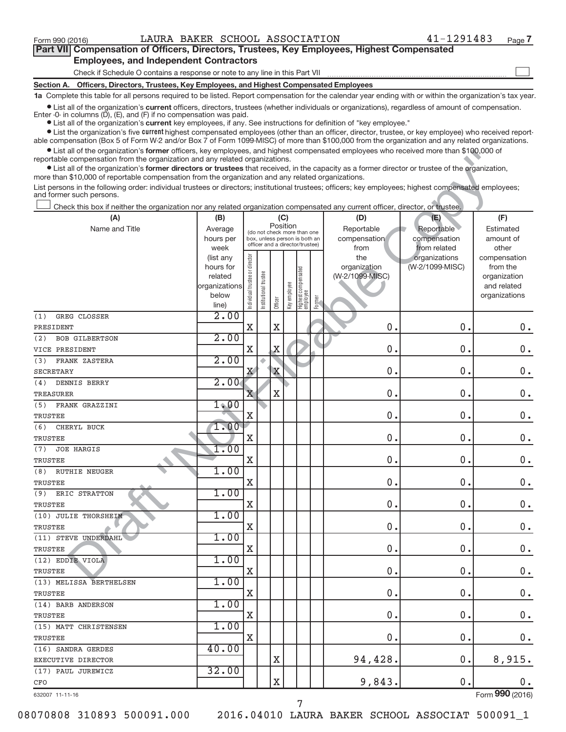$\begin{array}{c} \hline \end{array}$ 

| Part VII Compensation of Officers, Directors, Trustees, Key Employees, Highest Compensated |  |
|--------------------------------------------------------------------------------------------|--|
| <b>Employees, and Independent Contractors</b>                                              |  |

Check if Schedule O contains a response or note to any line in this Part VII

**Section A. Officers, Directors, Trustees, Key Employees, and Highest Compensated Employees**

**1a**  Complete this table for all persons required to be listed. Report compensation for the calendar year ending with or within the organization's tax year.

 $\bullet$  List all of the organization's current officers, directors, trustees (whether individuals or organizations), regardless of amount of compensation.

**•** List all of the organization's **current** key employees, if any. See instructions for definition of "key employee." Enter -0- in columns  $(D)$ ,  $(E)$ , and  $(F)$  if no compensation was paid.

**Examber 1** List the organization's five current highest compensated employees (other than an officer, director, trustee, or key employee) who received report-

 $\bullet$  List all of the organization's former officers, key employees, and highest compensated employees who received more than \$100,000 of able compensation (Box 5 of Form W-2 and/or Box 7 of Form 1099-MISC) of more than \$100,000 from the organization and any related organizations. reportable compensation from the organization and any related organizations.

| • List all of the organization's former officers, key employees, and highest compensated employees who received more than \$100,000 of                                                                                            |                        |                                |                      |             |                                                                  |                                         |        |                     |                                  |                          |
|-----------------------------------------------------------------------------------------------------------------------------------------------------------------------------------------------------------------------------------|------------------------|--------------------------------|----------------------|-------------|------------------------------------------------------------------|-----------------------------------------|--------|---------------------|----------------------------------|--------------------------|
| reportable compensation from the organization and any related organizations.<br>• List all of the organization's former directors or trustees that received, in the capacity as a former director or trustee of the organization, |                        |                                |                      |             |                                                                  |                                         |        |                     |                                  |                          |
| more than \$10,000 of reportable compensation from the organization and any related organizations.                                                                                                                                |                        |                                |                      |             |                                                                  |                                         |        |                     |                                  |                          |
| List persons in the following order: individual trustees or directors; institutional trustees; officers; key employees; highest compensated employees;                                                                            |                        |                                |                      |             |                                                                  |                                         |        |                     |                                  |                          |
| and former such persons.                                                                                                                                                                                                          |                        |                                |                      |             |                                                                  |                                         |        |                     |                                  |                          |
| Check this box if neither the organization nor any related organization compensated any current officer, director, or trustee.                                                                                                    |                        |                                |                      |             |                                                                  |                                         |        |                     |                                  |                          |
| (A)                                                                                                                                                                                                                               | (B)                    |                                |                      |             | (C)                                                              |                                         |        | (D)                 | (E)                              | (F)                      |
| Name and Title                                                                                                                                                                                                                    | Average                |                                |                      |             | Position<br>(do not check more than one                          |                                         |        | Reportable          | Reportable                       | Estimated                |
|                                                                                                                                                                                                                                   | hours per              |                                |                      |             | box, unless person is both an<br>officer and a director/trustee) |                                         |        | compensation        | compensation                     | amount of                |
|                                                                                                                                                                                                                                   | week                   |                                |                      |             |                                                                  |                                         |        | from                | from related                     | other                    |
|                                                                                                                                                                                                                                   | (list any<br>hours for |                                |                      |             |                                                                  |                                         |        | the<br>organization | organizations<br>(W-2/1099-MISC) | compensation<br>from the |
|                                                                                                                                                                                                                                   | related                |                                |                      |             |                                                                  |                                         |        | (W-2/1099-MISC)     |                                  | organization             |
|                                                                                                                                                                                                                                   | organizations          | Individual trustee or director | nstitutional trustee |             |                                                                  | <br>  Highest compensated<br>  employee |        |                     |                                  | and related              |
|                                                                                                                                                                                                                                   | below                  |                                |                      |             | Key employee                                                     |                                         |        |                     |                                  | organizations            |
|                                                                                                                                                                                                                                   | line)                  |                                |                      | Officer     |                                                                  |                                         | Former |                     |                                  |                          |
| GREG CLOSSER<br>(1)                                                                                                                                                                                                               | 2.00                   |                                |                      |             |                                                                  |                                         |        |                     |                                  |                          |
| PRESIDENT                                                                                                                                                                                                                         |                        | X                              |                      | $\rm X$     |                                                                  |                                         |        | $\mathbf 0$         | 0.                               | 0.                       |
| (2)<br><b>BOB GILBERTSON</b>                                                                                                                                                                                                      | 2.00                   |                                |                      |             |                                                                  |                                         |        |                     |                                  |                          |
| VICE PRESIDENT                                                                                                                                                                                                                    |                        | $\mathbf X$                    |                      | X           |                                                                  |                                         |        | 0.                  | 0.                               | $0$ .                    |
| FRANK ZASTERA<br>(3)                                                                                                                                                                                                              | 2.00                   |                                |                      |             |                                                                  |                                         |        |                     |                                  |                          |
| <b>SECRETARY</b>                                                                                                                                                                                                                  |                        | $\mathbf X$                    |                      | $\mathbf X$ |                                                                  |                                         |        | 0.                  | 0.                               | $0$ .                    |
| (4)<br>DENNIS BERRY                                                                                                                                                                                                               | 2.00                   |                                |                      |             |                                                                  |                                         |        |                     |                                  |                          |
| TREASURER                                                                                                                                                                                                                         |                        | $\overline{\textbf{X}}$        |                      | X           |                                                                  |                                         |        | 0.                  | 0.                               | $0$ .                    |
| FRANK GRAZZINI<br>(5)                                                                                                                                                                                                             | 1.00                   |                                |                      |             |                                                                  |                                         |        |                     |                                  |                          |
| TRUSTEE                                                                                                                                                                                                                           |                        | $\mathbf X$                    |                      |             |                                                                  |                                         |        | 0.                  | 0.                               | $0$ .                    |
| CHERYL BUCK<br>(6)                                                                                                                                                                                                                | 1.00                   |                                |                      |             |                                                                  |                                         |        |                     |                                  |                          |
| TRUSTEE                                                                                                                                                                                                                           |                        | $\mathbf X$                    |                      |             |                                                                  |                                         |        | 0.                  | 0.                               | $0$ .                    |
| <b>JOE HARGIS</b><br>(7)                                                                                                                                                                                                          | 1.00                   |                                |                      |             |                                                                  |                                         |        |                     |                                  |                          |
| TRUSTEE                                                                                                                                                                                                                           |                        | $\rm X$                        |                      |             |                                                                  |                                         |        | 0.                  | 0.                               | $0$ .                    |
| <b>RUTHIE NEUGER</b><br>(8)                                                                                                                                                                                                       | 1.00                   |                                |                      |             |                                                                  |                                         |        |                     |                                  |                          |
| TRUSTEE                                                                                                                                                                                                                           |                        | $\rm X$                        |                      |             |                                                                  |                                         |        | 0.                  | 0.                               | $0$ .                    |
| ERIC STRATTON<br>(9)                                                                                                                                                                                                              | 1.00                   |                                |                      |             |                                                                  |                                         |        |                     |                                  |                          |
| TRUSTEE                                                                                                                                                                                                                           |                        | $\mathbf X$                    |                      |             |                                                                  |                                         |        | 0.                  | 0.                               | $0$ .                    |
| (10) JULIE THORSHEIM                                                                                                                                                                                                              | 1.00                   |                                |                      |             |                                                                  |                                         |        |                     |                                  |                          |
| TRUSTEE                                                                                                                                                                                                                           |                        | $\mathbf X$                    |                      |             |                                                                  |                                         |        | 0.                  | 0.                               | 0.                       |
| (11) STEVE UNDERDAHL                                                                                                                                                                                                              | 1.00                   |                                |                      |             |                                                                  |                                         |        |                     |                                  |                          |
| TRUSTEE                                                                                                                                                                                                                           |                        | X                              |                      |             |                                                                  |                                         |        | $\pmb{0}$           | 0.                               | 0.                       |
| (12) EDDIE VIOLA                                                                                                                                                                                                                  | 1.00                   |                                |                      |             |                                                                  |                                         |        |                     |                                  |                          |
| <b>TRUSTEE</b>                                                                                                                                                                                                                    |                        | X                              |                      |             |                                                                  |                                         |        | 0.                  | 0.                               | $0$ .                    |
| (13) MELISSA BERTHELSEN                                                                                                                                                                                                           | 1.00                   |                                |                      |             |                                                                  |                                         |        |                     |                                  |                          |
| <b>TRUSTEE</b>                                                                                                                                                                                                                    |                        | X                              |                      |             |                                                                  |                                         |        | 0.                  | 0.                               | $\mathbf 0$ .            |
| (14) BARB ANDERSON                                                                                                                                                                                                                | 1.00                   |                                |                      |             |                                                                  |                                         |        |                     |                                  |                          |
| TRUSTEE                                                                                                                                                                                                                           |                        | X                              |                      |             |                                                                  |                                         |        | 0.                  | 0.                               | $0$ .                    |
| (15) MATT CHRISTENSEN                                                                                                                                                                                                             | 1.00                   |                                |                      |             |                                                                  |                                         |        |                     |                                  |                          |
| <b>TRUSTEE</b>                                                                                                                                                                                                                    |                        | X                              |                      |             |                                                                  |                                         |        | 0.                  | 0.                               | 0.                       |
| (16) SANDRA GERDES                                                                                                                                                                                                                | 40.00                  |                                |                      |             |                                                                  |                                         |        |                     |                                  |                          |
| EXECUTIVE DIRECTOR                                                                                                                                                                                                                |                        |                                |                      | Χ           |                                                                  |                                         |        | 94,428.             | 0.                               | 8,915.                   |
| (17) PAUL JUREWICZ                                                                                                                                                                                                                | 32.00                  |                                |                      |             |                                                                  |                                         |        |                     |                                  |                          |
| CFO                                                                                                                                                                                                                               |                        |                                |                      | X           |                                                                  |                                         |        | 9,843.              | 0.                               | 0.                       |
| 632007 11-11-16                                                                                                                                                                                                                   |                        |                                |                      |             |                                                                  |                                         |        |                     |                                  | Form 990 (2016)          |

7

Form (2016) **990**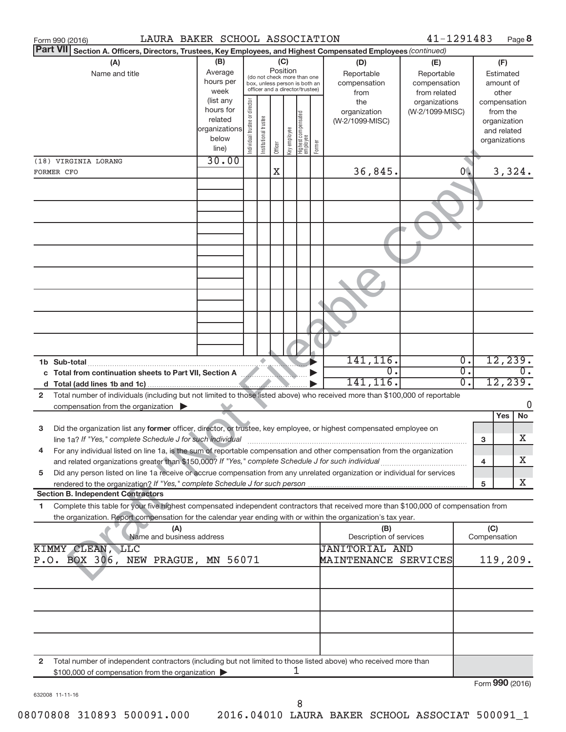|                | LAURA BAKER SCHOOL ASSOCIATION<br>Form 990 (2016)                                                                                    |                        |                                |                       |                                                                  |              |                                            |                                 | 41-1291483      |                  |                          | Page 8          |
|----------------|--------------------------------------------------------------------------------------------------------------------------------------|------------------------|--------------------------------|-----------------------|------------------------------------------------------------------|--------------|--------------------------------------------|---------------------------------|-----------------|------------------|--------------------------|-----------------|
|                | <b>Part VII</b><br>Section A. Officers, Directors, Trustees, Key Employees, and Highest Compensated Employees (continued)            |                        |                                |                       |                                                                  |              |                                            |                                 |                 |                  |                          |                 |
|                | (A)                                                                                                                                  | (B)                    |                                |                       | (C)                                                              |              |                                            | (D)                             | (E)             |                  | (F)                      |                 |
|                | Name and title                                                                                                                       | Average                |                                |                       | Position<br>(do not check more than one                          |              |                                            | Reportable                      | Reportable      |                  | Estimated                |                 |
|                |                                                                                                                                      | hours per              |                                |                       | box, unless person is both an<br>officer and a director/trustee) |              |                                            | compensation                    | compensation    |                  | amount of                |                 |
|                |                                                                                                                                      | week                   |                                |                       |                                                                  |              |                                            | from                            | from related    |                  | other                    |                 |
|                |                                                                                                                                      | (list any<br>hours for |                                |                       |                                                                  |              |                                            | the                             | organizations   |                  |                          | compensation    |
|                |                                                                                                                                      | related                |                                |                       |                                                                  |              |                                            | organization<br>(W-2/1099-MISC) | (W-2/1099-MISC) |                  | from the<br>organization |                 |
|                |                                                                                                                                      | organizations          |                                |                       |                                                                  |              |                                            |                                 |                 |                  | and related              |                 |
|                |                                                                                                                                      | below                  |                                |                       |                                                                  |              |                                            |                                 |                 |                  |                          | organizations   |
|                |                                                                                                                                      | line)                  | Individual trustee or director | Institutional trustee | Officer                                                          | key employee | Highest compensated<br> employee<br>Former |                                 |                 |                  |                          |                 |
|                | (18) VIRGINIA LORANG                                                                                                                 | 30.00                  |                                |                       |                                                                  |              |                                            |                                 |                 |                  |                          |                 |
|                | FORMER CFO                                                                                                                           |                        |                                |                       | X                                                                |              |                                            | 36,845.                         |                 | 0.               |                          | 3,324.          |
|                |                                                                                                                                      |                        |                                |                       |                                                                  |              |                                            |                                 |                 |                  |                          |                 |
|                |                                                                                                                                      |                        |                                |                       |                                                                  |              |                                            |                                 |                 |                  |                          |                 |
|                |                                                                                                                                      |                        |                                |                       |                                                                  |              |                                            |                                 |                 |                  |                          |                 |
|                |                                                                                                                                      |                        |                                |                       |                                                                  |              |                                            |                                 |                 |                  |                          |                 |
|                |                                                                                                                                      |                        |                                |                       |                                                                  |              |                                            |                                 |                 |                  |                          |                 |
|                |                                                                                                                                      |                        |                                |                       |                                                                  |              |                                            |                                 |                 |                  |                          |                 |
|                |                                                                                                                                      |                        |                                |                       |                                                                  |              |                                            |                                 |                 |                  |                          |                 |
|                |                                                                                                                                      |                        |                                |                       |                                                                  |              |                                            |                                 |                 |                  |                          |                 |
|                |                                                                                                                                      |                        |                                |                       |                                                                  |              |                                            |                                 |                 |                  |                          |                 |
|                |                                                                                                                                      |                        |                                |                       |                                                                  |              |                                            |                                 |                 |                  |                          |                 |
|                |                                                                                                                                      |                        |                                |                       |                                                                  |              |                                            |                                 |                 |                  |                          |                 |
|                |                                                                                                                                      |                        |                                |                       |                                                                  |              |                                            |                                 |                 |                  |                          |                 |
|                |                                                                                                                                      |                        |                                |                       |                                                                  |              |                                            |                                 |                 |                  |                          |                 |
|                |                                                                                                                                      |                        |                                |                       |                                                                  |              |                                            |                                 |                 |                  |                          |                 |
|                |                                                                                                                                      |                        |                                |                       |                                                                  |              |                                            |                                 |                 |                  |                          |                 |
|                |                                                                                                                                      |                        |                                |                       |                                                                  |              |                                            |                                 |                 |                  |                          |                 |
|                |                                                                                                                                      |                        |                                |                       |                                                                  |              |                                            | 141,116.                        |                 | $\overline{0}$ . |                          | 12, 239.        |
|                | c Total from continuation sheets to Part VII, Section A                                                                              |                        |                                |                       |                                                                  |              |                                            | $\mathbf 0$ .                   |                 | $\overline{0}$ . |                          |                 |
|                |                                                                                                                                      |                        |                                |                       |                                                                  |              |                                            | 141,116.                        |                 | $\overline{0}$ . |                          | 12, 239.        |
| $\overline{2}$ | Total number of individuals (including but not limited to those listed above) who received more than \$100,000 of reportable         |                        |                                |                       |                                                                  |              |                                            |                                 |                 |                  |                          |                 |
|                | compensation from the organization                                                                                                   |                        |                                |                       |                                                                  |              |                                            |                                 |                 |                  |                          | 0               |
|                |                                                                                                                                      |                        |                                |                       |                                                                  |              |                                            |                                 |                 |                  | Yes                      | <b>No</b>       |
| 3              | Did the organization list any former officer, director, or trustee, key employee, or highest compensated employee on                 |                        |                                |                       |                                                                  |              |                                            |                                 |                 |                  |                          |                 |
|                |                                                                                                                                      |                        |                                |                       |                                                                  |              |                                            |                                 |                 | з                |                          | х               |
|                | For any individual listed on line 1a, is the sum of reportable compensation and other compensation from the organization             |                        |                                |                       |                                                                  |              |                                            |                                 |                 |                  |                          |                 |
|                | and related organizations greater than \$150,000? If "Yes," complete Schedule J for such individual                                  |                        |                                |                       |                                                                  |              |                                            |                                 |                 | 4                |                          | X               |
| 5              | Did any person listed on line 1a receive or accrue compensation from any unrelated organization or individual for services           |                        |                                |                       |                                                                  |              |                                            |                                 |                 |                  |                          |                 |
|                | rendered to the organization? If "Yes," complete Schedule J for such person.                                                         |                        |                                |                       |                                                                  |              |                                            |                                 |                 | 5                |                          | X               |
|                | <b>Section B. Independent Contractors</b>                                                                                            |                        |                                |                       |                                                                  |              |                                            |                                 |                 |                  |                          |                 |
| 1              | Complete this table for your five highest compensated independent contractors that received more than \$100,000 of compensation from |                        |                                |                       |                                                                  |              |                                            |                                 |                 |                  |                          |                 |
|                | the organization. Report compensation for the calendar year ending with or within the organization's tax year.                       |                        |                                |                       |                                                                  |              |                                            |                                 |                 |                  |                          |                 |
|                | (A)<br>Name and business address                                                                                                     |                        |                                |                       |                                                                  |              |                                            | (B)<br>Description of services  |                 |                  | (C)<br>Compensation      |                 |
|                | KIMMY CLEAN, LLC                                                                                                                     |                        |                                |                       |                                                                  |              |                                            | <b>JANITORIAL AND</b>           |                 |                  |                          |                 |
|                | P.O. BOX 306, NEW PRAGUE, MN 56071                                                                                                   |                        |                                |                       |                                                                  |              |                                            | MAINTENANCE SERVICES            |                 |                  |                          | 119,209.        |
|                |                                                                                                                                      |                        |                                |                       |                                                                  |              |                                            |                                 |                 |                  |                          |                 |
|                |                                                                                                                                      |                        |                                |                       |                                                                  |              |                                            |                                 |                 |                  |                          |                 |
|                |                                                                                                                                      |                        |                                |                       |                                                                  |              |                                            |                                 |                 |                  |                          |                 |
|                |                                                                                                                                      |                        |                                |                       |                                                                  |              |                                            |                                 |                 |                  |                          |                 |
|                |                                                                                                                                      |                        |                                |                       |                                                                  |              |                                            |                                 |                 |                  |                          |                 |
|                |                                                                                                                                      |                        |                                |                       |                                                                  |              |                                            |                                 |                 |                  |                          |                 |
|                |                                                                                                                                      |                        |                                |                       |                                                                  |              |                                            |                                 |                 |                  |                          |                 |
|                |                                                                                                                                      |                        |                                |                       |                                                                  |              |                                            |                                 |                 |                  |                          |                 |
|                |                                                                                                                                      |                        |                                |                       |                                                                  |              |                                            |                                 |                 |                  |                          |                 |
| $\mathbf{2}$   | Total number of independent contractors (including but not limited to those listed above) who received more than                     |                        |                                |                       |                                                                  | 1            |                                            |                                 |                 |                  |                          |                 |
|                | \$100,000 of compensation from the organization                                                                                      |                        |                                |                       |                                                                  |              |                                            |                                 |                 |                  |                          |                 |
|                |                                                                                                                                      |                        |                                |                       |                                                                  |              |                                            |                                 |                 |                  |                          | Form 990 (2016) |
|                | 632008 11-11-16                                                                                                                      |                        |                                |                       |                                                                  |              |                                            |                                 |                 |                  |                          |                 |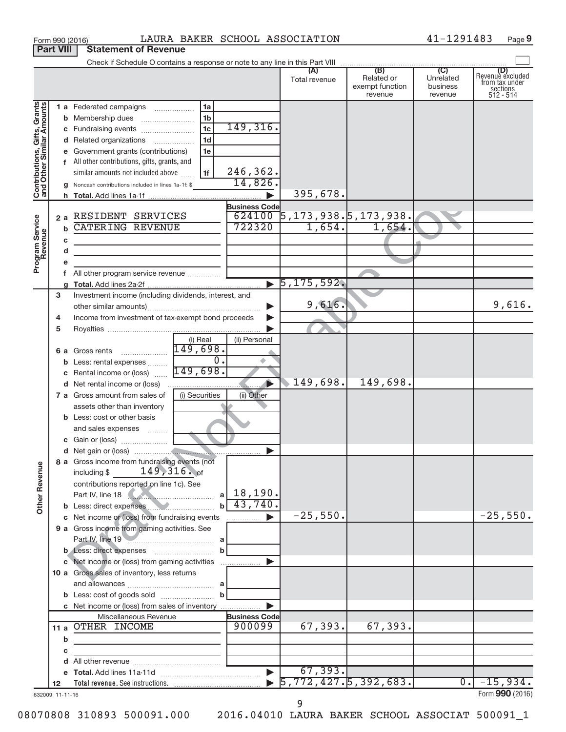|                                                           |    |   | LAURA BAKER SCHOOL ASSOCIATION<br>Form 990 (2016)                          |                                                                                                                                                                                                                                                                                                                                                     |                                              |                                          | 41-1291483                       | Page 9                                                             |
|-----------------------------------------------------------|----|---|----------------------------------------------------------------------------|-----------------------------------------------------------------------------------------------------------------------------------------------------------------------------------------------------------------------------------------------------------------------------------------------------------------------------------------------------|----------------------------------------------|------------------------------------------|----------------------------------|--------------------------------------------------------------------|
| <b>Part VIII</b>                                          |    |   | <b>Statement of Revenue</b>                                                |                                                                                                                                                                                                                                                                                                                                                     |                                              |                                          |                                  |                                                                    |
|                                                           |    |   |                                                                            |                                                                                                                                                                                                                                                                                                                                                     | (A)                                          | (B)                                      | $\overline{C}$                   |                                                                    |
|                                                           |    |   |                                                                            |                                                                                                                                                                                                                                                                                                                                                     | Total revenue                                | Related or<br>exempt function<br>revenue | Unrelated<br>business<br>revenue | (D)<br>Revenue excluded<br>from tax under<br>sections<br>512 - 514 |
| Contributions, Gifts, Grants<br>and Other Similar Amounts |    |   | 1a<br>1 a Federated campaigns                                              |                                                                                                                                                                                                                                                                                                                                                     |                                              |                                          |                                  |                                                                    |
|                                                           |    |   | 1 <sub>b</sub><br><b>b</b> Membership dues                                 |                                                                                                                                                                                                                                                                                                                                                     |                                              |                                          |                                  |                                                                    |
|                                                           |    |   | 1 <sub>c</sub>                                                             | 149,316.                                                                                                                                                                                                                                                                                                                                            |                                              |                                          |                                  |                                                                    |
|                                                           |    |   | 1 <sub>d</sub><br>d Related organizations                                  |                                                                                                                                                                                                                                                                                                                                                     |                                              |                                          |                                  |                                                                    |
|                                                           |    |   | e Government grants (contributions)<br>1e                                  |                                                                                                                                                                                                                                                                                                                                                     |                                              |                                          |                                  |                                                                    |
|                                                           |    |   | f All other contributions, gifts, grants, and                              |                                                                                                                                                                                                                                                                                                                                                     |                                              |                                          |                                  |                                                                    |
|                                                           |    |   | 1f<br>similar amounts not included above                                   | 246,362.                                                                                                                                                                                                                                                                                                                                            |                                              |                                          |                                  |                                                                    |
|                                                           |    |   | g Noncash contributions included in lines 1a-1f: \$                        | 14,826.                                                                                                                                                                                                                                                                                                                                             |                                              |                                          |                                  |                                                                    |
|                                                           |    |   |                                                                            | $\blacktriangleright$                                                                                                                                                                                                                                                                                                                               | 395,678.                                     |                                          |                                  |                                                                    |
|                                                           |    |   | 2 a RESIDENT SERVICES                                                      | <b>Business Code</b>                                                                                                                                                                                                                                                                                                                                |                                              |                                          |                                  |                                                                    |
|                                                           |    |   | <b>CATERING REVENUE</b>                                                    | 722320                                                                                                                                                                                                                                                                                                                                              | $624100$ 5, 173, 938. 5, 173, 938.<br>1,654. | 1,654.                                   |                                  |                                                                    |
| Program Service<br>Revenue                                |    | b |                                                                            |                                                                                                                                                                                                                                                                                                                                                     |                                              |                                          |                                  |                                                                    |
|                                                           |    | с | the control of the control of the control of the control of                |                                                                                                                                                                                                                                                                                                                                                     |                                              |                                          |                                  |                                                                    |
|                                                           |    | d | the control of the control of the control of the control of the control of |                                                                                                                                                                                                                                                                                                                                                     |                                              |                                          |                                  |                                                                    |
|                                                           |    |   | f All other program service revenue                                        |                                                                                                                                                                                                                                                                                                                                                     |                                              |                                          |                                  |                                                                    |
|                                                           |    |   |                                                                            |                                                                                                                                                                                                                                                                                                                                                     | $\blacktriangleright$ 5,175,592.             |                                          |                                  |                                                                    |
|                                                           | 3  |   | Investment income (including dividends, interest, and                      |                                                                                                                                                                                                                                                                                                                                                     |                                              |                                          |                                  |                                                                    |
|                                                           |    |   |                                                                            |                                                                                                                                                                                                                                                                                                                                                     | 9,616.                                       |                                          |                                  | 9,616.                                                             |
|                                                           | 4  |   | Income from investment of tax-exempt bond proceeds                         |                                                                                                                                                                                                                                                                                                                                                     |                                              |                                          |                                  |                                                                    |
|                                                           | 5  |   |                                                                            |                                                                                                                                                                                                                                                                                                                                                     |                                              |                                          |                                  |                                                                    |
|                                                           |    |   | (i) Real                                                                   | (ii) Personal                                                                                                                                                                                                                                                                                                                                       |                                              |                                          |                                  |                                                                    |
|                                                           |    |   | 149,698.<br><b>6 a</b> Gross rents                                         |                                                                                                                                                                                                                                                                                                                                                     |                                              |                                          |                                  |                                                                    |
|                                                           |    |   | $\overline{0}$ .<br><b>b</b> Less: rental expenses                         |                                                                                                                                                                                                                                                                                                                                                     |                                              |                                          |                                  |                                                                    |
|                                                           |    |   | 149,698.<br>c Rental income or (loss)                                      |                                                                                                                                                                                                                                                                                                                                                     |                                              |                                          |                                  |                                                                    |
|                                                           |    |   |                                                                            |                                                                                                                                                                                                                                                                                                                                                     | 149,698.                                     | 149,698.                                 |                                  |                                                                    |
|                                                           |    |   | 7 a Gross amount from sales of<br>(i) Securities                           | (ii) Other                                                                                                                                                                                                                                                                                                                                          |                                              |                                          |                                  |                                                                    |
|                                                           |    |   | assets other than inventory                                                |                                                                                                                                                                                                                                                                                                                                                     |                                              |                                          |                                  |                                                                    |
|                                                           |    |   | <b>b</b> Less: cost or other basis                                         |                                                                                                                                                                                                                                                                                                                                                     |                                              |                                          |                                  |                                                                    |
|                                                           |    |   | and sales expenses                                                         |                                                                                                                                                                                                                                                                                                                                                     |                                              |                                          |                                  |                                                                    |
|                                                           |    |   |                                                                            |                                                                                                                                                                                                                                                                                                                                                     |                                              |                                          |                                  |                                                                    |
|                                                           |    |   | 8 a Gross income from fundraising events (not                              |                                                                                                                                                                                                                                                                                                                                                     |                                              |                                          |                                  |                                                                    |
| <b>Other Revenue</b>                                      |    |   | including \$149, 316. of                                                   |                                                                                                                                                                                                                                                                                                                                                     |                                              |                                          |                                  |                                                                    |
|                                                           |    |   | contributions reported on line 1c). See                                    |                                                                                                                                                                                                                                                                                                                                                     |                                              |                                          |                                  |                                                                    |
|                                                           |    |   | Part IV, line 18                                                           | $a \mid 18,190.$                                                                                                                                                                                                                                                                                                                                    |                                              |                                          |                                  |                                                                    |
|                                                           |    |   | b Less: direct expenses                                                    | $b \mid 43,740.$                                                                                                                                                                                                                                                                                                                                    |                                              |                                          |                                  |                                                                    |
|                                                           |    |   | c Net income or (loss) from fundraising events                             | $\begin{picture}(20,20) \put(0,0){\line(1,0){10}} \put(10,0){\line(1,0){10}} \put(10,0){\line(1,0){10}} \put(10,0){\line(1,0){10}} \put(10,0){\line(1,0){10}} \put(10,0){\line(1,0){10}} \put(10,0){\line(1,0){10}} \put(10,0){\line(1,0){10}} \put(10,0){\line(1,0){10}} \put(10,0){\line(1,0){10}} \put(10,0){\line(1,0){10}} \put(10,0){\line(1$ | $-25,550.$                                   |                                          |                                  | $-25,550.$                                                         |
|                                                           |    |   | 9 a Gross income from gaming activities. See                               |                                                                                                                                                                                                                                                                                                                                                     |                                              |                                          |                                  |                                                                    |
|                                                           |    |   | Part IV, line 19                                                           |                                                                                                                                                                                                                                                                                                                                                     |                                              |                                          |                                  |                                                                    |
|                                                           |    |   | $\mathbf b$                                                                |                                                                                                                                                                                                                                                                                                                                                     |                                              |                                          |                                  |                                                                    |
|                                                           |    |   | c Net income or (loss) from gaming activities                              |                                                                                                                                                                                                                                                                                                                                                     |                                              |                                          |                                  |                                                                    |
|                                                           |    |   | 10 a Gross sales of inventory, less returns                                |                                                                                                                                                                                                                                                                                                                                                     |                                              |                                          |                                  |                                                                    |
|                                                           |    |   |                                                                            |                                                                                                                                                                                                                                                                                                                                                     |                                              |                                          |                                  |                                                                    |
|                                                           |    |   |                                                                            |                                                                                                                                                                                                                                                                                                                                                     |                                              |                                          |                                  |                                                                    |
|                                                           |    |   | c Net income or (loss) from sales of inventory<br>Miscellaneous Revenue    | $\blacktriangleright$<br><b>Business Code</b>                                                                                                                                                                                                                                                                                                       |                                              |                                          |                                  |                                                                    |
|                                                           |    |   | 11 a OTHER INCOME                                                          | 900099                                                                                                                                                                                                                                                                                                                                              | 67,393.                                      | 67,393.                                  |                                  |                                                                    |
|                                                           |    | b |                                                                            |                                                                                                                                                                                                                                                                                                                                                     |                                              |                                          |                                  |                                                                    |
|                                                           |    | с | the control of the control of the control of the control of                |                                                                                                                                                                                                                                                                                                                                                     |                                              |                                          |                                  |                                                                    |
|                                                           |    |   | the control of the control of the control of the control of the            |                                                                                                                                                                                                                                                                                                                                                     |                                              |                                          |                                  |                                                                    |
|                                                           |    |   |                                                                            |                                                                                                                                                                                                                                                                                                                                                     | 67, 393.                                     |                                          |                                  |                                                                    |
|                                                           | 12 |   |                                                                            |                                                                                                                                                                                                                                                                                                                                                     | $\blacktriangleright$ 5,772,427.5,392,683.   |                                          | $\overline{0}$ .                 | $-15,934.$                                                         |
| 632009 11-11-16                                           |    |   |                                                                            |                                                                                                                                                                                                                                                                                                                                                     |                                              |                                          |                                  | Form 990 (2016)                                                    |

9

41-1291483 Page 9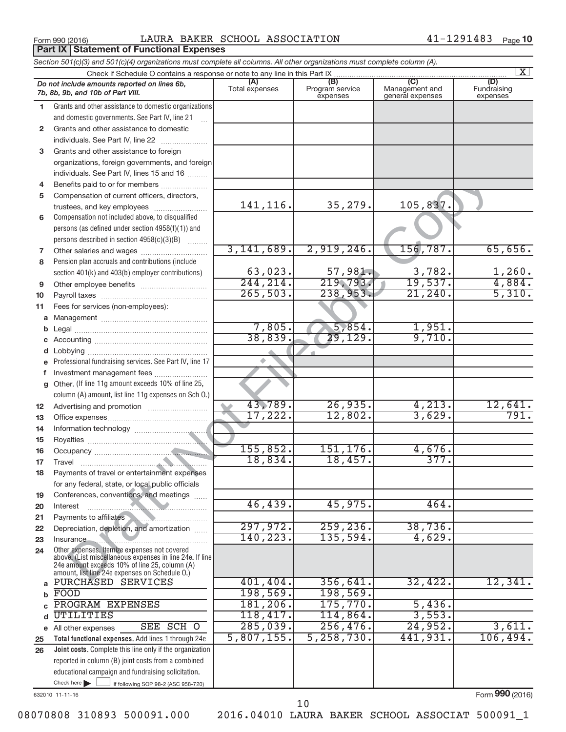**Part IX | Statement of Functional Expenses** 

Form 990 (2016)  $\qquad$  LAURA BAKER SCHOOL ASSOCIATION  $\qquad \qquad 41-1291483$  Page

|                 | Section 501(c)(3) and 501(c)(4) organizations must complete all columns. All other organizations must complete column (A).                                                                                  |                       |                                    |                                           |                                |
|-----------------|-------------------------------------------------------------------------------------------------------------------------------------------------------------------------------------------------------------|-----------------------|------------------------------------|-------------------------------------------|--------------------------------|
|                 | Check if Schedule O contains a response or note to any line in this Part IX.                                                                                                                                |                       |                                    |                                           | $\overline{\mathbf{x}}$        |
|                 | Do not include amounts reported on lines 6b,<br>7b, 8b, 9b, and 10b of Part VIII.                                                                                                                           | (A)<br>Total expenses | (B)<br>Program service<br>expenses | (C)<br>Management and<br>general expenses | (D)<br>Fundraising<br>expenses |
| 1.              | Grants and other assistance to domestic organizations                                                                                                                                                       |                       |                                    |                                           |                                |
|                 | and domestic governments. See Part IV, line 21                                                                                                                                                              |                       |                                    |                                           |                                |
| $\mathbf{2}$    | Grants and other assistance to domestic                                                                                                                                                                     |                       |                                    |                                           |                                |
|                 | individuals. See Part IV, line 22                                                                                                                                                                           |                       |                                    |                                           |                                |
| 3               | Grants and other assistance to foreign                                                                                                                                                                      |                       |                                    |                                           |                                |
|                 | organizations, foreign governments, and foreign                                                                                                                                                             |                       |                                    |                                           |                                |
|                 | individuals. See Part IV, lines 15 and 16                                                                                                                                                                   |                       |                                    |                                           |                                |
| 4               | Benefits paid to or for members                                                                                                                                                                             |                       |                                    |                                           |                                |
| 5               | Compensation of current officers, directors,                                                                                                                                                                |                       |                                    |                                           |                                |
|                 | trustees, and key employees                                                                                                                                                                                 | 141,116.              | 35,279.                            | 105,837                                   |                                |
| 6               | Compensation not included above, to disqualified                                                                                                                                                            |                       |                                    |                                           |                                |
|                 | persons (as defined under section 4958(f)(1)) and                                                                                                                                                           |                       |                                    |                                           |                                |
|                 | persons described in section 4958(c)(3)(B)                                                                                                                                                                  |                       |                                    |                                           |                                |
| 7               |                                                                                                                                                                                                             | 3,141,689.            | 2,919,246.                         | 156, 787.                                 | 65,656.                        |
| 8               | Pension plan accruals and contributions (include                                                                                                                                                            |                       |                                    |                                           |                                |
|                 | section 401(k) and 403(b) employer contributions)                                                                                                                                                           | 63,023.               | 57,981.                            | 3,782.                                    | 1,260.                         |
| 9               |                                                                                                                                                                                                             | 244, 214.             | 219,793.                           | 19,537.                                   | 4,884.                         |
| 10              |                                                                                                                                                                                                             | 265,503.              | 238,953.                           | 21, 240.                                  | 5,310.                         |
| 11              | Fees for services (non-employees):                                                                                                                                                                          |                       |                                    |                                           |                                |
| а               |                                                                                                                                                                                                             | 7,805.                | 5,854.                             | 1,951.                                    |                                |
| b               |                                                                                                                                                                                                             | 38,839.               | 29,129.                            | 9,710.                                    |                                |
|                 |                                                                                                                                                                                                             |                       |                                    |                                           |                                |
| d               |                                                                                                                                                                                                             |                       |                                    |                                           |                                |
|                 | Professional fundraising services. See Part IV, line 17                                                                                                                                                     |                       |                                    |                                           |                                |
| f               | Investment management fees<br>Other. (If line 11g amount exceeds 10% of line 25,                                                                                                                            |                       |                                    |                                           |                                |
| g               | column (A) amount, list line 11g expenses on Sch O.)                                                                                                                                                        |                       |                                    |                                           |                                |
| 12 <sup>2</sup> |                                                                                                                                                                                                             | 43,789.               | 26,935.                            | 4,213.                                    | 12,641.                        |
| 13              |                                                                                                                                                                                                             | 17,222.               | 12,802.                            | 3,629.                                    | 791.                           |
| 14              |                                                                                                                                                                                                             |                       |                                    |                                           |                                |
| 15              |                                                                                                                                                                                                             |                       |                                    |                                           |                                |
| 16              |                                                                                                                                                                                                             | 155,852.              | 151, 176.                          | 4,676.                                    |                                |
| 17              |                                                                                                                                                                                                             | 18,834.               | 18,457.                            | 377.                                      |                                |
|                 | Payments of travel or entertainment expenses                                                                                                                                                                |                       |                                    |                                           |                                |
|                 | for any federal, state, or local public officials                                                                                                                                                           |                       |                                    |                                           |                                |
| 19              | Conferences, conventions, and meetings                                                                                                                                                                      |                       |                                    |                                           |                                |
| 20              | Interest                                                                                                                                                                                                    | 46, 439.              | 45,975.                            | 464.                                      |                                |
| 21              | Payments to affiliates                                                                                                                                                                                      |                       |                                    |                                           |                                |
| 22              | Depreciation, depletion, and amortization                                                                                                                                                                   | 297,972.              | 259, 236.                          | 38,736.                                   |                                |
| 23              | <b>Insurance</b><br>.                                                                                                                                                                                       | 140,223.              | 135,594.                           | 4,629.                                    |                                |
| 24              | Other expenses. Itemize expenses not covered<br>above. (List miscellaneous expenses in line 24e. If line<br>24e amount exceeds 10% of line 25, column (A)<br>amount, list line 24e expenses on Schedule O.) |                       |                                    |                                           |                                |
| a               | PURCHASED SERVICES                                                                                                                                                                                          | 401, 404.             | 356,641.                           | 32,422.                                   | 12,341.                        |
| b               | FOOD                                                                                                                                                                                                        | 198,569.              | 198,569.                           |                                           |                                |
|                 | PROGRAM EXPENSES                                                                                                                                                                                            | 181, 206.             | 175,770.                           | 5,436.                                    |                                |
| d               | UTILITIES                                                                                                                                                                                                   | 118,417.              | 114,864.                           | 3,553.                                    |                                |
|                 | SEE SCH O<br>e All other expenses                                                                                                                                                                           | 285,039.              | 256, 476.                          | 24,952.                                   | 3,611.                         |
| 25              | Total functional expenses. Add lines 1 through 24e                                                                                                                                                          | 5,807,155.            | 5, 258, 730.                       | 441,931.                                  | 106,494.                       |
| 26              | Joint costs. Complete this line only if the organization                                                                                                                                                    |                       |                                    |                                           |                                |
|                 | reported in column (B) joint costs from a combined                                                                                                                                                          |                       |                                    |                                           |                                |
|                 | educational campaign and fundraising solicitation.                                                                                                                                                          |                       |                                    |                                           |                                |
|                 | Check here $\blacktriangleright$<br>if following SOP 98-2 (ASC 958-720)                                                                                                                                     |                       |                                    |                                           |                                |

632010 11-11-16

Form (2016) **990**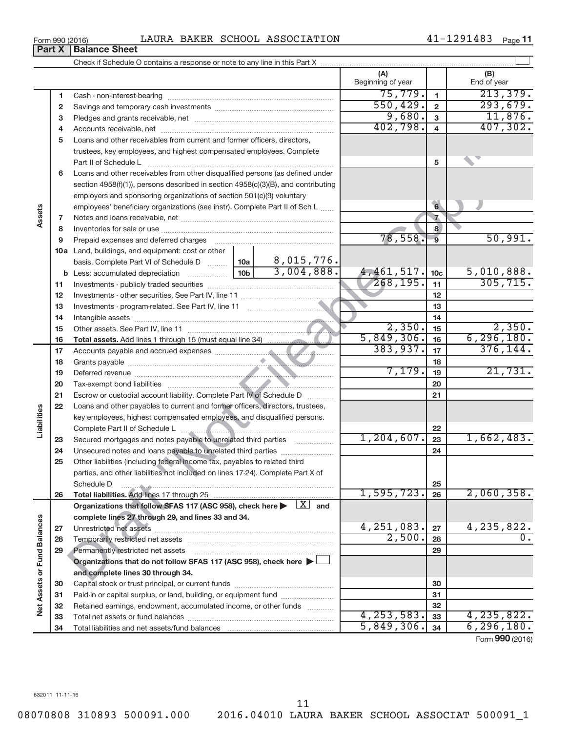11

08070808 310893 500091.000 2016.04010 LAURA BAKER SCHOOL ASSOCIAT 500091\_1

## Form 990 (2016)  $\blacksquare$  LAURA BAKER SCHOOL ASSOCIATION  $\blacksquare$   $\blacksquare$   $\blacksquare$   $\blacksquare$   $\blacksquare$   $\blacksquare$   $\blacksquare$   $\blacksquare$   $\blacksquare$   $\blacksquare$   $\blacksquare$   $\blacksquare$   $\blacksquare$   $\blacksquare$   $\blacksquare$   $\blacksquare$   $\blacksquare$   $\blacksquare$   $\blacksquare$   $\blacksquare$   $\blacksquare$   $\blacksquare$   $\blacksquare$   $\blacksquare$

Check if Schedule O contains a response or note to any line in this Part X

|    |                                                                                                                              |                 |            | (A)<br>Beginning of year |                 | (B)<br>End of year |
|----|------------------------------------------------------------------------------------------------------------------------------|-----------------|------------|--------------------------|-----------------|--------------------|
| 1  | Cash - non-interest-bearing                                                                                                  |                 |            | 75,779.                  | 1               | 213,379.           |
| 2  |                                                                                                                              |                 |            | 550, 429.                | $\overline{2}$  | 293,679.           |
| 3  |                                                                                                                              |                 |            | 9,680.                   | 3               | 11,876.            |
| 4  |                                                                                                                              |                 |            | 402,798.                 | $\overline{4}$  | 407,302.           |
| 5  | Loans and other receivables from current and former officers, directors,                                                     |                 |            |                          |                 |                    |
|    | trustees, key employees, and highest compensated employees. Complete                                                         |                 |            |                          |                 |                    |
|    | Part II of Schedule L                                                                                                        |                 |            |                          | 5               |                    |
| 6  | Loans and other receivables from other disqualified persons (as defined under                                                |                 |            |                          |                 |                    |
|    | section 4958(f)(1)), persons described in section 4958(c)(3)(B), and contributing                                            |                 |            |                          |                 |                    |
|    | employers and sponsoring organizations of section 501(c)(9) voluntary                                                        |                 |            |                          |                 |                    |
|    | employees' beneficiary organizations (see instr). Complete Part II of Sch L                                                  |                 |            |                          | $6\overline{6}$ | J.                 |
| 7  |                                                                                                                              |                 |            |                          | $\overline{7}$  |                    |
| 8  |                                                                                                                              |                 |            |                          | 8               |                    |
| 9  | Prepaid expenses and deferred charges                                                                                        |                 |            | 78,558.                  | $\overline{9}$  | 50,991.            |
|    | 10a Land, buildings, and equipment: cost or other                                                                            |                 |            |                          |                 |                    |
|    | basis. Complete Part VI of Schedule D  10a                                                                                   |                 | 8,015,776. |                          |                 |                    |
|    |                                                                                                                              | 10 <sub>b</sub> | 3,004,888. | 4,461,517.               | 10 <sub>c</sub> | 5,010,888.         |
| 11 |                                                                                                                              |                 |            | 268, 195.                | 11              | 305, 715.          |
| 12 |                                                                                                                              |                 |            |                          | 12              |                    |
| 13 |                                                                                                                              |                 |            |                          | 13              |                    |
| 14 |                                                                                                                              |                 |            |                          | 14              |                    |
| 15 |                                                                                                                              |                 |            | 2,350.                   | 15              | 2,350.             |
| 16 |                                                                                                                              |                 |            | 5,849,306.               | 16              | 6, 296, 180.       |
| 17 |                                                                                                                              |                 |            | 383,937.                 | 17              | 376, 144.          |
| 18 |                                                                                                                              |                 |            |                          | 18              |                    |
| 19 |                                                                                                                              |                 |            | 7,179.                   | 19              | 21,731.            |
| 20 |                                                                                                                              |                 |            |                          | 20              |                    |
| 21 | Escrow or custodial account liability. Complete Part IV of Schedule D                                                        |                 |            |                          | 21              |                    |
| 22 | Loans and other payables to current and former officers, directors, trustees,                                                |                 |            |                          |                 |                    |
|    | key employees, highest compensated employees, and disqualified persons.                                                      |                 |            |                          |                 |                    |
|    |                                                                                                                              |                 |            |                          | 22              |                    |
| 23 | Secured mortgages and notes payable to unrelated third parties                                                               |                 |            | 1,204,607.               | 23              | 1,662,483.         |
| 24 | Unsecured notes and loans payable to unrelated third parties                                                                 |                 |            |                          | 24              |                    |
| 25 | Other liabilities (including federal income tax, payables to related third                                                   |                 |            |                          |                 |                    |
|    | parties, and other liabilities not included on lines 17-24). Complete Part X of                                              |                 |            |                          |                 |                    |
|    | Schedule D                                                                                                                   |                 |            | 1,595,723.               | 25<br>26        | 2,060,358.         |
| 26 | Organizations that follow SFAS 117 (ASC 958), check here $\blacktriangleright \begin{array}{c} \boxed{X} \\ \end{array}$ and |                 |            |                          |                 |                    |
|    | complete lines 27 through 29, and lines 33 and 34.                                                                           |                 |            |                          |                 |                    |
| 27 | Unrestricted net assets                                                                                                      |                 |            | 4, 251, 083.             | 27              | 4, 235, 822.       |
| 28 |                                                                                                                              |                 |            | 2,500.                   | 28              | $\overline{0}$ .   |
| 29 | Permanently restricted net assets                                                                                            |                 |            |                          | 29              |                    |
|    | Organizations that do not follow SFAS 117 (ASC 958), check here $\blacktriangleright$                                        |                 |            |                          |                 |                    |
|    | and complete lines 30 through 34.                                                                                            |                 |            |                          |                 |                    |
| 30 |                                                                                                                              |                 |            |                          | 30              |                    |
| 31 | Paid-in or capital surplus, or land, building, or equipment fund                                                             |                 |            |                          | 31              |                    |
| 32 | Retained earnings, endowment, accumulated income, or other funds                                                             |                 |            |                          | 32              |                    |
| 33 |                                                                                                                              |                 |            | 4, 253, 583.             | 33              | 4, 235, 822.       |
| 34 |                                                                                                                              |                 |            | 5,849,306.               | 34              | 6, 296, 180.       |

 $\mathbf{I}$ 

Form (2016) **990**

 $\Box$ 

**Part X** | Balance Sheet

**Assets**

**Liabilities**

**Net Assets or Fund Balances**

Net Assets or Fund Balances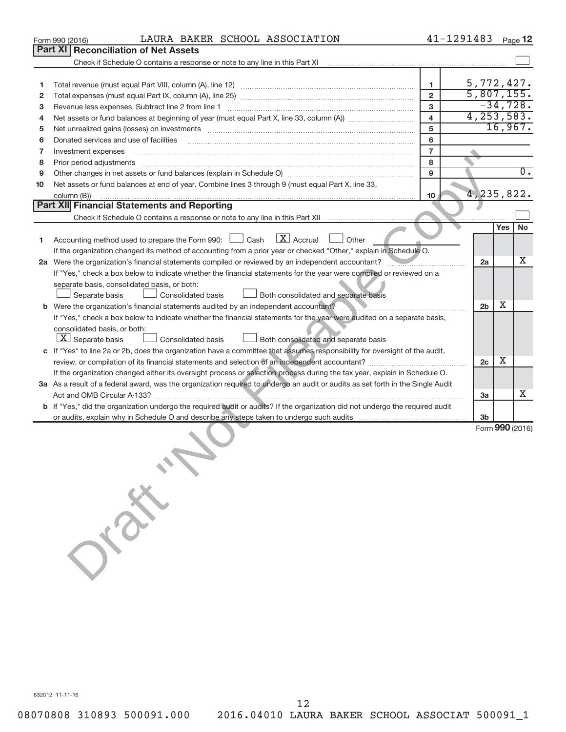|    | LAURA BAKER SCHOOL ASSOCIATION<br>Form 990 (2016)                                                                                                                                                                              |                         | 41-1291483               |     | Page 12          |
|----|--------------------------------------------------------------------------------------------------------------------------------------------------------------------------------------------------------------------------------|-------------------------|--------------------------|-----|------------------|
|    | Part XI<br><b>Reconciliation of Net Assets</b>                                                                                                                                                                                 |                         |                          |     |                  |
|    | Check if Schedule O contains a response or note to any line in this Part XI                                                                                                                                                    |                         |                          |     |                  |
|    |                                                                                                                                                                                                                                |                         |                          |     |                  |
| 1  |                                                                                                                                                                                                                                | 1                       | 5,772,427.               |     |                  |
| 2  |                                                                                                                                                                                                                                | $\overline{2}$          | $\overline{5,807,155}$ . |     |                  |
| з  | Revenue less expenses. Subtract line 2 from line 1                                                                                                                                                                             | 3                       |                          |     | $-34,728.$       |
| 4  |                                                                                                                                                                                                                                | $\overline{\mathbf{4}}$ | 4, 253, 583.             |     |                  |
| 5  | Net unrealized gains (losses) on investments [11] matter in the content of the state of the state of the state of the state of the state of the state of the state of the state of the state of the state of the state of the  | 5                       |                          |     | 16,967.          |
| 6  | Donated services and use of facilities                                                                                                                                                                                         | 6                       |                          |     |                  |
| 7  | Investment expenses                                                                                                                                                                                                            | $\overline{7}$          |                          |     |                  |
| 8  | Prior period adjustments [111] All and the contract of the contract of the contract of the contract of the contract of the contract of the contract of the contract of the contract of the contract of the contract of the con | 8                       |                          |     |                  |
| 9  |                                                                                                                                                                                                                                | 9                       |                          |     | $\overline{0}$ . |
| 10 | Net assets or fund balances at end of year. Combine lines 3 through 9 (must equal Part X, line 33,<br>column (B))                                                                                                              | 10                      | 4, 235, 822.             |     |                  |
|    | Part XII Financial Statements and Reporting                                                                                                                                                                                    |                         |                          |     |                  |
|    |                                                                                                                                                                                                                                |                         |                          |     |                  |
|    |                                                                                                                                                                                                                                |                         |                          | Yes | <b>No</b>        |
| 1  | $\lfloor x \rfloor$ Accrual<br>Accounting method used to prepare the Form 990: [130] Cash<br>Other                                                                                                                             |                         |                          |     |                  |
|    | If the organization changed its method of accounting from a prior year or checked "Other," explain in Schedule O.                                                                                                              |                         |                          |     |                  |
|    | 2a Were the organization's financial statements compiled or reviewed by an independent accountant?                                                                                                                             |                         | 2a                       |     | Χ                |
|    | If "Yes," check a box below to indicate whether the financial statements for the year were compiled or reviewed on a                                                                                                           |                         |                          |     |                  |
|    | separate basis, consolidated basis, or both:                                                                                                                                                                                   |                         |                          |     |                  |
|    | Consolidated basis<br>Separate basis<br>Both consolidated and separate basis                                                                                                                                                   |                         |                          | х   |                  |
|    | <b>b</b> Were the organization's financial statements audited by an independent accountant?                                                                                                                                    |                         | 2 <sub>b</sub>           |     |                  |
|    | If "Yes," check a box below to indicate whether the financial statements for the year were audited on a separate basis,                                                                                                        |                         |                          |     |                  |
|    | consolidated basis, or both:<br>$\lfloor x \rfloor$ Separate basis                                                                                                                                                             |                         |                          |     |                  |
|    | <b>Consolidated basis</b><br>Both consolidated and separate basis                                                                                                                                                              |                         |                          |     |                  |
|    | c If "Yes" to line 2a or 2b, does the organization have a committee that assumes responsibility for oversight of the audit,                                                                                                    |                         | 2c                       | x   |                  |
|    | If the organization changed either its oversight process or selection process during the tax year, explain in Schedule O.                                                                                                      |                         |                          |     |                  |
|    | 3a As a result of a federal award, was the organization required to undergo an audit or audits as set forth in the Single Audit                                                                                                |                         |                          |     |                  |
|    |                                                                                                                                                                                                                                |                         | За                       |     | x                |
|    | b If "Yes," did the organization undergo the required audit or audits? If the organization did not undergo the required audit                                                                                                  |                         |                          |     |                  |
|    |                                                                                                                                                                                                                                |                         | 3 <sub>b</sub>           |     |                  |
|    |                                                                                                                                                                                                                                |                         |                          |     | Form 990 (2016)  |
|    |                                                                                                                                                                                                                                |                         |                          |     |                  |
|    |                                                                                                                                                                                                                                |                         |                          |     |                  |
|    |                                                                                                                                                                                                                                |                         |                          |     |                  |
|    |                                                                                                                                                                                                                                |                         |                          |     |                  |
|    |                                                                                                                                                                                                                                |                         |                          |     |                  |
|    |                                                                                                                                                                                                                                |                         |                          |     |                  |
|    |                                                                                                                                                                                                                                |                         |                          |     |                  |
|    |                                                                                                                                                                                                                                |                         |                          |     |                  |
|    | J. P.R.                                                                                                                                                                                                                        |                         |                          |     |                  |
|    |                                                                                                                                                                                                                                |                         |                          |     |                  |
|    |                                                                                                                                                                                                                                |                         |                          |     |                  |
|    |                                                                                                                                                                                                                                |                         |                          |     |                  |
|    |                                                                                                                                                                                                                                |                         |                          |     |                  |
|    |                                                                                                                                                                                                                                |                         |                          |     |                  |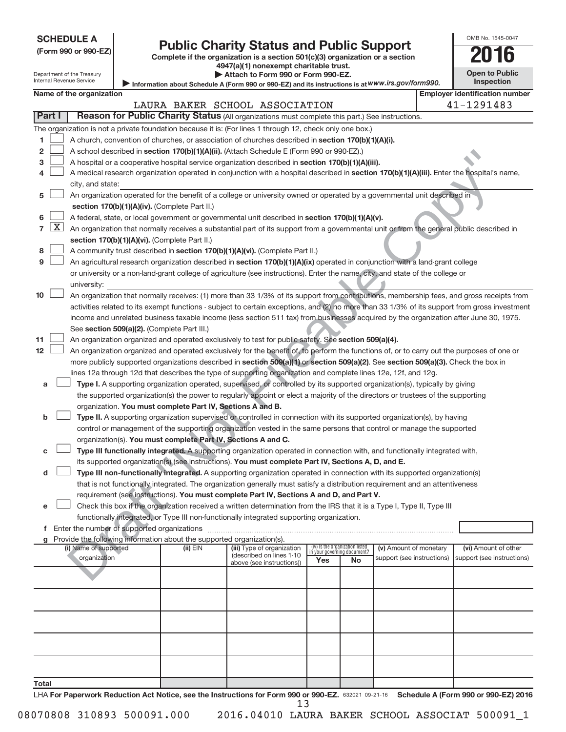Department of the Treasury Internal Revenue Service

| (Form 990 or 990-EZ |  |  |  |  |
|---------------------|--|--|--|--|
|---------------------|--|--|--|--|

# Form 990 or 990-EZ) **Public Charity Status and Public Support**<br>
Complete if the organization is a section 501(c)(3) organization or a section<br> **2016**

**4947(a)(1) nonexempt charitable trust. | Attach to Form 990 or Form 990-EZ.** 

|                       | __         |  |
|-----------------------|------------|--|
| <b>Open to Public</b> |            |  |
|                       | Inspection |  |

OMB No. 1545-0047

| Information about Schedule A (Form 990 or 990-EZ) and its instructions is at WWW.irs.gov/form990. |  |
|---------------------------------------------------------------------------------------------------|--|
|                                                                                                   |  |

| 41-1291483<br>LAURA BAKER SCHOOL ASSOCIATION<br>Part I<br>Reason for Public Charity Status (All organizations must complete this part.) See instructions.<br>The organization is not a private foundation because it is: (For lines 1 through 12, check only one box.)<br>A church, convention of churches, or association of churches described in section 170(b)(1)(A)(i).<br>1<br>2<br>A school described in section 170(b)(1)(A)(ii). (Attach Schedule E (Form 990 or 990-EZ).)<br>A hospital or a cooperative hospital service organization described in section 170(b)(1)(A)(iii).<br>3<br>A medical research organization operated in conjunction with a hospital described in section 170(b)(1)(A)(iii). Enter the hospital's name,<br>4<br>city, and state:<br>An organization operated for the benefit of a college or university owned or operated by a governmental unit described in<br>5<br>section 170(b)(1)(A)(iv). (Complete Part II.)<br>A federal, state, or local government or governmental unit described in section 170(b)(1)(A)(v).<br>6<br>$\lfloor x \rfloor$<br>7<br>An organization that normally receives a substantial part of its support from a governmental unit or from the general public described in<br>section 170(b)(1)(A)(vi). (Complete Part II.)<br>A community trust described in section 170(b)(1)(A)(vi). (Complete Part II.)<br>8<br>9<br>An agricultural research organization described in section 170(b)(1)(A)(ix) operated in conjunction with a land-grant college<br>or university or a non-land-grant college of agriculture (see instructions). Enter the name, city, and state of the college or<br>university:<br>An organization that normally receives: (1) more than 33 1/3% of its support from contributions, membership fees, and gross receipts from<br>10<br>activities related to its exempt functions - subject to certain exceptions, and (2) no more than 33 1/3% of its support from gross investment<br>income and unrelated business taxable income (less section 511 tax) from businesses acquired by the organization after June 30, 1975.<br>See section 509(a)(2). (Complete Part III.)<br>11<br>An organization organized and operated exclusively to test for public safety. See section 509(a)(4).<br>12<br>An organization organized and operated exclusively for the benefit of, to perform the functions of, or to carry out the purposes of one or<br>more publicly supported organizations described in section 509(a)(1) or section 509(a)(2). See section 509(a)(3). Check the box in<br>lines 12a through 12d that describes the type of supporting organization and complete lines 12e, 12f, and 12g.<br>Type I. A supporting organization operated, supervised, or controlled by its supported organization(s), typically by giving<br>a<br>the supported organization(s) the power to regularly appoint or elect a majority of the directors or trustees of the supporting<br>organization. You must complete Part IV, Sections A and B.<br>Type II. A supporting organization supervised or controlled in connection with its supported organization(s), by having<br>b<br>control or management of the supporting organization vested in the same persons that control or manage the supported<br>organization(s). You must complete Part IV, Sections A and C.<br>Type III functionally integrated. A supporting organization operated in connection with, and functionally integrated with,<br>its supported organization(s) (see instructions). You must complete Part IV, Sections A, D, and E.<br>Type III non-functionally integrated. A supporting organization operated in connection with its supported organization(s)<br>d<br>that is not functionally integrated. The organization generally must satisfy a distribution requirement and an attentiveness<br>requirement (see instructions). You must complete Part IV, Sections A and D, and Part V.<br>Check this box if the organization received a written determination from the IRS that it is a Type I, Type II, Type III<br>functionally integrated, or Type III non-functionally integrated supporting organization.<br>f Enter the number of supported organizations<br>Provide the following information about the supported organization(s).<br>(iv) Is the organization listed<br>in your governing document?<br>(i) Name of supported<br>(ii) EIN<br>(v) Amount of monetary<br>(vi) Amount of other<br>(iii) Type of organization |  |                                                                        | Name of the organization |  |  |  |  |                            |  | <b>Employer identification number</b> |  |
|--------------------------------------------------------------------------------------------------------------------------------------------------------------------------------------------------------------------------------------------------------------------------------------------------------------------------------------------------------------------------------------------------------------------------------------------------------------------------------------------------------------------------------------------------------------------------------------------------------------------------------------------------------------------------------------------------------------------------------------------------------------------------------------------------------------------------------------------------------------------------------------------------------------------------------------------------------------------------------------------------------------------------------------------------------------------------------------------------------------------------------------------------------------------------------------------------------------------------------------------------------------------------------------------------------------------------------------------------------------------------------------------------------------------------------------------------------------------------------------------------------------------------------------------------------------------------------------------------------------------------------------------------------------------------------------------------------------------------------------------------------------------------------------------------------------------------------------------------------------------------------------------------------------------------------------------------------------------------------------------------------------------------------------------------------------------------------------------------------------------------------------------------------------------------------------------------------------------------------------------------------------------------------------------------------------------------------------------------------------------------------------------------------------------------------------------------------------------------------------------------------------------------------------------------------------------------------------------------------------------------------------------------------------------------------------------------------------------------------------------------------------------------------------------------------------------------------------------------------------------------------------------------------------------------------------------------------------------------------------------------------------------------------------------------------------------------------------------------------------------------------------------------------------------------------------------------------------------------------------------------------------------------------------------------------------------------------------------------------------------------------------------------------------------------------------------------------------------------------------------------------------------------------------------------------------------------------------------------------------------------------------------------------------------------------------------------------------------------------------------------------------------------------------------------------------------------------------------------------------------------------------------------------------------------------------------------------------------------------------------------------------------------------------------------------------------------------------------------------------------------------------------------------------------------------------------------------------------------------------------------------------------------------------------------------------------------------------------------------------------------------------------------------------------------------------------------------------------------------------------------------|--|------------------------------------------------------------------------|--------------------------|--|--|--|--|----------------------------|--|---------------------------------------|--|
|                                                                                                                                                                                                                                                                                                                                                                                                                                                                                                                                                                                                                                                                                                                                                                                                                                                                                                                                                                                                                                                                                                                                                                                                                                                                                                                                                                                                                                                                                                                                                                                                                                                                                                                                                                                                                                                                                                                                                                                                                                                                                                                                                                                                                                                                                                                                                                                                                                                                                                                                                                                                                                                                                                                                                                                                                                                                                                                                                                                                                                                                                                                                                                                                                                                                                                                                                                                                                                                                                                                                                                                                                                                                                                                                                                                                                                                                                                                                                                                                                                                                                                                                                                                                                                                                                                                                                                                                                                                                                                        |  |                                                                        |                          |  |  |  |  |                            |  |                                       |  |
|                                                                                                                                                                                                                                                                                                                                                                                                                                                                                                                                                                                                                                                                                                                                                                                                                                                                                                                                                                                                                                                                                                                                                                                                                                                                                                                                                                                                                                                                                                                                                                                                                                                                                                                                                                                                                                                                                                                                                                                                                                                                                                                                                                                                                                                                                                                                                                                                                                                                                                                                                                                                                                                                                                                                                                                                                                                                                                                                                                                                                                                                                                                                                                                                                                                                                                                                                                                                                                                                                                                                                                                                                                                                                                                                                                                                                                                                                                                                                                                                                                                                                                                                                                                                                                                                                                                                                                                                                                                                                                        |  |                                                                        |                          |  |  |  |  |                            |  |                                       |  |
|                                                                                                                                                                                                                                                                                                                                                                                                                                                                                                                                                                                                                                                                                                                                                                                                                                                                                                                                                                                                                                                                                                                                                                                                                                                                                                                                                                                                                                                                                                                                                                                                                                                                                                                                                                                                                                                                                                                                                                                                                                                                                                                                                                                                                                                                                                                                                                                                                                                                                                                                                                                                                                                                                                                                                                                                                                                                                                                                                                                                                                                                                                                                                                                                                                                                                                                                                                                                                                                                                                                                                                                                                                                                                                                                                                                                                                                                                                                                                                                                                                                                                                                                                                                                                                                                                                                                                                                                                                                                                                        |  |                                                                        |                          |  |  |  |  |                            |  |                                       |  |
|                                                                                                                                                                                                                                                                                                                                                                                                                                                                                                                                                                                                                                                                                                                                                                                                                                                                                                                                                                                                                                                                                                                                                                                                                                                                                                                                                                                                                                                                                                                                                                                                                                                                                                                                                                                                                                                                                                                                                                                                                                                                                                                                                                                                                                                                                                                                                                                                                                                                                                                                                                                                                                                                                                                                                                                                                                                                                                                                                                                                                                                                                                                                                                                                                                                                                                                                                                                                                                                                                                                                                                                                                                                                                                                                                                                                                                                                                                                                                                                                                                                                                                                                                                                                                                                                                                                                                                                                                                                                                                        |  |                                                                        |                          |  |  |  |  |                            |  |                                       |  |
|                                                                                                                                                                                                                                                                                                                                                                                                                                                                                                                                                                                                                                                                                                                                                                                                                                                                                                                                                                                                                                                                                                                                                                                                                                                                                                                                                                                                                                                                                                                                                                                                                                                                                                                                                                                                                                                                                                                                                                                                                                                                                                                                                                                                                                                                                                                                                                                                                                                                                                                                                                                                                                                                                                                                                                                                                                                                                                                                                                                                                                                                                                                                                                                                                                                                                                                                                                                                                                                                                                                                                                                                                                                                                                                                                                                                                                                                                                                                                                                                                                                                                                                                                                                                                                                                                                                                                                                                                                                                                                        |  |                                                                        |                          |  |  |  |  |                            |  |                                       |  |
|                                                                                                                                                                                                                                                                                                                                                                                                                                                                                                                                                                                                                                                                                                                                                                                                                                                                                                                                                                                                                                                                                                                                                                                                                                                                                                                                                                                                                                                                                                                                                                                                                                                                                                                                                                                                                                                                                                                                                                                                                                                                                                                                                                                                                                                                                                                                                                                                                                                                                                                                                                                                                                                                                                                                                                                                                                                                                                                                                                                                                                                                                                                                                                                                                                                                                                                                                                                                                                                                                                                                                                                                                                                                                                                                                                                                                                                                                                                                                                                                                                                                                                                                                                                                                                                                                                                                                                                                                                                                                                        |  |                                                                        |                          |  |  |  |  |                            |  |                                       |  |
|                                                                                                                                                                                                                                                                                                                                                                                                                                                                                                                                                                                                                                                                                                                                                                                                                                                                                                                                                                                                                                                                                                                                                                                                                                                                                                                                                                                                                                                                                                                                                                                                                                                                                                                                                                                                                                                                                                                                                                                                                                                                                                                                                                                                                                                                                                                                                                                                                                                                                                                                                                                                                                                                                                                                                                                                                                                                                                                                                                                                                                                                                                                                                                                                                                                                                                                                                                                                                                                                                                                                                                                                                                                                                                                                                                                                                                                                                                                                                                                                                                                                                                                                                                                                                                                                                                                                                                                                                                                                                                        |  |                                                                        |                          |  |  |  |  |                            |  |                                       |  |
|                                                                                                                                                                                                                                                                                                                                                                                                                                                                                                                                                                                                                                                                                                                                                                                                                                                                                                                                                                                                                                                                                                                                                                                                                                                                                                                                                                                                                                                                                                                                                                                                                                                                                                                                                                                                                                                                                                                                                                                                                                                                                                                                                                                                                                                                                                                                                                                                                                                                                                                                                                                                                                                                                                                                                                                                                                                                                                                                                                                                                                                                                                                                                                                                                                                                                                                                                                                                                                                                                                                                                                                                                                                                                                                                                                                                                                                                                                                                                                                                                                                                                                                                                                                                                                                                                                                                                                                                                                                                                                        |  |                                                                        |                          |  |  |  |  |                            |  |                                       |  |
|                                                                                                                                                                                                                                                                                                                                                                                                                                                                                                                                                                                                                                                                                                                                                                                                                                                                                                                                                                                                                                                                                                                                                                                                                                                                                                                                                                                                                                                                                                                                                                                                                                                                                                                                                                                                                                                                                                                                                                                                                                                                                                                                                                                                                                                                                                                                                                                                                                                                                                                                                                                                                                                                                                                                                                                                                                                                                                                                                                                                                                                                                                                                                                                                                                                                                                                                                                                                                                                                                                                                                                                                                                                                                                                                                                                                                                                                                                                                                                                                                                                                                                                                                                                                                                                                                                                                                                                                                                                                                                        |  |                                                                        |                          |  |  |  |  |                            |  |                                       |  |
|                                                                                                                                                                                                                                                                                                                                                                                                                                                                                                                                                                                                                                                                                                                                                                                                                                                                                                                                                                                                                                                                                                                                                                                                                                                                                                                                                                                                                                                                                                                                                                                                                                                                                                                                                                                                                                                                                                                                                                                                                                                                                                                                                                                                                                                                                                                                                                                                                                                                                                                                                                                                                                                                                                                                                                                                                                                                                                                                                                                                                                                                                                                                                                                                                                                                                                                                                                                                                                                                                                                                                                                                                                                                                                                                                                                                                                                                                                                                                                                                                                                                                                                                                                                                                                                                                                                                                                                                                                                                                                        |  |                                                                        |                          |  |  |  |  |                            |  |                                       |  |
|                                                                                                                                                                                                                                                                                                                                                                                                                                                                                                                                                                                                                                                                                                                                                                                                                                                                                                                                                                                                                                                                                                                                                                                                                                                                                                                                                                                                                                                                                                                                                                                                                                                                                                                                                                                                                                                                                                                                                                                                                                                                                                                                                                                                                                                                                                                                                                                                                                                                                                                                                                                                                                                                                                                                                                                                                                                                                                                                                                                                                                                                                                                                                                                                                                                                                                                                                                                                                                                                                                                                                                                                                                                                                                                                                                                                                                                                                                                                                                                                                                                                                                                                                                                                                                                                                                                                                                                                                                                                                                        |  |                                                                        |                          |  |  |  |  |                            |  |                                       |  |
|                                                                                                                                                                                                                                                                                                                                                                                                                                                                                                                                                                                                                                                                                                                                                                                                                                                                                                                                                                                                                                                                                                                                                                                                                                                                                                                                                                                                                                                                                                                                                                                                                                                                                                                                                                                                                                                                                                                                                                                                                                                                                                                                                                                                                                                                                                                                                                                                                                                                                                                                                                                                                                                                                                                                                                                                                                                                                                                                                                                                                                                                                                                                                                                                                                                                                                                                                                                                                                                                                                                                                                                                                                                                                                                                                                                                                                                                                                                                                                                                                                                                                                                                                                                                                                                                                                                                                                                                                                                                                                        |  |                                                                        |                          |  |  |  |  |                            |  |                                       |  |
|                                                                                                                                                                                                                                                                                                                                                                                                                                                                                                                                                                                                                                                                                                                                                                                                                                                                                                                                                                                                                                                                                                                                                                                                                                                                                                                                                                                                                                                                                                                                                                                                                                                                                                                                                                                                                                                                                                                                                                                                                                                                                                                                                                                                                                                                                                                                                                                                                                                                                                                                                                                                                                                                                                                                                                                                                                                                                                                                                                                                                                                                                                                                                                                                                                                                                                                                                                                                                                                                                                                                                                                                                                                                                                                                                                                                                                                                                                                                                                                                                                                                                                                                                                                                                                                                                                                                                                                                                                                                                                        |  |                                                                        |                          |  |  |  |  |                            |  |                                       |  |
|                                                                                                                                                                                                                                                                                                                                                                                                                                                                                                                                                                                                                                                                                                                                                                                                                                                                                                                                                                                                                                                                                                                                                                                                                                                                                                                                                                                                                                                                                                                                                                                                                                                                                                                                                                                                                                                                                                                                                                                                                                                                                                                                                                                                                                                                                                                                                                                                                                                                                                                                                                                                                                                                                                                                                                                                                                                                                                                                                                                                                                                                                                                                                                                                                                                                                                                                                                                                                                                                                                                                                                                                                                                                                                                                                                                                                                                                                                                                                                                                                                                                                                                                                                                                                                                                                                                                                                                                                                                                                                        |  |                                                                        |                          |  |  |  |  |                            |  |                                       |  |
|                                                                                                                                                                                                                                                                                                                                                                                                                                                                                                                                                                                                                                                                                                                                                                                                                                                                                                                                                                                                                                                                                                                                                                                                                                                                                                                                                                                                                                                                                                                                                                                                                                                                                                                                                                                                                                                                                                                                                                                                                                                                                                                                                                                                                                                                                                                                                                                                                                                                                                                                                                                                                                                                                                                                                                                                                                                                                                                                                                                                                                                                                                                                                                                                                                                                                                                                                                                                                                                                                                                                                                                                                                                                                                                                                                                                                                                                                                                                                                                                                                                                                                                                                                                                                                                                                                                                                                                                                                                                                                        |  |                                                                        |                          |  |  |  |  |                            |  |                                       |  |
|                                                                                                                                                                                                                                                                                                                                                                                                                                                                                                                                                                                                                                                                                                                                                                                                                                                                                                                                                                                                                                                                                                                                                                                                                                                                                                                                                                                                                                                                                                                                                                                                                                                                                                                                                                                                                                                                                                                                                                                                                                                                                                                                                                                                                                                                                                                                                                                                                                                                                                                                                                                                                                                                                                                                                                                                                                                                                                                                                                                                                                                                                                                                                                                                                                                                                                                                                                                                                                                                                                                                                                                                                                                                                                                                                                                                                                                                                                                                                                                                                                                                                                                                                                                                                                                                                                                                                                                                                                                                                                        |  |                                                                        |                          |  |  |  |  |                            |  |                                       |  |
|                                                                                                                                                                                                                                                                                                                                                                                                                                                                                                                                                                                                                                                                                                                                                                                                                                                                                                                                                                                                                                                                                                                                                                                                                                                                                                                                                                                                                                                                                                                                                                                                                                                                                                                                                                                                                                                                                                                                                                                                                                                                                                                                                                                                                                                                                                                                                                                                                                                                                                                                                                                                                                                                                                                                                                                                                                                                                                                                                                                                                                                                                                                                                                                                                                                                                                                                                                                                                                                                                                                                                                                                                                                                                                                                                                                                                                                                                                                                                                                                                                                                                                                                                                                                                                                                                                                                                                                                                                                                                                        |  |                                                                        |                          |  |  |  |  |                            |  |                                       |  |
|                                                                                                                                                                                                                                                                                                                                                                                                                                                                                                                                                                                                                                                                                                                                                                                                                                                                                                                                                                                                                                                                                                                                                                                                                                                                                                                                                                                                                                                                                                                                                                                                                                                                                                                                                                                                                                                                                                                                                                                                                                                                                                                                                                                                                                                                                                                                                                                                                                                                                                                                                                                                                                                                                                                                                                                                                                                                                                                                                                                                                                                                                                                                                                                                                                                                                                                                                                                                                                                                                                                                                                                                                                                                                                                                                                                                                                                                                                                                                                                                                                                                                                                                                                                                                                                                                                                                                                                                                                                                                                        |  |                                                                        |                          |  |  |  |  |                            |  |                                       |  |
|                                                                                                                                                                                                                                                                                                                                                                                                                                                                                                                                                                                                                                                                                                                                                                                                                                                                                                                                                                                                                                                                                                                                                                                                                                                                                                                                                                                                                                                                                                                                                                                                                                                                                                                                                                                                                                                                                                                                                                                                                                                                                                                                                                                                                                                                                                                                                                                                                                                                                                                                                                                                                                                                                                                                                                                                                                                                                                                                                                                                                                                                                                                                                                                                                                                                                                                                                                                                                                                                                                                                                                                                                                                                                                                                                                                                                                                                                                                                                                                                                                                                                                                                                                                                                                                                                                                                                                                                                                                                                                        |  |                                                                        |                          |  |  |  |  |                            |  |                                       |  |
|                                                                                                                                                                                                                                                                                                                                                                                                                                                                                                                                                                                                                                                                                                                                                                                                                                                                                                                                                                                                                                                                                                                                                                                                                                                                                                                                                                                                                                                                                                                                                                                                                                                                                                                                                                                                                                                                                                                                                                                                                                                                                                                                                                                                                                                                                                                                                                                                                                                                                                                                                                                                                                                                                                                                                                                                                                                                                                                                                                                                                                                                                                                                                                                                                                                                                                                                                                                                                                                                                                                                                                                                                                                                                                                                                                                                                                                                                                                                                                                                                                                                                                                                                                                                                                                                                                                                                                                                                                                                                                        |  |                                                                        |                          |  |  |  |  |                            |  |                                       |  |
|                                                                                                                                                                                                                                                                                                                                                                                                                                                                                                                                                                                                                                                                                                                                                                                                                                                                                                                                                                                                                                                                                                                                                                                                                                                                                                                                                                                                                                                                                                                                                                                                                                                                                                                                                                                                                                                                                                                                                                                                                                                                                                                                                                                                                                                                                                                                                                                                                                                                                                                                                                                                                                                                                                                                                                                                                                                                                                                                                                                                                                                                                                                                                                                                                                                                                                                                                                                                                                                                                                                                                                                                                                                                                                                                                                                                                                                                                                                                                                                                                                                                                                                                                                                                                                                                                                                                                                                                                                                                                                        |  |                                                                        |                          |  |  |  |  |                            |  |                                       |  |
|                                                                                                                                                                                                                                                                                                                                                                                                                                                                                                                                                                                                                                                                                                                                                                                                                                                                                                                                                                                                                                                                                                                                                                                                                                                                                                                                                                                                                                                                                                                                                                                                                                                                                                                                                                                                                                                                                                                                                                                                                                                                                                                                                                                                                                                                                                                                                                                                                                                                                                                                                                                                                                                                                                                                                                                                                                                                                                                                                                                                                                                                                                                                                                                                                                                                                                                                                                                                                                                                                                                                                                                                                                                                                                                                                                                                                                                                                                                                                                                                                                                                                                                                                                                                                                                                                                                                                                                                                                                                                                        |  |                                                                        |                          |  |  |  |  |                            |  |                                       |  |
|                                                                                                                                                                                                                                                                                                                                                                                                                                                                                                                                                                                                                                                                                                                                                                                                                                                                                                                                                                                                                                                                                                                                                                                                                                                                                                                                                                                                                                                                                                                                                                                                                                                                                                                                                                                                                                                                                                                                                                                                                                                                                                                                                                                                                                                                                                                                                                                                                                                                                                                                                                                                                                                                                                                                                                                                                                                                                                                                                                                                                                                                                                                                                                                                                                                                                                                                                                                                                                                                                                                                                                                                                                                                                                                                                                                                                                                                                                                                                                                                                                                                                                                                                                                                                                                                                                                                                                                                                                                                                                        |  |                                                                        |                          |  |  |  |  |                            |  |                                       |  |
|                                                                                                                                                                                                                                                                                                                                                                                                                                                                                                                                                                                                                                                                                                                                                                                                                                                                                                                                                                                                                                                                                                                                                                                                                                                                                                                                                                                                                                                                                                                                                                                                                                                                                                                                                                                                                                                                                                                                                                                                                                                                                                                                                                                                                                                                                                                                                                                                                                                                                                                                                                                                                                                                                                                                                                                                                                                                                                                                                                                                                                                                                                                                                                                                                                                                                                                                                                                                                                                                                                                                                                                                                                                                                                                                                                                                                                                                                                                                                                                                                                                                                                                                                                                                                                                                                                                                                                                                                                                                                                        |  |                                                                        |                          |  |  |  |  |                            |  |                                       |  |
|                                                                                                                                                                                                                                                                                                                                                                                                                                                                                                                                                                                                                                                                                                                                                                                                                                                                                                                                                                                                                                                                                                                                                                                                                                                                                                                                                                                                                                                                                                                                                                                                                                                                                                                                                                                                                                                                                                                                                                                                                                                                                                                                                                                                                                                                                                                                                                                                                                                                                                                                                                                                                                                                                                                                                                                                                                                                                                                                                                                                                                                                                                                                                                                                                                                                                                                                                                                                                                                                                                                                                                                                                                                                                                                                                                                                                                                                                                                                                                                                                                                                                                                                                                                                                                                                                                                                                                                                                                                                                                        |  |                                                                        |                          |  |  |  |  |                            |  |                                       |  |
|                                                                                                                                                                                                                                                                                                                                                                                                                                                                                                                                                                                                                                                                                                                                                                                                                                                                                                                                                                                                                                                                                                                                                                                                                                                                                                                                                                                                                                                                                                                                                                                                                                                                                                                                                                                                                                                                                                                                                                                                                                                                                                                                                                                                                                                                                                                                                                                                                                                                                                                                                                                                                                                                                                                                                                                                                                                                                                                                                                                                                                                                                                                                                                                                                                                                                                                                                                                                                                                                                                                                                                                                                                                                                                                                                                                                                                                                                                                                                                                                                                                                                                                                                                                                                                                                                                                                                                                                                                                                                                        |  |                                                                        |                          |  |  |  |  |                            |  |                                       |  |
|                                                                                                                                                                                                                                                                                                                                                                                                                                                                                                                                                                                                                                                                                                                                                                                                                                                                                                                                                                                                                                                                                                                                                                                                                                                                                                                                                                                                                                                                                                                                                                                                                                                                                                                                                                                                                                                                                                                                                                                                                                                                                                                                                                                                                                                                                                                                                                                                                                                                                                                                                                                                                                                                                                                                                                                                                                                                                                                                                                                                                                                                                                                                                                                                                                                                                                                                                                                                                                                                                                                                                                                                                                                                                                                                                                                                                                                                                                                                                                                                                                                                                                                                                                                                                                                                                                                                                                                                                                                                                                        |  |                                                                        |                          |  |  |  |  |                            |  |                                       |  |
|                                                                                                                                                                                                                                                                                                                                                                                                                                                                                                                                                                                                                                                                                                                                                                                                                                                                                                                                                                                                                                                                                                                                                                                                                                                                                                                                                                                                                                                                                                                                                                                                                                                                                                                                                                                                                                                                                                                                                                                                                                                                                                                                                                                                                                                                                                                                                                                                                                                                                                                                                                                                                                                                                                                                                                                                                                                                                                                                                                                                                                                                                                                                                                                                                                                                                                                                                                                                                                                                                                                                                                                                                                                                                                                                                                                                                                                                                                                                                                                                                                                                                                                                                                                                                                                                                                                                                                                                                                                                                                        |  |                                                                        |                          |  |  |  |  |                            |  |                                       |  |
|                                                                                                                                                                                                                                                                                                                                                                                                                                                                                                                                                                                                                                                                                                                                                                                                                                                                                                                                                                                                                                                                                                                                                                                                                                                                                                                                                                                                                                                                                                                                                                                                                                                                                                                                                                                                                                                                                                                                                                                                                                                                                                                                                                                                                                                                                                                                                                                                                                                                                                                                                                                                                                                                                                                                                                                                                                                                                                                                                                                                                                                                                                                                                                                                                                                                                                                                                                                                                                                                                                                                                                                                                                                                                                                                                                                                                                                                                                                                                                                                                                                                                                                                                                                                                                                                                                                                                                                                                                                                                                        |  |                                                                        |                          |  |  |  |  |                            |  |                                       |  |
|                                                                                                                                                                                                                                                                                                                                                                                                                                                                                                                                                                                                                                                                                                                                                                                                                                                                                                                                                                                                                                                                                                                                                                                                                                                                                                                                                                                                                                                                                                                                                                                                                                                                                                                                                                                                                                                                                                                                                                                                                                                                                                                                                                                                                                                                                                                                                                                                                                                                                                                                                                                                                                                                                                                                                                                                                                                                                                                                                                                                                                                                                                                                                                                                                                                                                                                                                                                                                                                                                                                                                                                                                                                                                                                                                                                                                                                                                                                                                                                                                                                                                                                                                                                                                                                                                                                                                                                                                                                                                                        |  |                                                                        |                          |  |  |  |  |                            |  |                                       |  |
|                                                                                                                                                                                                                                                                                                                                                                                                                                                                                                                                                                                                                                                                                                                                                                                                                                                                                                                                                                                                                                                                                                                                                                                                                                                                                                                                                                                                                                                                                                                                                                                                                                                                                                                                                                                                                                                                                                                                                                                                                                                                                                                                                                                                                                                                                                                                                                                                                                                                                                                                                                                                                                                                                                                                                                                                                                                                                                                                                                                                                                                                                                                                                                                                                                                                                                                                                                                                                                                                                                                                                                                                                                                                                                                                                                                                                                                                                                                                                                                                                                                                                                                                                                                                                                                                                                                                                                                                                                                                                                        |  |                                                                        |                          |  |  |  |  |                            |  |                                       |  |
|                                                                                                                                                                                                                                                                                                                                                                                                                                                                                                                                                                                                                                                                                                                                                                                                                                                                                                                                                                                                                                                                                                                                                                                                                                                                                                                                                                                                                                                                                                                                                                                                                                                                                                                                                                                                                                                                                                                                                                                                                                                                                                                                                                                                                                                                                                                                                                                                                                                                                                                                                                                                                                                                                                                                                                                                                                                                                                                                                                                                                                                                                                                                                                                                                                                                                                                                                                                                                                                                                                                                                                                                                                                                                                                                                                                                                                                                                                                                                                                                                                                                                                                                                                                                                                                                                                                                                                                                                                                                                                        |  |                                                                        |                          |  |  |  |  |                            |  |                                       |  |
|                                                                                                                                                                                                                                                                                                                                                                                                                                                                                                                                                                                                                                                                                                                                                                                                                                                                                                                                                                                                                                                                                                                                                                                                                                                                                                                                                                                                                                                                                                                                                                                                                                                                                                                                                                                                                                                                                                                                                                                                                                                                                                                                                                                                                                                                                                                                                                                                                                                                                                                                                                                                                                                                                                                                                                                                                                                                                                                                                                                                                                                                                                                                                                                                                                                                                                                                                                                                                                                                                                                                                                                                                                                                                                                                                                                                                                                                                                                                                                                                                                                                                                                                                                                                                                                                                                                                                                                                                                                                                                        |  |                                                                        |                          |  |  |  |  |                            |  |                                       |  |
|                                                                                                                                                                                                                                                                                                                                                                                                                                                                                                                                                                                                                                                                                                                                                                                                                                                                                                                                                                                                                                                                                                                                                                                                                                                                                                                                                                                                                                                                                                                                                                                                                                                                                                                                                                                                                                                                                                                                                                                                                                                                                                                                                                                                                                                                                                                                                                                                                                                                                                                                                                                                                                                                                                                                                                                                                                                                                                                                                                                                                                                                                                                                                                                                                                                                                                                                                                                                                                                                                                                                                                                                                                                                                                                                                                                                                                                                                                                                                                                                                                                                                                                                                                                                                                                                                                                                                                                                                                                                                                        |  |                                                                        |                          |  |  |  |  |                            |  |                                       |  |
|                                                                                                                                                                                                                                                                                                                                                                                                                                                                                                                                                                                                                                                                                                                                                                                                                                                                                                                                                                                                                                                                                                                                                                                                                                                                                                                                                                                                                                                                                                                                                                                                                                                                                                                                                                                                                                                                                                                                                                                                                                                                                                                                                                                                                                                                                                                                                                                                                                                                                                                                                                                                                                                                                                                                                                                                                                                                                                                                                                                                                                                                                                                                                                                                                                                                                                                                                                                                                                                                                                                                                                                                                                                                                                                                                                                                                                                                                                                                                                                                                                                                                                                                                                                                                                                                                                                                                                                                                                                                                                        |  |                                                                        |                          |  |  |  |  |                            |  |                                       |  |
|                                                                                                                                                                                                                                                                                                                                                                                                                                                                                                                                                                                                                                                                                                                                                                                                                                                                                                                                                                                                                                                                                                                                                                                                                                                                                                                                                                                                                                                                                                                                                                                                                                                                                                                                                                                                                                                                                                                                                                                                                                                                                                                                                                                                                                                                                                                                                                                                                                                                                                                                                                                                                                                                                                                                                                                                                                                                                                                                                                                                                                                                                                                                                                                                                                                                                                                                                                                                                                                                                                                                                                                                                                                                                                                                                                                                                                                                                                                                                                                                                                                                                                                                                                                                                                                                                                                                                                                                                                                                                                        |  |                                                                        |                          |  |  |  |  |                            |  |                                       |  |
|                                                                                                                                                                                                                                                                                                                                                                                                                                                                                                                                                                                                                                                                                                                                                                                                                                                                                                                                                                                                                                                                                                                                                                                                                                                                                                                                                                                                                                                                                                                                                                                                                                                                                                                                                                                                                                                                                                                                                                                                                                                                                                                                                                                                                                                                                                                                                                                                                                                                                                                                                                                                                                                                                                                                                                                                                                                                                                                                                                                                                                                                                                                                                                                                                                                                                                                                                                                                                                                                                                                                                                                                                                                                                                                                                                                                                                                                                                                                                                                                                                                                                                                                                                                                                                                                                                                                                                                                                                                                                                        |  |                                                                        |                          |  |  |  |  |                            |  |                                       |  |
|                                                                                                                                                                                                                                                                                                                                                                                                                                                                                                                                                                                                                                                                                                                                                                                                                                                                                                                                                                                                                                                                                                                                                                                                                                                                                                                                                                                                                                                                                                                                                                                                                                                                                                                                                                                                                                                                                                                                                                                                                                                                                                                                                                                                                                                                                                                                                                                                                                                                                                                                                                                                                                                                                                                                                                                                                                                                                                                                                                                                                                                                                                                                                                                                                                                                                                                                                                                                                                                                                                                                                                                                                                                                                                                                                                                                                                                                                                                                                                                                                                                                                                                                                                                                                                                                                                                                                                                                                                                                                                        |  |                                                                        |                          |  |  |  |  |                            |  |                                       |  |
|                                                                                                                                                                                                                                                                                                                                                                                                                                                                                                                                                                                                                                                                                                                                                                                                                                                                                                                                                                                                                                                                                                                                                                                                                                                                                                                                                                                                                                                                                                                                                                                                                                                                                                                                                                                                                                                                                                                                                                                                                                                                                                                                                                                                                                                                                                                                                                                                                                                                                                                                                                                                                                                                                                                                                                                                                                                                                                                                                                                                                                                                                                                                                                                                                                                                                                                                                                                                                                                                                                                                                                                                                                                                                                                                                                                                                                                                                                                                                                                                                                                                                                                                                                                                                                                                                                                                                                                                                                                                                                        |  |                                                                        |                          |  |  |  |  |                            |  |                                       |  |
|                                                                                                                                                                                                                                                                                                                                                                                                                                                                                                                                                                                                                                                                                                                                                                                                                                                                                                                                                                                                                                                                                                                                                                                                                                                                                                                                                                                                                                                                                                                                                                                                                                                                                                                                                                                                                                                                                                                                                                                                                                                                                                                                                                                                                                                                                                                                                                                                                                                                                                                                                                                                                                                                                                                                                                                                                                                                                                                                                                                                                                                                                                                                                                                                                                                                                                                                                                                                                                                                                                                                                                                                                                                                                                                                                                                                                                                                                                                                                                                                                                                                                                                                                                                                                                                                                                                                                                                                                                                                                                        |  |                                                                        |                          |  |  |  |  |                            |  |                                       |  |
|                                                                                                                                                                                                                                                                                                                                                                                                                                                                                                                                                                                                                                                                                                                                                                                                                                                                                                                                                                                                                                                                                                                                                                                                                                                                                                                                                                                                                                                                                                                                                                                                                                                                                                                                                                                                                                                                                                                                                                                                                                                                                                                                                                                                                                                                                                                                                                                                                                                                                                                                                                                                                                                                                                                                                                                                                                                                                                                                                                                                                                                                                                                                                                                                                                                                                                                                                                                                                                                                                                                                                                                                                                                                                                                                                                                                                                                                                                                                                                                                                                                                                                                                                                                                                                                                                                                                                                                                                                                                                                        |  |                                                                        |                          |  |  |  |  |                            |  |                                       |  |
| Yes<br>No<br>above (see instructions))                                                                                                                                                                                                                                                                                                                                                                                                                                                                                                                                                                                                                                                                                                                                                                                                                                                                                                                                                                                                                                                                                                                                                                                                                                                                                                                                                                                                                                                                                                                                                                                                                                                                                                                                                                                                                                                                                                                                                                                                                                                                                                                                                                                                                                                                                                                                                                                                                                                                                                                                                                                                                                                                                                                                                                                                                                                                                                                                                                                                                                                                                                                                                                                                                                                                                                                                                                                                                                                                                                                                                                                                                                                                                                                                                                                                                                                                                                                                                                                                                                                                                                                                                                                                                                                                                                                                                                                                                                                                 |  | (described on lines 1-10<br>organization<br>support (see instructions) |                          |  |  |  |  | support (see instructions) |  |                                       |  |
|                                                                                                                                                                                                                                                                                                                                                                                                                                                                                                                                                                                                                                                                                                                                                                                                                                                                                                                                                                                                                                                                                                                                                                                                                                                                                                                                                                                                                                                                                                                                                                                                                                                                                                                                                                                                                                                                                                                                                                                                                                                                                                                                                                                                                                                                                                                                                                                                                                                                                                                                                                                                                                                                                                                                                                                                                                                                                                                                                                                                                                                                                                                                                                                                                                                                                                                                                                                                                                                                                                                                                                                                                                                                                                                                                                                                                                                                                                                                                                                                                                                                                                                                                                                                                                                                                                                                                                                                                                                                                                        |  |                                                                        |                          |  |  |  |  |                            |  |                                       |  |
|                                                                                                                                                                                                                                                                                                                                                                                                                                                                                                                                                                                                                                                                                                                                                                                                                                                                                                                                                                                                                                                                                                                                                                                                                                                                                                                                                                                                                                                                                                                                                                                                                                                                                                                                                                                                                                                                                                                                                                                                                                                                                                                                                                                                                                                                                                                                                                                                                                                                                                                                                                                                                                                                                                                                                                                                                                                                                                                                                                                                                                                                                                                                                                                                                                                                                                                                                                                                                                                                                                                                                                                                                                                                                                                                                                                                                                                                                                                                                                                                                                                                                                                                                                                                                                                                                                                                                                                                                                                                                                        |  |                                                                        |                          |  |  |  |  |                            |  |                                       |  |
|                                                                                                                                                                                                                                                                                                                                                                                                                                                                                                                                                                                                                                                                                                                                                                                                                                                                                                                                                                                                                                                                                                                                                                                                                                                                                                                                                                                                                                                                                                                                                                                                                                                                                                                                                                                                                                                                                                                                                                                                                                                                                                                                                                                                                                                                                                                                                                                                                                                                                                                                                                                                                                                                                                                                                                                                                                                                                                                                                                                                                                                                                                                                                                                                                                                                                                                                                                                                                                                                                                                                                                                                                                                                                                                                                                                                                                                                                                                                                                                                                                                                                                                                                                                                                                                                                                                                                                                                                                                                                                        |  |                                                                        |                          |  |  |  |  |                            |  |                                       |  |
|                                                                                                                                                                                                                                                                                                                                                                                                                                                                                                                                                                                                                                                                                                                                                                                                                                                                                                                                                                                                                                                                                                                                                                                                                                                                                                                                                                                                                                                                                                                                                                                                                                                                                                                                                                                                                                                                                                                                                                                                                                                                                                                                                                                                                                                                                                                                                                                                                                                                                                                                                                                                                                                                                                                                                                                                                                                                                                                                                                                                                                                                                                                                                                                                                                                                                                                                                                                                                                                                                                                                                                                                                                                                                                                                                                                                                                                                                                                                                                                                                                                                                                                                                                                                                                                                                                                                                                                                                                                                                                        |  |                                                                        |                          |  |  |  |  |                            |  |                                       |  |
|                                                                                                                                                                                                                                                                                                                                                                                                                                                                                                                                                                                                                                                                                                                                                                                                                                                                                                                                                                                                                                                                                                                                                                                                                                                                                                                                                                                                                                                                                                                                                                                                                                                                                                                                                                                                                                                                                                                                                                                                                                                                                                                                                                                                                                                                                                                                                                                                                                                                                                                                                                                                                                                                                                                                                                                                                                                                                                                                                                                                                                                                                                                                                                                                                                                                                                                                                                                                                                                                                                                                                                                                                                                                                                                                                                                                                                                                                                                                                                                                                                                                                                                                                                                                                                                                                                                                                                                                                                                                                                        |  |                                                                        |                          |  |  |  |  |                            |  |                                       |  |
|                                                                                                                                                                                                                                                                                                                                                                                                                                                                                                                                                                                                                                                                                                                                                                                                                                                                                                                                                                                                                                                                                                                                                                                                                                                                                                                                                                                                                                                                                                                                                                                                                                                                                                                                                                                                                                                                                                                                                                                                                                                                                                                                                                                                                                                                                                                                                                                                                                                                                                                                                                                                                                                                                                                                                                                                                                                                                                                                                                                                                                                                                                                                                                                                                                                                                                                                                                                                                                                                                                                                                                                                                                                                                                                                                                                                                                                                                                                                                                                                                                                                                                                                                                                                                                                                                                                                                                                                                                                                                                        |  |                                                                        |                          |  |  |  |  |                            |  |                                       |  |
|                                                                                                                                                                                                                                                                                                                                                                                                                                                                                                                                                                                                                                                                                                                                                                                                                                                                                                                                                                                                                                                                                                                                                                                                                                                                                                                                                                                                                                                                                                                                                                                                                                                                                                                                                                                                                                                                                                                                                                                                                                                                                                                                                                                                                                                                                                                                                                                                                                                                                                                                                                                                                                                                                                                                                                                                                                                                                                                                                                                                                                                                                                                                                                                                                                                                                                                                                                                                                                                                                                                                                                                                                                                                                                                                                                                                                                                                                                                                                                                                                                                                                                                                                                                                                                                                                                                                                                                                                                                                                                        |  |                                                                        |                          |  |  |  |  |                            |  |                                       |  |
|                                                                                                                                                                                                                                                                                                                                                                                                                                                                                                                                                                                                                                                                                                                                                                                                                                                                                                                                                                                                                                                                                                                                                                                                                                                                                                                                                                                                                                                                                                                                                                                                                                                                                                                                                                                                                                                                                                                                                                                                                                                                                                                                                                                                                                                                                                                                                                                                                                                                                                                                                                                                                                                                                                                                                                                                                                                                                                                                                                                                                                                                                                                                                                                                                                                                                                                                                                                                                                                                                                                                                                                                                                                                                                                                                                                                                                                                                                                                                                                                                                                                                                                                                                                                                                                                                                                                                                                                                                                                                                        |  |                                                                        |                          |  |  |  |  |                            |  |                                       |  |
|                                                                                                                                                                                                                                                                                                                                                                                                                                                                                                                                                                                                                                                                                                                                                                                                                                                                                                                                                                                                                                                                                                                                                                                                                                                                                                                                                                                                                                                                                                                                                                                                                                                                                                                                                                                                                                                                                                                                                                                                                                                                                                                                                                                                                                                                                                                                                                                                                                                                                                                                                                                                                                                                                                                                                                                                                                                                                                                                                                                                                                                                                                                                                                                                                                                                                                                                                                                                                                                                                                                                                                                                                                                                                                                                                                                                                                                                                                                                                                                                                                                                                                                                                                                                                                                                                                                                                                                                                                                                                                        |  |                                                                        |                          |  |  |  |  |                            |  |                                       |  |
|                                                                                                                                                                                                                                                                                                                                                                                                                                                                                                                                                                                                                                                                                                                                                                                                                                                                                                                                                                                                                                                                                                                                                                                                                                                                                                                                                                                                                                                                                                                                                                                                                                                                                                                                                                                                                                                                                                                                                                                                                                                                                                                                                                                                                                                                                                                                                                                                                                                                                                                                                                                                                                                                                                                                                                                                                                                                                                                                                                                                                                                                                                                                                                                                                                                                                                                                                                                                                                                                                                                                                                                                                                                                                                                                                                                                                                                                                                                                                                                                                                                                                                                                                                                                                                                                                                                                                                                                                                                                                                        |  |                                                                        |                          |  |  |  |  |                            |  |                                       |  |
| Total                                                                                                                                                                                                                                                                                                                                                                                                                                                                                                                                                                                                                                                                                                                                                                                                                                                                                                                                                                                                                                                                                                                                                                                                                                                                                                                                                                                                                                                                                                                                                                                                                                                                                                                                                                                                                                                                                                                                                                                                                                                                                                                                                                                                                                                                                                                                                                                                                                                                                                                                                                                                                                                                                                                                                                                                                                                                                                                                                                                                                                                                                                                                                                                                                                                                                                                                                                                                                                                                                                                                                                                                                                                                                                                                                                                                                                                                                                                                                                                                                                                                                                                                                                                                                                                                                                                                                                                                                                                                                                  |  |                                                                        |                          |  |  |  |  |                            |  |                                       |  |
| LHA For Paperwork Reduction Act Notice, see the Instructions for Form 990 or 990-EZ. 632021 09-21-16 Schedule A (Form 990 or 990-EZ) 2016                                                                                                                                                                                                                                                                                                                                                                                                                                                                                                                                                                                                                                                                                                                                                                                                                                                                                                                                                                                                                                                                                                                                                                                                                                                                                                                                                                                                                                                                                                                                                                                                                                                                                                                                                                                                                                                                                                                                                                                                                                                                                                                                                                                                                                                                                                                                                                                                                                                                                                                                                                                                                                                                                                                                                                                                                                                                                                                                                                                                                                                                                                                                                                                                                                                                                                                                                                                                                                                                                                                                                                                                                                                                                                                                                                                                                                                                                                                                                                                                                                                                                                                                                                                                                                                                                                                                                              |  |                                                                        |                          |  |  |  |  |                            |  |                                       |  |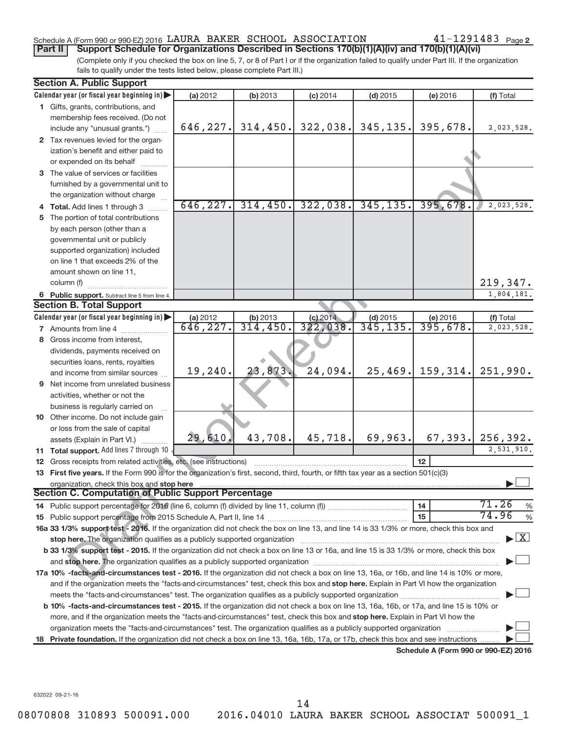## Schedule A (Form 990 or 990-EZ) 2016 LAURA BAKER SCHOOL ASSOCIATION  $41-1291483$  Page

41-1291483 Page 2

(Complete only if you checked the box on line 5, 7, or 8 of Part I or if the organization failed to qualify under Part III. If the organization fails to qualify under the tests listed below, please complete Part III.) **Part II** | Support Schedule for Organizations Described in Sections 170(b)(1)(A)(iv) and 170(b)(1)(A)(vi)

|    | <b>Section A. Public Support</b>                                                                                                                                                                                               |                      |                             |                      |                         |                                      |                           |
|----|--------------------------------------------------------------------------------------------------------------------------------------------------------------------------------------------------------------------------------|----------------------|-----------------------------|----------------------|-------------------------|--------------------------------------|---------------------------|
|    | Calendar year (or fiscal year beginning in)                                                                                                                                                                                    | (a) 2012             | (b) 2013                    | $(c)$ 2014           | $(d)$ 2015              | (e) 2016                             | (f) Total                 |
|    | 1 Gifts, grants, contributions, and                                                                                                                                                                                            |                      |                             |                      |                         |                                      |                           |
|    | membership fees received. (Do not                                                                                                                                                                                              |                      |                             |                      |                         |                                      |                           |
|    | include any "unusual grants.")                                                                                                                                                                                                 |                      | $646, 227$ , 314, 450.      |                      | $322,038$ . 345,135.    | 395,678.                             | 2,023,528.                |
|    | 2 Tax revenues levied for the organ-                                                                                                                                                                                           |                      |                             |                      |                         |                                      |                           |
|    | ization's benefit and either paid to                                                                                                                                                                                           |                      |                             |                      |                         |                                      |                           |
|    | or expended on its behalf                                                                                                                                                                                                      |                      |                             |                      |                         |                                      |                           |
|    | 3 The value of services or facilities                                                                                                                                                                                          |                      |                             |                      |                         |                                      |                           |
|    | furnished by a governmental unit to                                                                                                                                                                                            |                      |                             |                      |                         |                                      |                           |
|    | the organization without charge                                                                                                                                                                                                |                      |                             |                      |                         |                                      |                           |
|    | 4 Total. Add lines 1 through 3                                                                                                                                                                                                 | 646, 227.            | 314, 450.                   | 322,038.             | 345, 135.               | 395,678.                             | 2,023,528.                |
|    | 5 The portion of total contributions                                                                                                                                                                                           |                      |                             |                      |                         |                                      |                           |
|    | by each person (other than a                                                                                                                                                                                                   |                      |                             |                      |                         |                                      |                           |
|    | governmental unit or publicly                                                                                                                                                                                                  |                      |                             |                      |                         |                                      |                           |
|    | supported organization) included                                                                                                                                                                                               |                      |                             |                      |                         |                                      |                           |
|    | on line 1 that exceeds 2% of the                                                                                                                                                                                               |                      |                             |                      |                         |                                      |                           |
|    | amount shown on line 11,                                                                                                                                                                                                       |                      |                             |                      |                         |                                      |                           |
|    | column (f)                                                                                                                                                                                                                     |                      |                             |                      |                         |                                      | 219,347.                  |
|    | 6 Public support. Subtract line 5 from line 4.<br><b>Section B. Total Support</b>                                                                                                                                              |                      |                             |                      |                         |                                      | 1,804,181.                |
|    |                                                                                                                                                                                                                                |                      |                             |                      |                         |                                      |                           |
|    | Calendar year (or fiscal year beginning in)                                                                                                                                                                                    | (a) 2012<br>646,227. | $\frac{(b) 2013}{314, 450}$ | (c) 2014<br>322,038. | $(d)$ 2015<br>345, 135. | (e) 2016<br>$\overline{395,678}$     | (f) Total<br>2,023,528.   |
|    | 7 Amounts from line 4<br>8 Gross income from interest,                                                                                                                                                                         |                      |                             |                      |                         |                                      |                           |
|    | dividends, payments received on                                                                                                                                                                                                |                      |                             |                      |                         |                                      |                           |
|    |                                                                                                                                                                                                                                |                      |                             |                      |                         |                                      |                           |
|    | securities loans, rents, royalties<br>and income from similar sources                                                                                                                                                          | 19,240.              | 23,873                      | 24,094.              | 25, 469.                | 159,314.                             | 251,990.                  |
|    | <b>9</b> Net income from unrelated business                                                                                                                                                                                    |                      |                             |                      |                         |                                      |                           |
|    | activities, whether or not the                                                                                                                                                                                                 |                      |                             |                      |                         |                                      |                           |
|    | business is regularly carried on                                                                                                                                                                                               |                      |                             |                      |                         |                                      |                           |
|    | 10 Other income. Do not include gain                                                                                                                                                                                           |                      |                             |                      |                         |                                      |                           |
|    | or loss from the sale of capital                                                                                                                                                                                               |                      |                             |                      |                         |                                      |                           |
|    | assets (Explain in Part VI.)                                                                                                                                                                                                   | 29,610               | 43,708.                     | 45,718.              | 69,963.                 | 67, 393.                             | 256, 392.                 |
|    | 11 Total support. Add lines 7 through 10                                                                                                                                                                                       |                      |                             |                      |                         |                                      | $\overline{2,531,910}$ .  |
|    | 12 Gross receipts from related activities, etc. (see instructions)                                                                                                                                                             |                      |                             |                      |                         | 12                                   |                           |
|    | 13 First five years. If the Form 990 is for the organization's first, second, third, fourth, or fifth tax year as a section 501(c)(3)                                                                                          |                      |                             |                      |                         |                                      |                           |
|    | organization, check this box and stop here                                                                                                                                                                                     |                      |                             |                      |                         |                                      |                           |
|    | <b>Section C. Computation of Public Support Percentage</b>                                                                                                                                                                     |                      |                             |                      |                         |                                      |                           |
|    |                                                                                                                                                                                                                                |                      |                             |                      |                         | 14                                   | 71.26<br>%                |
|    |                                                                                                                                                                                                                                |                      |                             |                      |                         | 15                                   | 74.96<br>%                |
|    | 16a 33 1/3% support test - 2016. If the organization did not check the box on line 13, and line 14 is 33 1/3% or more, check this box and                                                                                      |                      |                             |                      |                         |                                      |                           |
|    | stop here. The organization qualifies as a publicly supported organization manufactured content and content and the organization manufactured and the organization of the organization of the organization manufactured and th |                      |                             |                      |                         |                                      | $\blacktriangleright$ $X$ |
|    | b 33 1/3% support test - 2015. If the organization did not check a box on line 13 or 16a, and line 15 is 33 1/3% or more, check this box                                                                                       |                      |                             |                      |                         |                                      |                           |
|    |                                                                                                                                                                                                                                |                      |                             |                      |                         |                                      |                           |
|    | 17a 10% -facts-and-circumstances test - 2016. If the organization did not check a box on line 13, 16a, or 16b, and line 14 is 10% or more,                                                                                     |                      |                             |                      |                         |                                      |                           |
|    | and if the organization meets the "facts-and-circumstances" test, check this box and stop here. Explain in Part VI how the organization                                                                                        |                      |                             |                      |                         |                                      |                           |
|    |                                                                                                                                                                                                                                |                      |                             |                      |                         |                                      |                           |
|    | b 10% -facts-and-circumstances test - 2015. If the organization did not check a box on line 13, 16a, 16b, or 17a, and line 15 is 10% or                                                                                        |                      |                             |                      |                         |                                      |                           |
|    | more, and if the organization meets the "facts-and-circumstances" test, check this box and <b>stop here.</b> Explain in Part VI how the                                                                                        |                      |                             |                      |                         |                                      |                           |
|    | organization meets the "facts-and-circumstances" test. The organization qualifies as a publicly supported organization                                                                                                         |                      |                             |                      |                         |                                      |                           |
| 18 | Private foundation. If the organization did not check a box on line 13, 16a, 16b, 17a, or 17b, check this box and see instructions                                                                                             |                      |                             |                      |                         |                                      |                           |
|    |                                                                                                                                                                                                                                |                      |                             |                      |                         | Schedule A (Form 990 or 990-EZ) 2016 |                           |

632022 09-21-16

14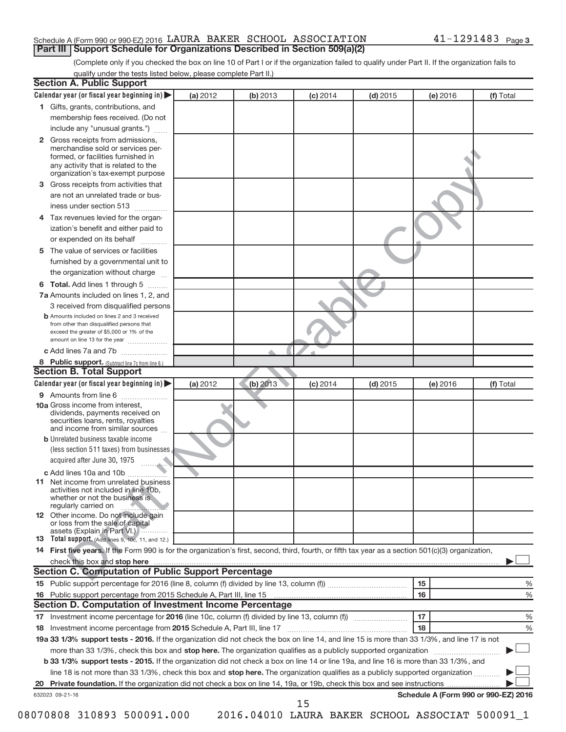### Schedule A (Form 990 or 990-EZ) 2016 LAURA BAKER SCHOOL ASSOCIATION  $41-1291483$  Page **Part III | Support Schedule for Organizations Described in Section 509(a)(2)**

(Complete only if you checked the box on line 10 of Part I or if the organization failed to qualify under Part II. If the organization fails to qualify under the tests listed below, please complete Part II.)

| $\mathbf{2}$<br>3<br>4<br>5<br>6 | 1 Gifts, grants, contributions, and<br>membership fees received. (Do not<br>include any "unusual grants.")<br>Gross receipts from admissions,<br>merchandise sold or services per-<br>formed, or facilities furnished in<br>any activity that is related to the<br>organization's tax-exempt purpose<br>Gross receipts from activities that<br>are not an unrelated trade or bus-<br>iness under section 513<br>Tax revenues levied for the organ-<br>ization's benefit and either paid to<br>or expended on its behalf<br>.<br>The value of services or facilities<br>furnished by a governmental unit to<br>the organization without charge<br>Total. Add lines 1 through 5<br>7a Amounts included on lines 1, 2, and<br>3 received from disqualified persons<br><b>b</b> Amounts included on lines 2 and 3 received<br>from other than disqualified persons that<br>exceed the greater of \$5,000 or 1% of the<br>amount on line 13 for the year<br>c Add lines 7a and 7b |          |          |            |            |          |           |
|----------------------------------|------------------------------------------------------------------------------------------------------------------------------------------------------------------------------------------------------------------------------------------------------------------------------------------------------------------------------------------------------------------------------------------------------------------------------------------------------------------------------------------------------------------------------------------------------------------------------------------------------------------------------------------------------------------------------------------------------------------------------------------------------------------------------------------------------------------------------------------------------------------------------------------------------------------------------------------------------------------------------|----------|----------|------------|------------|----------|-----------|
|                                  |                                                                                                                                                                                                                                                                                                                                                                                                                                                                                                                                                                                                                                                                                                                                                                                                                                                                                                                                                                              |          |          |            |            |          |           |
|                                  |                                                                                                                                                                                                                                                                                                                                                                                                                                                                                                                                                                                                                                                                                                                                                                                                                                                                                                                                                                              |          |          |            |            |          |           |
|                                  |                                                                                                                                                                                                                                                                                                                                                                                                                                                                                                                                                                                                                                                                                                                                                                                                                                                                                                                                                                              |          |          |            |            |          |           |
|                                  |                                                                                                                                                                                                                                                                                                                                                                                                                                                                                                                                                                                                                                                                                                                                                                                                                                                                                                                                                                              |          |          |            |            |          |           |
|                                  |                                                                                                                                                                                                                                                                                                                                                                                                                                                                                                                                                                                                                                                                                                                                                                                                                                                                                                                                                                              |          |          |            |            |          |           |
|                                  |                                                                                                                                                                                                                                                                                                                                                                                                                                                                                                                                                                                                                                                                                                                                                                                                                                                                                                                                                                              |          |          |            |            |          |           |
|                                  |                                                                                                                                                                                                                                                                                                                                                                                                                                                                                                                                                                                                                                                                                                                                                                                                                                                                                                                                                                              |          |          |            |            |          |           |
|                                  |                                                                                                                                                                                                                                                                                                                                                                                                                                                                                                                                                                                                                                                                                                                                                                                                                                                                                                                                                                              |          |          |            |            |          |           |
|                                  |                                                                                                                                                                                                                                                                                                                                                                                                                                                                                                                                                                                                                                                                                                                                                                                                                                                                                                                                                                              |          |          |            |            |          |           |
|                                  |                                                                                                                                                                                                                                                                                                                                                                                                                                                                                                                                                                                                                                                                                                                                                                                                                                                                                                                                                                              |          |          |            |            |          |           |
|                                  |                                                                                                                                                                                                                                                                                                                                                                                                                                                                                                                                                                                                                                                                                                                                                                                                                                                                                                                                                                              |          |          |            |            |          |           |
|                                  |                                                                                                                                                                                                                                                                                                                                                                                                                                                                                                                                                                                                                                                                                                                                                                                                                                                                                                                                                                              |          |          |            |            |          |           |
|                                  |                                                                                                                                                                                                                                                                                                                                                                                                                                                                                                                                                                                                                                                                                                                                                                                                                                                                                                                                                                              |          |          |            |            |          |           |
|                                  |                                                                                                                                                                                                                                                                                                                                                                                                                                                                                                                                                                                                                                                                                                                                                                                                                                                                                                                                                                              |          |          |            |            |          |           |
|                                  |                                                                                                                                                                                                                                                                                                                                                                                                                                                                                                                                                                                                                                                                                                                                                                                                                                                                                                                                                                              |          |          |            |            |          |           |
|                                  |                                                                                                                                                                                                                                                                                                                                                                                                                                                                                                                                                                                                                                                                                                                                                                                                                                                                                                                                                                              |          |          |            |            |          |           |
|                                  |                                                                                                                                                                                                                                                                                                                                                                                                                                                                                                                                                                                                                                                                                                                                                                                                                                                                                                                                                                              |          |          |            |            |          |           |
|                                  | 8 Public support. (Subtract line 7c from line 6.)                                                                                                                                                                                                                                                                                                                                                                                                                                                                                                                                                                                                                                                                                                                                                                                                                                                                                                                            |          |          |            |            |          |           |
|                                  | <b>Section B. Total Support</b>                                                                                                                                                                                                                                                                                                                                                                                                                                                                                                                                                                                                                                                                                                                                                                                                                                                                                                                                              |          |          |            |            |          |           |
|                                  | Calendar year (or fiscal year beginning in)                                                                                                                                                                                                                                                                                                                                                                                                                                                                                                                                                                                                                                                                                                                                                                                                                                                                                                                                  | (a) 2012 | (b) 2013 | $(c)$ 2014 | $(d)$ 2015 | (e) 2016 | (f) Total |
|                                  | 9 Amounts from line 6                                                                                                                                                                                                                                                                                                                                                                                                                                                                                                                                                                                                                                                                                                                                                                                                                                                                                                                                                        |          |          |            |            |          |           |
|                                  | <b>10a</b> Gross income from interest,<br>dividends, payments received on<br>securities loans, rents, royalties<br>and income from similar sources                                                                                                                                                                                                                                                                                                                                                                                                                                                                                                                                                                                                                                                                                                                                                                                                                           |          |          |            |            |          |           |
|                                  | <b>b</b> Unrelated business taxable income                                                                                                                                                                                                                                                                                                                                                                                                                                                                                                                                                                                                                                                                                                                                                                                                                                                                                                                                   |          |          |            |            |          |           |
|                                  | (less section 511 taxes) from businesses<br>acquired after June 30, 1975<br>and and                                                                                                                                                                                                                                                                                                                                                                                                                                                                                                                                                                                                                                                                                                                                                                                                                                                                                          |          |          |            |            |          |           |
|                                  | c Add lines 10a and 10b                                                                                                                                                                                                                                                                                                                                                                                                                                                                                                                                                                                                                                                                                                                                                                                                                                                                                                                                                      |          |          |            |            |          |           |
| 11                               | Net income from unrelated business<br>activities not included in line 10b.<br>whether or not the business is<br>regularly carried on                                                                                                                                                                                                                                                                                                                                                                                                                                                                                                                                                                                                                                                                                                                                                                                                                                         |          |          |            |            |          |           |
|                                  | 12 Other income. Do not include gain<br>or loss from the sale of capital<br>assets (Explain in Part VI.)                                                                                                                                                                                                                                                                                                                                                                                                                                                                                                                                                                                                                                                                                                                                                                                                                                                                     |          |          |            |            |          |           |
|                                  | 13 Total support. (Add lines 9, 10c, 11, and 12.)                                                                                                                                                                                                                                                                                                                                                                                                                                                                                                                                                                                                                                                                                                                                                                                                                                                                                                                            |          |          |            |            |          |           |
|                                  | 14 First five years. If the Form 990 is for the organization's first, second, third, fourth, or fifth tax year as a section 501(c)(3) organization,                                                                                                                                                                                                                                                                                                                                                                                                                                                                                                                                                                                                                                                                                                                                                                                                                          |          |          |            |            |          |           |
|                                  |                                                                                                                                                                                                                                                                                                                                                                                                                                                                                                                                                                                                                                                                                                                                                                                                                                                                                                                                                                              |          |          |            |            |          |           |
|                                  | Section C. Computation of Public Support Percentage                                                                                                                                                                                                                                                                                                                                                                                                                                                                                                                                                                                                                                                                                                                                                                                                                                                                                                                          |          |          |            |            |          |           |
|                                  |                                                                                                                                                                                                                                                                                                                                                                                                                                                                                                                                                                                                                                                                                                                                                                                                                                                                                                                                                                              |          |          |            |            | 15       | %         |
|                                  |                                                                                                                                                                                                                                                                                                                                                                                                                                                                                                                                                                                                                                                                                                                                                                                                                                                                                                                                                                              |          |          |            |            | 16       | %         |
|                                  | <b>Section D. Computation of Investment Income Percentage</b>                                                                                                                                                                                                                                                                                                                                                                                                                                                                                                                                                                                                                                                                                                                                                                                                                                                                                                                |          |          |            |            |          |           |
|                                  |                                                                                                                                                                                                                                                                                                                                                                                                                                                                                                                                                                                                                                                                                                                                                                                                                                                                                                                                                                              |          |          |            |            | 17       | %         |
| 18                               |                                                                                                                                                                                                                                                                                                                                                                                                                                                                                                                                                                                                                                                                                                                                                                                                                                                                                                                                                                              |          |          |            |            | 18       | %         |
|                                  | 19a 33 1/3% support tests - 2016. If the organization did not check the box on line 14, and line 15 is more than 33 1/3%, and line 17 is not                                                                                                                                                                                                                                                                                                                                                                                                                                                                                                                                                                                                                                                                                                                                                                                                                                 |          |          |            |            |          |           |
|                                  |                                                                                                                                                                                                                                                                                                                                                                                                                                                                                                                                                                                                                                                                                                                                                                                                                                                                                                                                                                              |          |          |            |            |          |           |
|                                  |                                                                                                                                                                                                                                                                                                                                                                                                                                                                                                                                                                                                                                                                                                                                                                                                                                                                                                                                                                              |          |          |            |            |          |           |
|                                  | more than 33 1/3%, check this box and stop here. The organization qualifies as a publicly supported organization<br>b 33 1/3% support tests - 2015. If the organization did not check a box on line 14 or line 19a, and line 16 is more than 33 1/3%, and                                                                                                                                                                                                                                                                                                                                                                                                                                                                                                                                                                                                                                                                                                                    |          |          |            |            |          |           |
| 632023 09-21-16                  | line 18 is not more than 33 1/3%, check this box and stop here. The organization qualifies as a publicly supported organization                                                                                                                                                                                                                                                                                                                                                                                                                                                                                                                                                                                                                                                                                                                                                                                                                                              |          |          |            |            |          |           |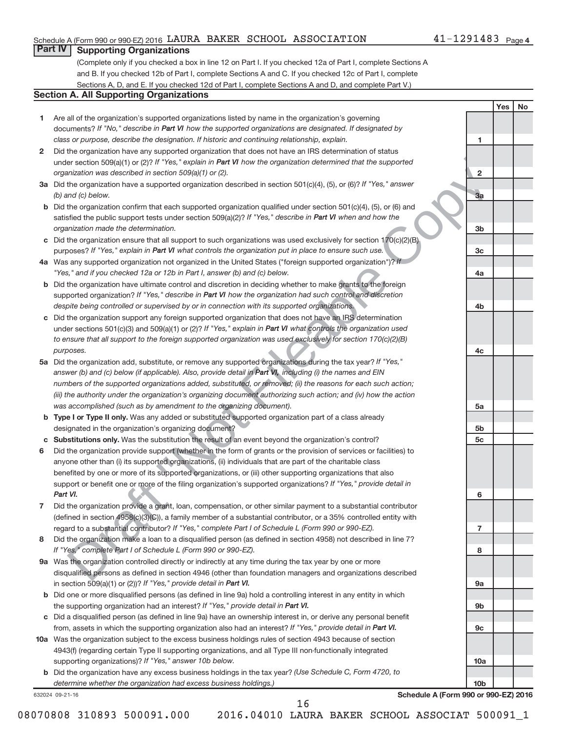## Schedule A (Form 990 or 990-EZ) 2016 LAURA BAKER SCHOOL ASSOCIATION  $41-1291483$  Page

## **Part IV Supporting Organizations**

(Complete only if you checked a box in line 12 on Part I. If you checked 12a of Part I, complete Sections A and B. If you checked 12b of Part I, complete Sections A and C. If you checked 12c of Part I, complete Sections A, D, and E. If you checked 12d of Part I, complete Sections A and D, and complete Part V.)

## **Section A. All Supporting Organizations**

- **1** Are all of the organization's supported organizations listed by name in the organization's governing documents? If "No," describe in Part VI how the supported organizations are designated. If designated by *class or purpose, describe the designation. If historic and continuing relationship, explain.*
- **2** Did the organization have any supported organization that does not have an IRS determination of status under section 509(a)(1) or (2)? If "Yes," explain in Part VI how the organization determined that the supported *organization was described in section 509(a)(1) or (2).*
- **3a** Did the organization have a supported organization described in section 501(c)(4), (5), or (6)? If "Yes," answer *(b) and (c) below.*
- **b** Did the organization confirm that each supported organization qualified under section 501(c)(4), (5), or (6) and satisfied the public support tests under section 509(a)(2)? If "Yes," describe in Part VI when and how the *organization made the determination.*
- **c** Did the organization ensure that all support to such organizations was used exclusively for section 170(c)(2)(B) purposes? If "Yes," explain in Part VI what controls the organization put in place to ensure such use.
- **4a** Was any supported organization not organized in the United States ("foreign supported organization")? If *"Yes," and if you checked 12a or 12b in Part I, answer (b) and (c) below.*
- **b** Did the organization have ultimate control and discretion in deciding whether to make grants to the foreign supported organization? If "Yes," describe in Part VI how the organization had such control and discretion *despite being controlled or supervised by or in connection with its supported organizations.*
- **c** Did the organization support any foreign supported organization that does not have an IRS determination under sections 501(c)(3) and 509(a)(1) or (2)? If "Yes," explain in Part VI what controls the organization used *to ensure that all support to the foreign supported organization was used exclusively for section 170(c)(2)(B) purposes.*
- **5a** Did the organization add, substitute, or remove any supported organizations during the tax year? If "Yes," answer (b) and (c) below (if applicable). Also, provide detail in Part VI, including (i) the names and EIN *numbers of the supported organizations added, substituted, or removed; (ii) the reasons for each such action; (iii) the authority under the organization's organizing document authorizing such action; and (iv) how the action was accomplished (such as by amendment to the organizing document).*
- **b** Type I or Type II only. Was any added or substituted supported organization part of a class already designated in the organization's organizing document?
- **c Substitutions only.**  Was the substitution the result of an event beyond the organization's control?
- the anymatorial team and supported organization that does not have an IRB celesimination of the state of the state of the state of the state of the state of the state of the state of the state of the state of the state of **6** Did the organization provide support (whether in the form of grants or the provision of services or facilities) to support or benefit one or more of the filing organization's supported organizations? If "Yes," provide detail in anyone other than (i) its supported organizations, (ii) individuals that are part of the charitable class benefited by one or more of its supported organizations, or (iii) other supporting organizations that also *Part VI.*
- **7** Did the organization provide a grant, loan, compensation, or other similar payment to a substantial contributor regard to a substantial contributor? If "Yes," complete Part I of Schedule L (Form 990 or 990-EZ). (defined in section 4958(c)(3)(C)), a family member of a substantial contributor, or a 35% controlled entity with
- **8** Did the organization make a loan to a disqualified person (as defined in section 4958) not described in line 7? *If "Yes," complete Part I of Schedule L (Form 990 or 990-EZ).*
- **9 a** Was the organization controlled directly or indirectly at any time during the tax year by one or more in section 509(a)(1) or (2))? If "Yes," provide detail in Part VI. disqualified persons as defined in section 4946 (other than foundation managers and organizations described
- **b** Did one or more disqualified persons (as defined in line 9a) hold a controlling interest in any entity in which the supporting organization had an interest? If "Yes," provide detail in Part VI.
- **c** Did a disqualified person (as defined in line 9a) have an ownership interest in, or derive any personal benefit from, assets in which the supporting organization also had an interest? If "Yes," provide detail in Part VI.
- **10 a** Was the organization subject to the excess business holdings rules of section 4943 because of section supporting organizations)? If "Yes," answer 10b below. 4943(f) (regarding certain Type II supporting organizations, and all Type III non-functionally integrated
	- **b** Did the organization have any excess business holdings in the tax year? (Use Schedule C, Form 4720, to *determine whether the organization had excess business holdings.)*

632024 09-21-16

**Schedule A (Form 990 or 990-EZ) 2016**

**1**

**2**

**3a**

**3b**

**3c**

**4a**

**4b**

**4c**

**5a**

**5b 5c**

**6**

**7**

**8**

**9a**

**9b**

**9c**

**10a**

**10b**

**Yes No**

08070808 310893 500091.000 2016.04010 LAURA BAKER SCHOOL ASSOCIAT 500091\_1

16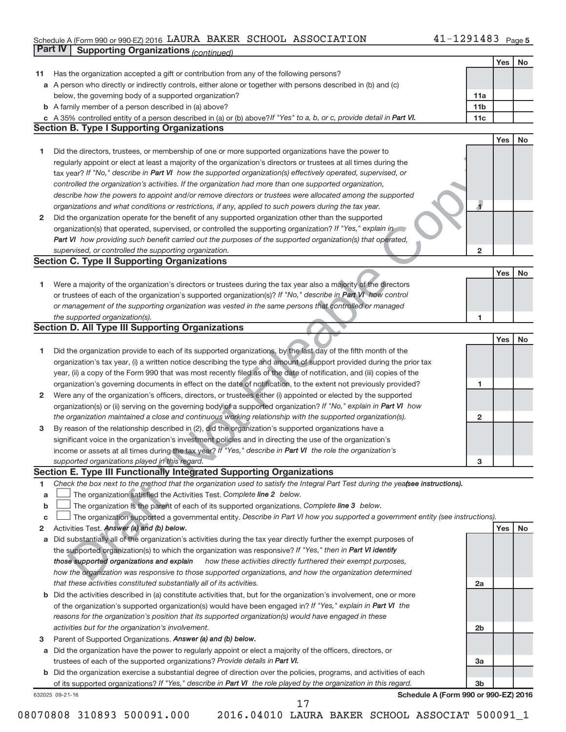#### Schedule A (Form 990 or 990-EZ) 2016 LAURA BAKER SCHOOL ASSOCIATION 4 L - L Z 9 L 4 8 3 Page LAURA BAKER SCHOOL ASSOCIATION 41-1291483

|    | Part IV<br><b>Supporting Organizations (continued)</b>                                                                                                                                                                           |                 |     |    |
|----|----------------------------------------------------------------------------------------------------------------------------------------------------------------------------------------------------------------------------------|-----------------|-----|----|
|    |                                                                                                                                                                                                                                  |                 | Yes | No |
| 11 | Has the organization accepted a gift or contribution from any of the following persons?                                                                                                                                          |                 |     |    |
|    | a A person who directly or indirectly controls, either alone or together with persons described in (b) and (c)                                                                                                                   |                 |     |    |
|    | below, the governing body of a supported organization?                                                                                                                                                                           | 11a             |     |    |
|    | <b>b</b> A family member of a person described in (a) above?                                                                                                                                                                     | 11 <sub>b</sub> |     |    |
|    | c A 35% controlled entity of a person described in (a) or (b) above? If "Yes" to a, b, or c, provide detail in Part VI.                                                                                                          | 11c             |     |    |
|    | <b>Section B. Type I Supporting Organizations</b>                                                                                                                                                                                |                 |     |    |
|    |                                                                                                                                                                                                                                  |                 | Yes | No |
| 1  | Did the directors, trustees, or membership of one or more supported organizations have the power to                                                                                                                              |                 |     |    |
|    | regularly appoint or elect at least a majority of the organization's directors or trustees at all times during the                                                                                                               |                 |     |    |
|    | tax year? If "No," describe in Part VI how the supported organization(s) effectively operated, supervised, or                                                                                                                    |                 |     |    |
|    | controlled the organization's activities. If the organization had more than one supported organization,                                                                                                                          |                 |     |    |
|    | describe how the powers to appoint and/or remove directors or trustees were allocated among the supported                                                                                                                        |                 |     |    |
|    | organizations and what conditions or restrictions, if any, applied to such powers during the tax year.                                                                                                                           | 4               |     |    |
| 2  | Did the organization operate for the benefit of any supported organization other than the supported                                                                                                                              |                 |     |    |
|    | organization(s) that operated, supervised, or controlled the supporting organization? If "Yes," explain in                                                                                                                       |                 |     |    |
|    | Part VI how providing such benefit carried out the purposes of the supported organization(s) that operated,                                                                                                                      |                 |     |    |
|    | supervised, or controlled the supporting organization.                                                                                                                                                                           | $\overline{2}$  |     |    |
|    | <b>Section C. Type II Supporting Organizations</b>                                                                                                                                                                               |                 |     |    |
|    |                                                                                                                                                                                                                                  |                 | Yes | No |
| 1  | Were a majority of the organization's directors or trustees during the tax year also a majority of the directors                                                                                                                 |                 |     |    |
|    | or trustees of each of the organization's supported organization(s)? If "No," describe in Part VI how control                                                                                                                    |                 |     |    |
|    | or management of the supporting organization was vested in the same persons that controlled or managed                                                                                                                           |                 |     |    |
|    | the supported organization(s).                                                                                                                                                                                                   | 1               |     |    |
|    | <b>Section D. All Type III Supporting Organizations</b>                                                                                                                                                                          |                 |     |    |
|    |                                                                                                                                                                                                                                  |                 | Yes | No |
| 1  | Did the organization provide to each of its supported organizations, by the last day of the fifth month of the                                                                                                                   |                 |     |    |
|    | organization's tax year, (i) a written notice describing the type and amount of support provided during the prior tax                                                                                                            |                 |     |    |
|    | year, (ii) a copy of the Form 990 that was most recently filed as of the date of notification, and (iii) copies of the                                                                                                           |                 |     |    |
|    | organization's governing documents in effect on the date of notification, to the extent not previously provided?                                                                                                                 | 1               |     |    |
| 2  | Were any of the organization's officers, directors, or trustees either (i) appointed or elected by the supported                                                                                                                 |                 |     |    |
|    | organization(s) or (ii) serving on the governing body of a supported organization? If "No," explain in Part VI how                                                                                                               |                 |     |    |
|    | the organization maintained a close and continuous working relationship with the supported organization(s).                                                                                                                      | $\mathbf{2}$    |     |    |
| 3  | By reason of the relationship described in (2), did the organization's supported organizations have a                                                                                                                            |                 |     |    |
|    | significant voice in the organization's investment policies and in directing the use of the organization's                                                                                                                       |                 |     |    |
|    | income or assets at all times during the tax year? If "Yes," describe in Part VI the role the organization's                                                                                                                     |                 |     |    |
|    | supported organizations played in this regard.                                                                                                                                                                                   | з               |     |    |
|    | Section E. Type III Functionally Integrated Supporting Organizations                                                                                                                                                             |                 |     |    |
| 1  | Check the box next to the method that the organization used to satisfy the Integral Part Test during the yea(see instructions).                                                                                                  |                 |     |    |
| a  | The organization satisfied the Activities Test. Complete line 2 below.                                                                                                                                                           |                 |     |    |
| b  | The organization is the parent of each of its supported organizations. Complete line 3 below.                                                                                                                                    |                 |     |    |
| С  | The organization supported a governmental entity. Describe in Part VI how you supported a government entity (see instructions).                                                                                                  |                 | Yes | No |
| 2  | Activities Test. Answer (a) and (b) below.                                                                                                                                                                                       |                 |     |    |
| а  | Did substantially all of the organization's activities during the tax year directly further the exempt purposes of<br>the supported organization(s) to which the organization was responsive? If "Yes," then in Part VI identify |                 |     |    |
|    | those supported organizations and explain<br>how these activities directly furthered their exempt purposes,                                                                                                                      |                 |     |    |
|    | how the organization was responsive to those supported organizations, and how the organization determined                                                                                                                        |                 |     |    |
|    | that these activities constituted substantially all of its activities.                                                                                                                                                           | 2a              |     |    |
| b  | Did the activities described in (a) constitute activities that, but for the organization's involvement, one or more                                                                                                              |                 |     |    |
|    | of the organization's supported organization(s) would have been engaged in? If "Yes," explain in Part VI the                                                                                                                     |                 |     |    |
|    | reasons for the organization's position that its supported organization(s) would have engaged in these                                                                                                                           |                 |     |    |
|    | activities but for the organization's involvement.                                                                                                                                                                               | 2 <sub>b</sub>  |     |    |
| 3  | Parent of Supported Organizations. Answer (a) and (b) below.                                                                                                                                                                     |                 |     |    |
| а  | Did the organization have the power to regularly appoint or elect a majority of the officers, directors, or                                                                                                                      |                 |     |    |
|    | trustees of each of the supported organizations? Provide details in Part VI.                                                                                                                                                     | За              |     |    |
|    | b Did the organization exercise a substantial degree of direction over the policies, programs, and activities of each                                                                                                            |                 |     |    |
|    | of its supported organizations? If "Yes," describe in Part VI the role played by the organization in this regard.                                                                                                                | 3 <sub>b</sub>  |     |    |
|    | Schedule A (Form 990 or 990-EZ) 2016<br>632025 09-21-16                                                                                                                                                                          |                 |     |    |
|    | 17                                                                                                                                                                                                                               |                 |     |    |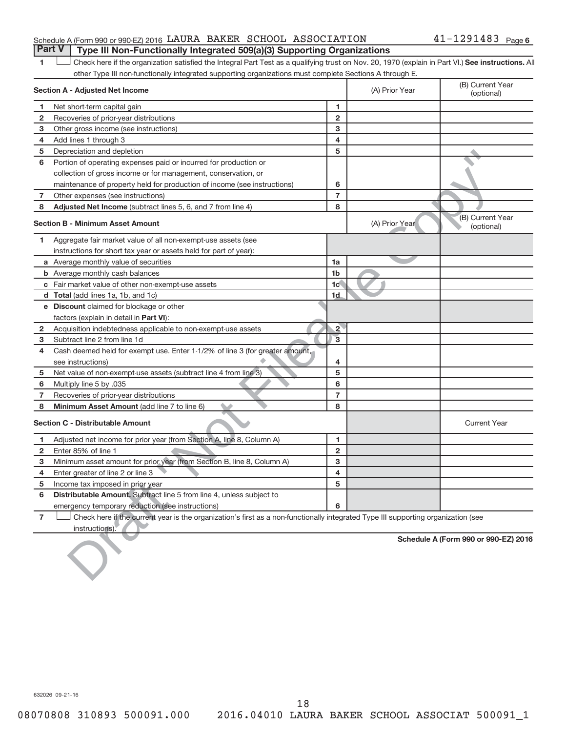### Schedule A (Form 990 or 990-EZ) 2016 LAURA BAKER SCHOOL ASSOCIATION  $41-1291483$  Page **Part V Type III Non-Functionally Integrated 509(a)(3) Supporting Organizations**

1 **Letter See instructions.** All Check here if the organization satisfied the Integral Part Test as a qualifying trust on Nov. 20, 1970 (explain in Part VI.) See instructions. All other Type III non-functionally integrated supporting organizations must complete Sections A through E.

|                | Section A - Adjusted Net Income                                                                                                                     |                | (A) Prior Year | (B) Current Year<br>(optional)       |
|----------------|-----------------------------------------------------------------------------------------------------------------------------------------------------|----------------|----------------|--------------------------------------|
| 1              | Net short-term capital gain                                                                                                                         | 1              |                |                                      |
| 2              | Recoveries of prior-year distributions                                                                                                              | $\overline{2}$ |                |                                      |
| з              | Other gross income (see instructions)                                                                                                               | 3              |                |                                      |
| 4              | Add lines 1 through 3                                                                                                                               | 4              |                |                                      |
| 5              | Depreciation and depletion                                                                                                                          | 5              |                |                                      |
| 6              | Portion of operating expenses paid or incurred for production or                                                                                    |                |                |                                      |
|                | collection of gross income or for management, conservation, or                                                                                      |                |                |                                      |
|                | maintenance of property held for production of income (see instructions)                                                                            | 6              |                |                                      |
| 7              | Other expenses (see instructions)                                                                                                                   | $\overline{7}$ |                |                                      |
| 8              | Adjusted Net Income (subtract lines 5, 6, and 7 from line 4)                                                                                        | 8              |                |                                      |
|                | <b>Section B - Minimum Asset Amount</b>                                                                                                             |                | (A) Prior Year | (B) Current Year<br>(optional)       |
| 1              | Aggregate fair market value of all non-exempt-use assets (see                                                                                       |                |                |                                      |
|                | instructions for short tax year or assets held for part of year):                                                                                   |                |                |                                      |
|                | <b>a</b> Average monthly value of securities                                                                                                        | 1a             |                |                                      |
|                | <b>b</b> Average monthly cash balances                                                                                                              | 1 <sub>b</sub> |                |                                      |
|                | <b>c</b> Fair market value of other non-exempt-use assets                                                                                           | 1 <sub>c</sub> |                |                                      |
|                | <b>d</b> Total (add lines 1a, 1b, and 1c)                                                                                                           | 1d             |                |                                      |
|                | <b>e</b> Discount claimed for blockage or other                                                                                                     |                |                |                                      |
|                | factors (explain in detail in <b>Part VI</b> ):                                                                                                     |                |                |                                      |
| 2              | Acquisition indebtedness applicable to non-exempt-use assets                                                                                        | $\overline{2}$ |                |                                      |
| з              | Subtract line 2 from line 1d                                                                                                                        | $\overline{3}$ |                |                                      |
| 4              | Cash deemed held for exempt use. Enter 1-1/2% of line 3 (for greater amount,                                                                        |                |                |                                      |
|                | see instructions)                                                                                                                                   | 4              |                |                                      |
| 5              | Net value of non-exempt-use assets (subtract line 4 from line 3)                                                                                    | 5              |                |                                      |
| 6              | Multiply line 5 by .035                                                                                                                             | 6              |                |                                      |
| 7              | Recoveries of prior-year distributions                                                                                                              | $\overline{7}$ |                |                                      |
| 8              | Minimum Asset Amount (add line 7 to line 6)                                                                                                         | 8              |                |                                      |
|                | <b>Section C - Distributable Amount</b>                                                                                                             |                |                | <b>Current Year</b>                  |
| 1.             | Adjusted net income for prior year (from Section A, line 8, Column A)                                                                               | 1              |                |                                      |
| 2              | Enter 85% of line 1                                                                                                                                 | $\mathbf{2}$   |                |                                      |
| з              | Minimum asset amount for prior year (from Section B, line 8, Column A)                                                                              | 3              |                |                                      |
| 4              | Enter greater of line 2 or line 3                                                                                                                   | 4              |                |                                      |
| 5              | Income tax imposed in prior year                                                                                                                    | 5              |                |                                      |
| 6              | Distributable Amount. Subtract line 5 from line 4, unless subject to                                                                                |                |                |                                      |
|                | emergency temporary reduction (see instructions)                                                                                                    | 6              |                |                                      |
| $\overline{7}$ | Check here if the current year is the organization's first as a non-functionally integrated Type III supporting organization (see<br>instructions). |                |                |                                      |
|                |                                                                                                                                                     |                |                | Schedule A (Form 990 or 990-EZ) 2016 |

632026 09-21-16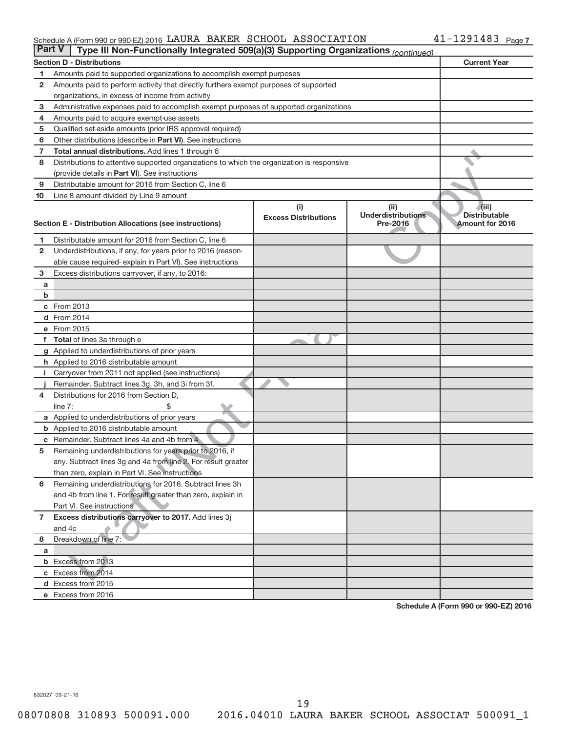#### Schedule A (Form 990 or 990-EZ) 2016 LAURA BAKER SCHOOL ASSOCIATION 4 L - L Z 9 L 4 8 3 Page LAURA BAKER SCHOOL ASSOCIATION 41-1291483

| <b>Part V</b><br>Type III Non-Functionally Integrated 509(a)(3) Supporting Organizations (continued) |                                                                                             |                             |                                       |                                         |  |  |
|------------------------------------------------------------------------------------------------------|---------------------------------------------------------------------------------------------|-----------------------------|---------------------------------------|-----------------------------------------|--|--|
|                                                                                                      | <b>Section D - Distributions</b>                                                            |                             |                                       | <b>Current Year</b>                     |  |  |
| 1                                                                                                    | Amounts paid to supported organizations to accomplish exempt purposes                       |                             |                                       |                                         |  |  |
| 2                                                                                                    | Amounts paid to perform activity that directly furthers exempt purposes of supported        |                             |                                       |                                         |  |  |
|                                                                                                      | organizations, in excess of income from activity                                            |                             |                                       |                                         |  |  |
| 3                                                                                                    | Administrative expenses paid to accomplish exempt purposes of supported organizations       |                             |                                       |                                         |  |  |
| 4                                                                                                    | Amounts paid to acquire exempt-use assets                                                   |                             |                                       |                                         |  |  |
| 5                                                                                                    | Qualified set-aside amounts (prior IRS approval required)                                   |                             |                                       |                                         |  |  |
| 6                                                                                                    | Other distributions (describe in <b>Part VI</b> ). See instructions                         |                             |                                       |                                         |  |  |
| 7                                                                                                    | Total annual distributions. Add lines 1 through 6                                           |                             |                                       |                                         |  |  |
| 8                                                                                                    | Distributions to attentive supported organizations to which the organization is responsive  |                             |                                       |                                         |  |  |
|                                                                                                      | (provide details in Part VI). See instructions                                              |                             |                                       |                                         |  |  |
| 9                                                                                                    | Distributable amount for 2016 from Section C, line 6                                        |                             |                                       |                                         |  |  |
| 10                                                                                                   | Line 8 amount divided by Line 9 amount                                                      |                             |                                       |                                         |  |  |
|                                                                                                      |                                                                                             | (i)                         | (ii)                                  | (iii)                                   |  |  |
|                                                                                                      | Section E - Distribution Allocations (see instructions)                                     | <b>Excess Distributions</b> | <b>Underdistributions</b><br>Pre-2016 | <b>Distributable</b><br>Amount for 2016 |  |  |
|                                                                                                      |                                                                                             |                             |                                       |                                         |  |  |
| 1                                                                                                    | Distributable amount for 2016 from Section C, line 6                                        |                             |                                       |                                         |  |  |
| $\mathbf{2}$                                                                                         | Underdistributions, if any, for years prior to 2016 (reason-                                |                             |                                       |                                         |  |  |
|                                                                                                      | able cause required- explain in Part VI). See instructions                                  |                             |                                       |                                         |  |  |
| 3                                                                                                    | Excess distributions carryover, if any, to 2016:                                            |                             |                                       |                                         |  |  |
| a                                                                                                    |                                                                                             |                             |                                       |                                         |  |  |
| b                                                                                                    |                                                                                             |                             |                                       |                                         |  |  |
|                                                                                                      | c From 2013                                                                                 |                             |                                       |                                         |  |  |
|                                                                                                      | <b>d</b> From 2014                                                                          |                             |                                       |                                         |  |  |
|                                                                                                      | e From 2015                                                                                 |                             |                                       |                                         |  |  |
|                                                                                                      | f Total of lines 3a through e                                                               |                             |                                       |                                         |  |  |
|                                                                                                      | g Applied to underdistributions of prior years                                              |                             |                                       |                                         |  |  |
|                                                                                                      | h Applied to 2016 distributable amount                                                      |                             |                                       |                                         |  |  |
| Ť.                                                                                                   | Carryover from 2011 not applied (see instructions)                                          |                             |                                       |                                         |  |  |
| 4                                                                                                    | Remainder. Subtract lines 3g, 3h, and 3i from 3f.<br>Distributions for 2016 from Section D, |                             |                                       |                                         |  |  |
|                                                                                                      | line $7:$                                                                                   |                             |                                       |                                         |  |  |
|                                                                                                      | a Applied to underdistributions of prior years                                              |                             |                                       |                                         |  |  |
|                                                                                                      | <b>b</b> Applied to 2016 distributable amount                                               |                             |                                       |                                         |  |  |
| c                                                                                                    | Remainder. Subtract lines 4a and 4b from 4                                                  |                             |                                       |                                         |  |  |
| 5                                                                                                    | Remaining underdistributions for years prior to 2016, if                                    |                             |                                       |                                         |  |  |
|                                                                                                      | any. Subtract lines 3g and 4a from line 2. For result greater                               |                             |                                       |                                         |  |  |
|                                                                                                      | than zero, explain in Part VI. See instructions                                             |                             |                                       |                                         |  |  |
| 6                                                                                                    | Remaining underdistributions for 2016. Subtract lines 3h                                    |                             |                                       |                                         |  |  |
|                                                                                                      | and 4b from line 1. For result greater than zero, explain in                                |                             |                                       |                                         |  |  |
|                                                                                                      | Part VI. See instructions                                                                   |                             |                                       |                                         |  |  |
| $\overline{7}$                                                                                       | Excess distributions carryover to 2017. Add lines 3j                                        |                             |                                       |                                         |  |  |
|                                                                                                      | and 4c                                                                                      |                             |                                       |                                         |  |  |
| 8                                                                                                    | Breakdown of line 7:                                                                        |                             |                                       |                                         |  |  |
| a                                                                                                    |                                                                                             |                             |                                       |                                         |  |  |
|                                                                                                      | <b>b</b> Excess from 2013                                                                   |                             |                                       |                                         |  |  |
|                                                                                                      | c Excess from 2014                                                                          |                             |                                       |                                         |  |  |
|                                                                                                      | d Excess from 2015                                                                          |                             |                                       |                                         |  |  |
|                                                                                                      | e Excess from 2016                                                                          |                             |                                       |                                         |  |  |

**Schedule A (Form 990 or 990-EZ) 2016**

632027 09-21-16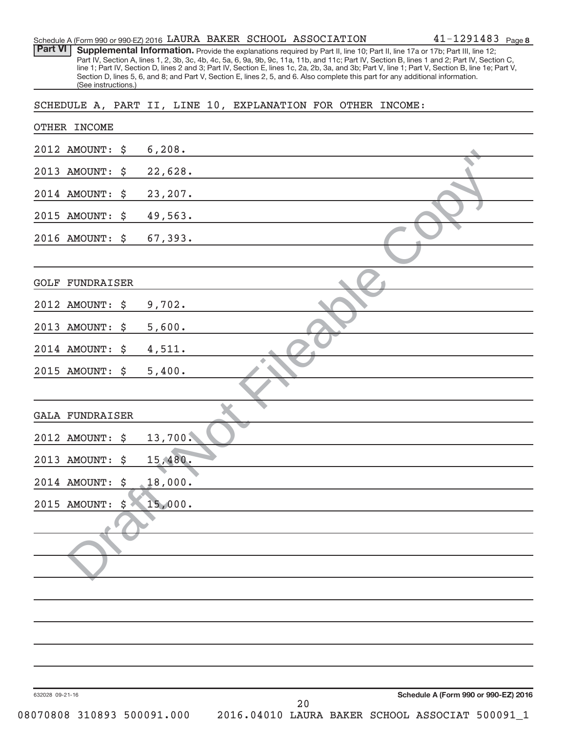|                                       | $41 - 1291483$ Page 8<br>Schedule A (Form 990 or 990-EZ) 2016 LAURA BAKER SCHOOL ASSOCIATION                                                                                                                                                                                                                                                                                                                                                                                                                                                                         |
|---------------------------------------|----------------------------------------------------------------------------------------------------------------------------------------------------------------------------------------------------------------------------------------------------------------------------------------------------------------------------------------------------------------------------------------------------------------------------------------------------------------------------------------------------------------------------------------------------------------------|
| <b>Part VI</b><br>(See instructions.) | Supplemental Information. Provide the explanations required by Part II, line 10; Part II, line 17a or 17b; Part III, line 12;<br>Part IV, Section A, lines 1, 2, 3b, 3c, 4b, 4c, 5a, 6, 9a, 9b, 9c, 11a, 11b, and 11c; Part IV, Section B, lines 1 and 2; Part IV, Section C,<br>line 1; Part IV, Section D, lines 2 and 3; Part IV, Section E, lines 1c, 2a, 2b, 3a, and 3b; Part V, line 1; Part V, Section B, line 1e; Part V,<br>Section D, lines 5, 6, and 8; and Part V, Section E, lines 2, 5, and 6. Also complete this part for any additional information. |
|                                       | SCHEDULE A, PART II, LINE 10, EXPLANATION FOR OTHER INCOME:                                                                                                                                                                                                                                                                                                                                                                                                                                                                                                          |
| OTHER INCOME                          |                                                                                                                                                                                                                                                                                                                                                                                                                                                                                                                                                                      |
| 2012 AMOUNT:<br>\$                    | 6,208.                                                                                                                                                                                                                                                                                                                                                                                                                                                                                                                                                               |
| 2013<br><b>AMOUNT:</b><br>\$          | 22,628.                                                                                                                                                                                                                                                                                                                                                                                                                                                                                                                                                              |
| 2014 AMOUNT:<br>\$                    | 23,207.                                                                                                                                                                                                                                                                                                                                                                                                                                                                                                                                                              |
| 2015 AMOUNT:<br>\$                    | 49,563.                                                                                                                                                                                                                                                                                                                                                                                                                                                                                                                                                              |
| 2016 AMOUNT:<br>\$                    | 67,393.                                                                                                                                                                                                                                                                                                                                                                                                                                                                                                                                                              |
|                                       |                                                                                                                                                                                                                                                                                                                                                                                                                                                                                                                                                                      |
| <b>GOLF</b><br>FUNDRAISER             |                                                                                                                                                                                                                                                                                                                                                                                                                                                                                                                                                                      |
| 2012 AMOUNT:<br>\$                    | 9,702.                                                                                                                                                                                                                                                                                                                                                                                                                                                                                                                                                               |
| 2013<br><b>AMOUNT:</b><br>\$          | 5,600.                                                                                                                                                                                                                                                                                                                                                                                                                                                                                                                                                               |
| 2014 AMOUNT:<br>\$                    | 4,511.                                                                                                                                                                                                                                                                                                                                                                                                                                                                                                                                                               |
| 2015 AMOUNT:<br>\$                    | 5,400.                                                                                                                                                                                                                                                                                                                                                                                                                                                                                                                                                               |
|                                       |                                                                                                                                                                                                                                                                                                                                                                                                                                                                                                                                                                      |
| <b>GALA FUNDRAISER</b>                |                                                                                                                                                                                                                                                                                                                                                                                                                                                                                                                                                                      |
| 2012 AMOUNT: \$                       | 13,700.                                                                                                                                                                                                                                                                                                                                                                                                                                                                                                                                                              |
| 2013 AMOUNT:<br>\$                    | 15,480.                                                                                                                                                                                                                                                                                                                                                                                                                                                                                                                                                              |
| 2014 AMOUNT:<br>\$                    | 18,000.                                                                                                                                                                                                                                                                                                                                                                                                                                                                                                                                                              |
| \$<br>2015 AMOUNT:                    | 15,000.                                                                                                                                                                                                                                                                                                                                                                                                                                                                                                                                                              |
|                                       |                                                                                                                                                                                                                                                                                                                                                                                                                                                                                                                                                                      |
|                                       |                                                                                                                                                                                                                                                                                                                                                                                                                                                                                                                                                                      |
|                                       |                                                                                                                                                                                                                                                                                                                                                                                                                                                                                                                                                                      |
|                                       |                                                                                                                                                                                                                                                                                                                                                                                                                                                                                                                                                                      |
|                                       |                                                                                                                                                                                                                                                                                                                                                                                                                                                                                                                                                                      |
|                                       |                                                                                                                                                                                                                                                                                                                                                                                                                                                                                                                                                                      |
|                                       |                                                                                                                                                                                                                                                                                                                                                                                                                                                                                                                                                                      |
|                                       |                                                                                                                                                                                                                                                                                                                                                                                                                                                                                                                                                                      |
| 632028 09-21-16                       | Schedule A (Form 990 or 990-EZ) 2016<br>20                                                                                                                                                                                                                                                                                                                                                                                                                                                                                                                           |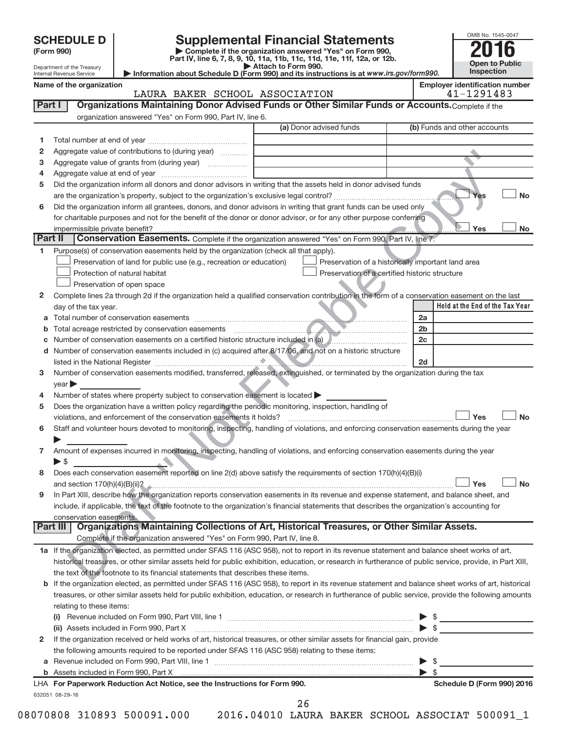| <b>SCHEDULE D</b> |  |
|-------------------|--|
|-------------------|--|

| (Form 990) |  |
|------------|--|
|------------|--|

# **Supplemental Financial Statements**<br> **Examplete if the organization answered "Yes" on Form 990,**

**(Form 990) | Complete if the organization answered "Yes" on Form 990, Part IV, line 6, 7, 8, 9, 10, 11a, 11b, 11c, 11d, 11e, 11f, 12a, or 12b.**<br>Attach to Form 990.



 $Yes$ 

Yes L

**Yes No**

**Yes No**

Figure value of contributions to (4uring year)<br>
Figure value of contributions to form (during year)<br>
The organization inform all develop and donor advisors in whiling that the assets hold in donor advised funds<br>
the organ Department of the Treasury Internal Revenue Service **Held at the End of the Tax Year | Attach to Form 990. | Information about Schedule D (Form 990) and its instructions is at**  *www.irs.gov/form990.* **Name of the organization Employer identification number** (a) Donor advised funds **1 2 3 4 5 6 1 2** Complete lines 2a through 2d if the organization held a qualified conservation contribution in the form of a conservation easement on the last **3 4 5** Does the organization have a written policy regarding the periodic monitoring, inspection, handling of **6 7 8 a** Total number of conservation easements **b** Total acreage restricted by conservation easements **c** Number of conservation easements on a certified historic structure included in (a) **d** Number of conservation easements included in (c) acquired after 8/17/06, and not on a historic structure **2a 2b 2c 2d Part I** | Organizations Maintaining Donor Advised Funds or Other Similar Funds or Accounts. Complete if the organization answered "Yes" on Form 990, Part IV, line 6. (b) Funds and other accounts Total number at end of year ~~~~~~~~~~~~~~~ Aggregate value of contributions to (during year)  $\quad \quad \ldots \ldots \ldots$ Aggregate value of grants from (during year) ~~~~~~ Aggregate value at end of year ~~~~~~~~~~~~~ Did the organization inform all donors and donor advisors in writing that the assets held in donor advised funds are the organization's property, subject to the organization's exclusive legal control?~~~~~~~~~~~~~~~~~~ Did the organization inform all grantees, donors, and donor advisors in writing that grant funds can be used only for charitable purposes and not for the benefit of the donor or donor advisor, or for any other purpose conferring impermissible private benefit? Part II Conservation Easements. Complete if the organization answered "Yes" on Form 990, Part IV, line 7. Purpose(s) of conservation easements held by the organization (check all that apply). **Preservation of land for public use (e.g., recreation or education) Protection of natural habitat Example 2014** Preservation of open space Preservation of a historically important land area Preservation of a certified historic structure day of the tax year. ~~~~~~~~~~~~~~~~~~~~~~~~~~~~~~~~ ~~~~~~~~~~~~~~~~~~~~~~~~~~ listed in the National Register ~~~~~~~~~~~~~~~~~~~~~~~~~~~~~~~~~~~~~~ ~~~~~~~~~~~~ Number of conservation easements modified, transferred, released, extinguished, or terminated by the organization during the tax  $year$ Number of states where property subject to conservation easement is located  $\blacktriangleright$ violations, and enforcement of the conservation easements it holds? ~~~~~~~~~~~~~~~~~~~~~~~~~ Staff and volunteer hours devoted to monitoring, inspecting, handling of violations, and enforcing conservation easements during the year  $\blacktriangleright$ Amount of expenses incurred in monitoring, inspecting, handling of violations, and enforcing conservation easements during the year  $\blacktriangleright$  \$ Does each conservation easement reported on line 2(d) above satisfy the requirements of section 170(h)(4)(B)(i) and section 170(h)(4)(B)(ii)? ~~~~~~~~~~~~~~~~~~~~~~~~~~~~~~~~~~~~~~~~~~~~~~  $\begin{array}{c} \hline \end{array}$ LAURA BAKER SCHOOL ASSOCIATION 41-1291483

**9** In Part XIII, describe how the organization reports conservation easements in its revenue and expense statement, and balance sheet, and include, if applicable, the text of the footnote to the organization's financial statements that describes the organization's accounting for conservation easements.

Complete if the organization answered "Yes" on Form 990, Part IV, line 8. **Part III Organizations Maintaining Collections of Art, Historical Treasures, or Other Similar Assets.**

| 1a If the organization elected, as permitted under SFAS 116 (ASC 958), not to report in its revenue statement and balance sheet works of art,             |
|-----------------------------------------------------------------------------------------------------------------------------------------------------------|
| historical treasures, or other similar assets held for public exhibition, education, or research in furtherance of public service, provide, in Part XIII, |
| the text of the footnote to its financial statements that describes these items.                                                                          |

**b** If the organization elected, as permitted under SFAS 116 (ASC 958), to report in its revenue statement and balance sheet works of art, historical treasures, or other similar assets held for public exhibition, education, or research in furtherance of public service, provide the following amounts relating to these items:

| LLA - Fau Dan succede Da decation. Ant Nation - son the Instrumations for Fauns 000.                                                                            | Calcadole B (Fause 000) 0040 |
|-----------------------------------------------------------------------------------------------------------------------------------------------------------------|------------------------------|
|                                                                                                                                                                 |                              |
| $\blacktriangleright$ s                                                                                                                                         |                              |
| the following amounts required to be reported under SFAS 116 (ASC 958) relating to these items:                                                                 |                              |
| 2 If the organization received or held works of art, historical treasures, or other similar assets for financial gain, provide                                  |                              |
| (ii) Assets included in Form 990, Part X [11] [12] Assets included in Form 990, Part X [12] [12] Assets included in Form 990, Part X<br>$\blacktriangleright$ s |                              |
| (i)                                                                                                                                                             |                              |

| LHA For Paperwork Reduction Act Notice, see the Instructions for Form 990 |  |  |  |
|---------------------------------------------------------------------------|--|--|--|
| 632051 08-29-16                                                           |  |  |  |

**For Paperwork Reduction Act Notice, see the Instructions for Form 990. Schedule D (Form 990) 2016**

**Yes No**

**Yes No**

26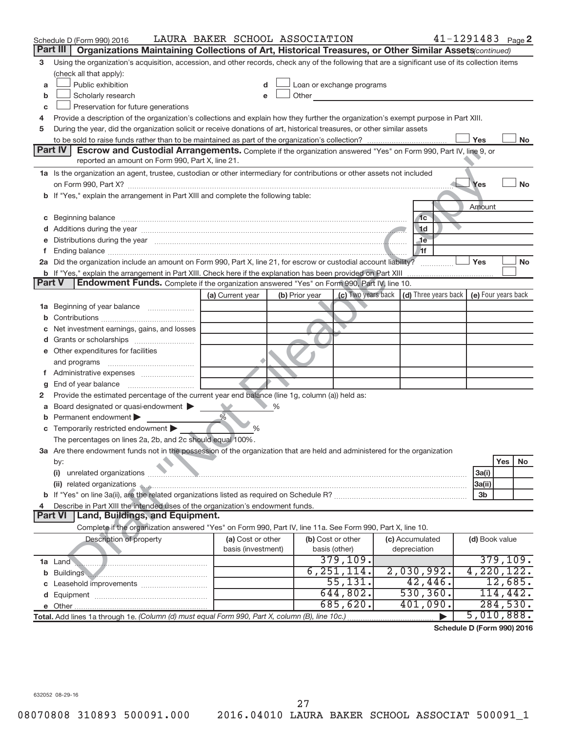|   | Schedule D (Form 990) 2016                                                                                                                        | LAURA BAKER SCHOOL ASSOCIATION |                                                                                                                                                                                                                               |                                                         | $41 - 1291483$ Page 2      |  |  |
|---|---------------------------------------------------------------------------------------------------------------------------------------------------|--------------------------------|-------------------------------------------------------------------------------------------------------------------------------------------------------------------------------------------------------------------------------|---------------------------------------------------------|----------------------------|--|--|
|   | Part III<br>Organizations Maintaining Collections of Art, Historical Treasures, or Other Similar Assets (continued)                               |                                |                                                                                                                                                                                                                               |                                                         |                            |  |  |
| з | Using the organization's acquisition, accession, and other records, check any of the following that are a significant use of its collection items |                                |                                                                                                                                                                                                                               |                                                         |                            |  |  |
|   | (check all that apply):                                                                                                                           |                                |                                                                                                                                                                                                                               |                                                         |                            |  |  |
| a | Public exhibition                                                                                                                                 |                                | Loan or exchange programs                                                                                                                                                                                                     |                                                         |                            |  |  |
| b | Scholarly research                                                                                                                                |                                | Other and the contract of the contract of the contract of the contract of the contract of the contract of the contract of the contract of the contract of the contract of the contract of the contract of the contract of the |                                                         |                            |  |  |
| С | Preservation for future generations                                                                                                               |                                |                                                                                                                                                                                                                               |                                                         |                            |  |  |
| 4 | Provide a description of the organization's collections and explain how they further the organization's exempt purpose in Part XIII.              |                                |                                                                                                                                                                                                                               |                                                         |                            |  |  |
| 5 | During the year, did the organization solicit or receive donations of art, historical treasures, or other similar assets                          |                                |                                                                                                                                                                                                                               |                                                         |                            |  |  |
|   |                                                                                                                                                   |                                |                                                                                                                                                                                                                               |                                                         | Yes<br>No                  |  |  |
|   | Part IV<br><b>Escrow and Custodial Arrangements.</b> Complete if the organization answered "Yes" on Form 990, Part IV, line 9, or                 |                                |                                                                                                                                                                                                                               |                                                         |                            |  |  |
|   | reported an amount on Form 990, Part X, line 21.                                                                                                  |                                |                                                                                                                                                                                                                               |                                                         |                            |  |  |
|   | 1a Is the organization an agent, trustee, custodian or other intermediary for contributions or other assets not included                          |                                |                                                                                                                                                                                                                               |                                                         |                            |  |  |
|   |                                                                                                                                                   |                                |                                                                                                                                                                                                                               |                                                         | <b>No</b><br>Yes           |  |  |
|   | b If "Yes," explain the arrangement in Part XIII and complete the following table:                                                                |                                |                                                                                                                                                                                                                               |                                                         |                            |  |  |
|   |                                                                                                                                                   |                                |                                                                                                                                                                                                                               |                                                         | Amount                     |  |  |
| С | Beginning balance entity and the contract of the contract of the contract of the contract of the contract of t                                    |                                |                                                                                                                                                                                                                               | 1 <sub>c</sub><br>1 <sub>d</sub>                        |                            |  |  |
|   |                                                                                                                                                   |                                |                                                                                                                                                                                                                               | $\sqrt{1}$                                              |                            |  |  |
|   |                                                                                                                                                   |                                |                                                                                                                                                                                                                               | Ħf.                                                     |                            |  |  |
|   | 2a Did the organization include an amount on Form 990, Part X, line 21, for escrow or custodial account liability?                                |                                |                                                                                                                                                                                                                               |                                                         | Yes<br><b>No</b>           |  |  |
|   | <b>b</b> If "Yes," explain the arrangement in Part XIII. Check here if the explanation has been provided on Part XIII                             |                                |                                                                                                                                                                                                                               |                                                         |                            |  |  |
|   | Endowment Funds. Complete if the organization answered "Yes" on Form 990, Part IV, line 10.<br>Part V                                             |                                |                                                                                                                                                                                                                               |                                                         |                            |  |  |
|   |                                                                                                                                                   | (a) Current year               | (b) Prior year                                                                                                                                                                                                                | (c) Two years back $\vert$ (d) Three years back $\vert$ | (e) Four years back        |  |  |
|   | 1a Beginning of year balance                                                                                                                      |                                |                                                                                                                                                                                                                               |                                                         |                            |  |  |
| b |                                                                                                                                                   |                                |                                                                                                                                                                                                                               |                                                         |                            |  |  |
|   | Net investment earnings, gains, and losses                                                                                                        |                                |                                                                                                                                                                                                                               |                                                         |                            |  |  |
|   |                                                                                                                                                   |                                |                                                                                                                                                                                                                               |                                                         |                            |  |  |
|   | e Other expenditures for facilities                                                                                                               |                                |                                                                                                                                                                                                                               |                                                         |                            |  |  |
|   |                                                                                                                                                   |                                |                                                                                                                                                                                                                               |                                                         |                            |  |  |
|   |                                                                                                                                                   |                                |                                                                                                                                                                                                                               |                                                         |                            |  |  |
| g |                                                                                                                                                   |                                |                                                                                                                                                                                                                               |                                                         |                            |  |  |
| 2 | Provide the estimated percentage of the current year end balance (line 1g, column (a)) held as:                                                   |                                |                                                                                                                                                                                                                               |                                                         |                            |  |  |
| а | Board designated or quasi-endowment                                                                                                               | %                              |                                                                                                                                                                                                                               |                                                         |                            |  |  |
|   | <b>b</b> Permanent endowment                                                                                                                      |                                |                                                                                                                                                                                                                               |                                                         |                            |  |  |
|   | <b>c</b> Temporarily restricted endowment $\blacktriangleright$                                                                                   | $\%$                           |                                                                                                                                                                                                                               |                                                         |                            |  |  |
|   | The percentages on lines 2a, 2b, and 2c should equal 100%.                                                                                        |                                |                                                                                                                                                                                                                               |                                                         |                            |  |  |
|   | 3a Are there endowment funds not in the possession of the organization that are held and administered for the organization                        |                                |                                                                                                                                                                                                                               |                                                         |                            |  |  |
|   | by:                                                                                                                                               |                                |                                                                                                                                                                                                                               |                                                         | Yes<br>No                  |  |  |
|   |                                                                                                                                                   |                                |                                                                                                                                                                                                                               |                                                         | 3a(i)                      |  |  |
|   | (ii) related organizations                                                                                                                        |                                |                                                                                                                                                                                                                               |                                                         | 3a(ii)                     |  |  |
|   |                                                                                                                                                   |                                |                                                                                                                                                                                                                               |                                                         | 3 <sub>b</sub>             |  |  |
| 4 | Describe in Part XIII the intended uses of the organization's endowment funds.<br>Land, Buildings, and Equipment.<br><b>Part VI</b>               |                                |                                                                                                                                                                                                                               |                                                         |                            |  |  |
|   |                                                                                                                                                   |                                |                                                                                                                                                                                                                               |                                                         |                            |  |  |
|   | Complete if the organization answered "Yes" on Form 990, Part IV, line 11a. See Form 990, Part X, line 10.                                        | (a) Cost or other              |                                                                                                                                                                                                                               |                                                         |                            |  |  |
|   | Description of property                                                                                                                           | basis (investment)             | (b) Cost or other<br>basis (other)                                                                                                                                                                                            | (c) Accumulated<br>depreciation                         | (d) Book value             |  |  |
|   |                                                                                                                                                   |                                | 379, 109.                                                                                                                                                                                                                     |                                                         | 379, 109.                  |  |  |
|   | 1a Land <b>March 2016 1a</b> Land <b>1a</b> Land <b>1a</b> Land <b>1</b>                                                                          |                                | 6, 251, 114.                                                                                                                                                                                                                  | 2,030,992.                                              | 4,220,122.                 |  |  |
| b | Buildings<br>c Leasehold improvements                                                                                                             |                                | 55, 131.                                                                                                                                                                                                                      | 42,446.                                                 | 12,685.                    |  |  |
|   |                                                                                                                                                   |                                | 644,802.                                                                                                                                                                                                                      | 530, 360.                                               | 114,442.                   |  |  |
|   |                                                                                                                                                   |                                | 685,620.                                                                                                                                                                                                                      | 401,090.                                                | 284,530.                   |  |  |
|   | Total. Add lines 1a through 1e. (Column (d) must equal Form 990, Part X, column (B), line 10c.)                                                   |                                |                                                                                                                                                                                                                               |                                                         | 5,010,888.                 |  |  |
|   |                                                                                                                                                   |                                |                                                                                                                                                                                                                               |                                                         | Schedule D (Form 990) 2016 |  |  |

**Schedule D (Form 990) 2016**

632052 08-29-16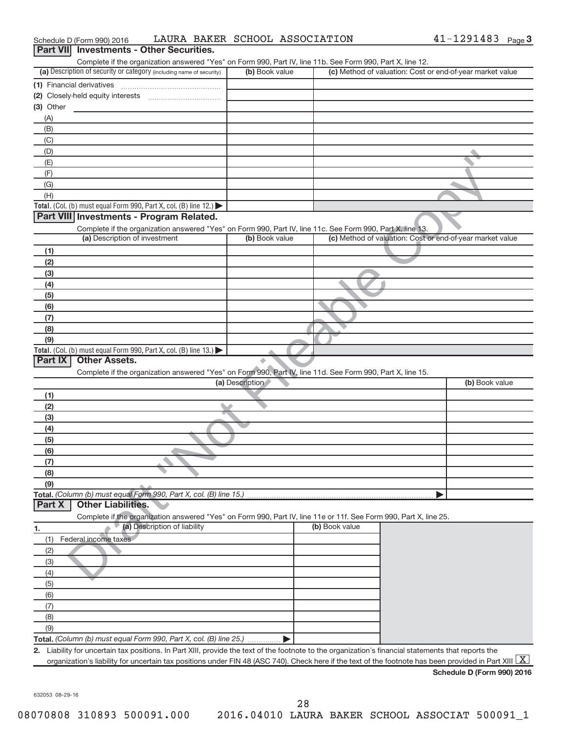| Schedule D (Form 990) 2016                                                                                                                                              | LAURA BAKER SCHOOL ASSOCIATION |                | 41-1291483 Page 3                                         |
|-------------------------------------------------------------------------------------------------------------------------------------------------------------------------|--------------------------------|----------------|-----------------------------------------------------------|
| Part VII Investments - Other Securities.                                                                                                                                |                                |                |                                                           |
| Complete if the organization answered "Yes" on Form 990, Part IV, line 11b. See Form 990, Part X, line 12.                                                              |                                |                |                                                           |
| (a) Description of security or category (including name of security)                                                                                                    | (b) Book value                 |                | (c) Method of valuation: Cost or end-of-year market value |
| (1) Financial derivatives                                                                                                                                               |                                |                |                                                           |
|                                                                                                                                                                         |                                |                |                                                           |
| (3) Other                                                                                                                                                               |                                |                |                                                           |
| (A)                                                                                                                                                                     |                                |                |                                                           |
| (B)                                                                                                                                                                     |                                |                |                                                           |
| (C)                                                                                                                                                                     |                                |                |                                                           |
| (D)                                                                                                                                                                     |                                |                |                                                           |
| (E)                                                                                                                                                                     |                                |                |                                                           |
| (F)<br>(G)                                                                                                                                                              |                                |                |                                                           |
| (H)                                                                                                                                                                     |                                |                |                                                           |
| Total. (Col. (b) must equal Form 990, Part X, col. (B) line $12$ .)                                                                                                     |                                |                |                                                           |
| Part VIII Investments - Program Related.                                                                                                                                |                                |                |                                                           |
| Complete if the organization answered "Yes" on Form 990, Part IV, line 11c. See Form 990, Part X, line 13.                                                              |                                |                |                                                           |
| (a) Description of investment                                                                                                                                           | (b) Book value                 |                | (c) Method of valuation: Cost or end-of-year market value |
| (1)                                                                                                                                                                     |                                |                |                                                           |
| (2)                                                                                                                                                                     |                                |                |                                                           |
| (3)                                                                                                                                                                     |                                |                |                                                           |
| (4)                                                                                                                                                                     |                                |                |                                                           |
| (5)                                                                                                                                                                     |                                |                |                                                           |
| (6)                                                                                                                                                                     |                                |                |                                                           |
| (7)                                                                                                                                                                     |                                |                |                                                           |
| (8)                                                                                                                                                                     |                                |                |                                                           |
| (9)                                                                                                                                                                     |                                |                |                                                           |
| Total. (Col. (b) must equal Form 990, Part X, col. (B) line 13.)                                                                                                        |                                |                |                                                           |
| <b>Other Assets.</b><br>Part IX                                                                                                                                         | ۸                              |                |                                                           |
| Complete if the organization answered "Yes" on Form 990, Part IV, line 11d. See Form 990, Part X, line 15.                                                              |                                |                |                                                           |
|                                                                                                                                                                         | (a) Description                |                | (b) Book value                                            |
| (1)                                                                                                                                                                     |                                |                |                                                           |
| (2)                                                                                                                                                                     |                                |                |                                                           |
| (3)                                                                                                                                                                     |                                |                |                                                           |
| (4)                                                                                                                                                                     |                                |                |                                                           |
| (5)                                                                                                                                                                     |                                |                |                                                           |
| (6)<br>(7)                                                                                                                                                              |                                |                |                                                           |
| (8)                                                                                                                                                                     |                                |                |                                                           |
| (9)                                                                                                                                                                     |                                |                |                                                           |
| Total. (Column (b) must equal Form 990, Part X, col. (B) line 15.)                                                                                                      |                                |                |                                                           |
| <b>Other Liabilities.</b><br>Part X                                                                                                                                     |                                |                |                                                           |
| Complete if the organization answered "Yes" on Form 990, Part IV, line 11e or 11f. See Form 990, Part X, line 25.                                                       |                                |                |                                                           |
| (a) Description of liability<br>1.                                                                                                                                      |                                | (b) Book value |                                                           |
| Federal income taxes<br>(1)                                                                                                                                             |                                |                |                                                           |
| (2)                                                                                                                                                                     |                                |                |                                                           |
| (3)                                                                                                                                                                     |                                |                |                                                           |
| (4)                                                                                                                                                                     |                                |                |                                                           |
| (5)                                                                                                                                                                     |                                |                |                                                           |
| (6)                                                                                                                                                                     |                                |                |                                                           |
| (7)                                                                                                                                                                     |                                |                |                                                           |
| (8)                                                                                                                                                                     |                                |                |                                                           |
| (9)                                                                                                                                                                     |                                |                |                                                           |
| Total. (Column (b) must equal Form 990, Part X, col. (B) line 25.)                                                                                                      |                                |                |                                                           |
| 2. Liability for uncertain tax positions. In Part XIII, provide the text of the footnote to the organization's financial statements that reports the                    |                                |                |                                                           |
| organization's liability for uncertain tax positions under FIN 48 (ASC 740). Check here if the text of the footnote has been provided in Part XIII $\boxed{\mathrm{X}}$ |                                |                |                                                           |

632053 08-29-16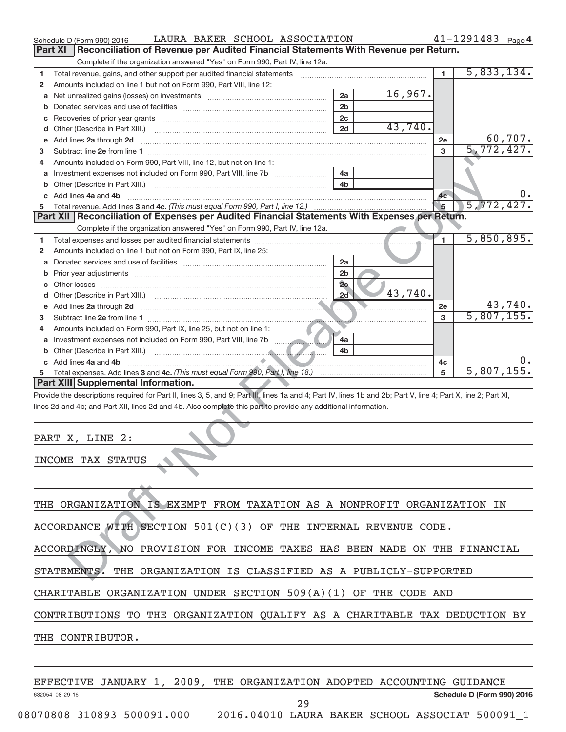|   | LAURA BAKER SCHOOL ASSOCIATION<br>Schedule D (Form 990) 2016                                                                                                   |                |         |                | 41-1291483 Page 4 |         |
|---|----------------------------------------------------------------------------------------------------------------------------------------------------------------|----------------|---------|----------------|-------------------|---------|
|   | Reconciliation of Revenue per Audited Financial Statements With Revenue per Return.<br>Part XI                                                                 |                |         |                |                   |         |
|   | Complete if the organization answered "Yes" on Form 990, Part IV, line 12a.                                                                                    |                |         |                |                   |         |
| 1 | Total revenue, gains, and other support per audited financial statements [[[[[[[[[[[[[[[[[[[[[[]]]]]]]]]]]]]]                                                  |                |         | $\blacksquare$ | 5,833,134.        |         |
| 2 | Amounts included on line 1 but not on Form 990, Part VIII, line 12:                                                                                            |                |         |                |                   |         |
| а |                                                                                                                                                                | 2a             | 16,967. |                |                   |         |
| b |                                                                                                                                                                | 2 <sub>b</sub> |         |                |                   |         |
| С |                                                                                                                                                                | 2c             |         |                |                   |         |
|   |                                                                                                                                                                | 2d             | 43,740. |                |                   |         |
|   | e Add lines 2a through 2d                                                                                                                                      |                |         | 2e             |                   | 60,707. |
| 3 |                                                                                                                                                                |                |         | 3              | 5,772,427.        |         |
| 4 | Amounts included on Form 990, Part VIII, line 12, but not on line 1:                                                                                           |                |         |                |                   |         |
|   |                                                                                                                                                                | 4a             |         |                |                   |         |
|   |                                                                                                                                                                | 4 <sub>b</sub> |         |                |                   |         |
|   | c Add lines 4a and 4b                                                                                                                                          |                |         | 4c             |                   | υ.      |
| 5 |                                                                                                                                                                |                |         | 5              | 5,772,427.        |         |
|   | Part XII   Reconciliation of Expenses per Audited Financial Statements With Expenses per Return.                                                               |                |         |                |                   |         |
|   | Complete if the organization answered "Yes" on Form 990, Part IV, line 12a.                                                                                    |                |         |                |                   |         |
| 1 |                                                                                                                                                                |                |         | $\blacksquare$ | 5,850,895.        |         |
| 2 | Amounts included on line 1 but not on Form 990, Part IX, line 25:                                                                                              |                |         |                |                   |         |
| а |                                                                                                                                                                | 2a             |         |                |                   |         |
| b |                                                                                                                                                                | 2 <sub>b</sub> |         |                |                   |         |
| с |                                                                                                                                                                | 2c             |         |                |                   |         |
|   |                                                                                                                                                                | 2d             | 43,740. |                |                   |         |
|   |                                                                                                                                                                |                |         | 2e             |                   | 43,740. |
| 3 |                                                                                                                                                                |                |         | 3              | 5,807,155.        |         |
| 4 | Amounts included on Form 990, Part IX, line 25, but not on line 1:                                                                                             |                |         |                |                   |         |
|   |                                                                                                                                                                | 4a             |         |                |                   |         |
|   |                                                                                                                                                                | 4b             |         |                |                   |         |
|   | c Add lines 4a and 4b                                                                                                                                          |                |         | 4c             | 5,807,155.        |         |
| 5 | Part XIII Supplemental Information.                                                                                                                            |                |         | 5              |                   |         |
|   | Provide the descriptions required for Part II, lines 3, 5, and 9; Part III, lines 1a and 4; Part IV, lines 1b and 2b; Part V, line 4; Part X, line 2; Part XI, |                |         |                |                   |         |
|   | lines 2d and 4b; and Part XII, lines 2d and 4b. Also complete this part to provide any additional information.                                                 |                |         |                |                   |         |
|   |                                                                                                                                                                |                |         |                |                   |         |
|   | PART X, LINE 2:                                                                                                                                                |                |         |                |                   |         |
|   |                                                                                                                                                                |                |         |                |                   |         |
|   | INCOME TAX STATUS                                                                                                                                              |                |         |                |                   |         |
|   |                                                                                                                                                                |                |         |                |                   |         |
|   |                                                                                                                                                                |                |         |                |                   |         |
|   |                                                                                                                                                                |                |         |                |                   |         |
|   | THE ORGANIZATION IS EXEMPT FROM TAXATION AS A NONPROFIT ORGANIZATION IN                                                                                        |                |         |                |                   |         |
|   |                                                                                                                                                                |                |         |                |                   |         |
|   | ACCORDANCE WITH SECTION $501(C)(3)$ OF THE INTERNAL REVENUE CODE.                                                                                              |                |         |                |                   |         |
|   | ACCORDINGLY, NO PROVISION FOR INCOME TAXES HAS BEEN MADE ON THE FINANCIAL                                                                                      |                |         |                |                   |         |
|   |                                                                                                                                                                |                |         |                |                   |         |
|   | STATEMENTS. THE ORGANIZATION IS CLASSIFIED AS A PUBLICLY-SUPPORTED                                                                                             |                |         |                |                   |         |
|   |                                                                                                                                                                |                |         |                |                   |         |

| PART X, LINE 2:   |  |
|-------------------|--|
| INCOME TAX STATUS |  |
|                   |  |
|                   |  |

| THE ORGANIZATION IS EXEMPT FROM TAXATION AS A NONPROFIT ORGANIZATION IN    |  |  |  |  |  |  |
|----------------------------------------------------------------------------|--|--|--|--|--|--|
| ACCORDANCE WITH SECTION $501(C)(3)$ OF THE INTERNAL REVENUE CODE.          |  |  |  |  |  |  |
| ACCORDINGLY, NO PROVISION FOR INCOME TAXES HAS BEEN MADE ON THE FINANCIAL  |  |  |  |  |  |  |
| STATEMENTS. THE ORGANIZATION IS CLASSIFIED AS A PUBLICLY-SUPPORTED         |  |  |  |  |  |  |
| CHARITABLE ORGANIZATION UNDER SECTION $509(A)(1)$ OF THE CODE AND          |  |  |  |  |  |  |
| CONTRIBUTIONS TO THE ORGANIZATION QUALIFY AS A CHARITABLE TAX DEDUCTION BY |  |  |  |  |  |  |
| THE CONTRIBUTOR.                                                           |  |  |  |  |  |  |
|                                                                            |  |  |  |  |  |  |

|                            |  |  |  | EFFECTIVE JANUARY 1, 2009, THE ORGANIZATION ADOPTED ACCOUNTING GUIDANCE |    |  |  |                            |  |
|----------------------------|--|--|--|-------------------------------------------------------------------------|----|--|--|----------------------------|--|
| 632054 08-29-16            |  |  |  |                                                                         | 29 |  |  | Schedule D (Form 990) 2016 |  |
| 08070808 310893 500091.000 |  |  |  | 2016.04010 LAURA BAKER SCHOOL ASSOCIAT 500091 1                         |    |  |  |                            |  |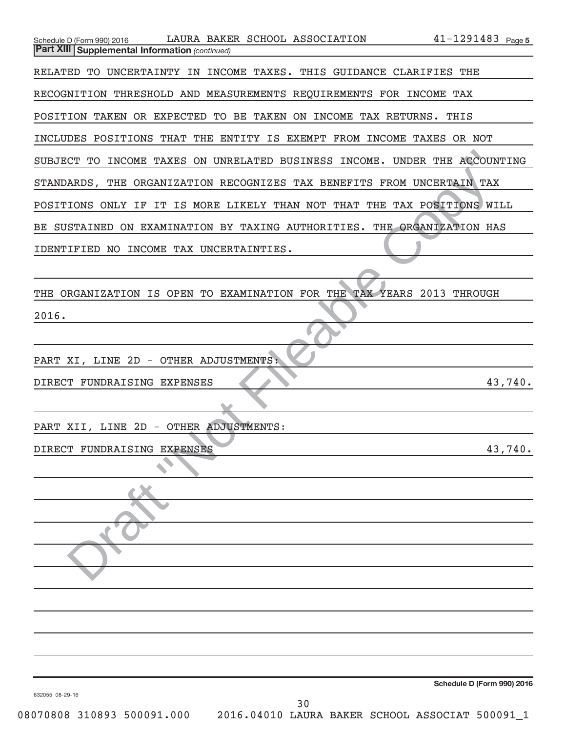| $41 - 1291483$ Page 5<br>LAURA BAKER SCHOOL ASSOCIATION<br>Schedule D (Form 990) 2016<br><b>Part XIII Supplemental Information (continued)</b> |
|------------------------------------------------------------------------------------------------------------------------------------------------|
| RELATED TO UNCERTAINTY IN INCOME TAXES. THIS GUIDANCE CLARIFIES THE                                                                            |
| RECOGNITION THRESHOLD AND MEASUREMENTS REQUIREMENTS FOR INCOME TAX                                                                             |
| POSITION TAKEN OR EXPECTED TO BE TAKEN ON INCOME TAX RETURNS. THIS                                                                             |
| INCLUDES POSITIONS THAT<br>THE ENTITY IS EXEMPT FROM INCOME TAXES OR NOT                                                                       |
| SUBJECT TO INCOME TAXES ON UNRELATED BUSINESS INCOME. UNDER THE ACCOUNTING                                                                     |
| STANDARDS, THE ORGANIZATION RECOGNIZES TAX BENEFITS FROM UNCERTAIN TAX                                                                         |
| POSITIONS ONLY IF IT IS MORE LIKELY THAN NOT THAT THE TAX POSITIONS WILL                                                                       |
| BE SUSTAINED ON EXAMINATION BY TAXING AUTHORITIES. THE ORGANIZATION HAS                                                                        |
| IDENTIFIED NO INCOME TAX UNCERTAINTIES.                                                                                                        |
|                                                                                                                                                |
| THE ORGANIZATION IS OPEN TO EXAMINATION FOR THE TAX YEARS 2013 THROUGH                                                                         |
| 2016.                                                                                                                                          |
|                                                                                                                                                |
| PART XI, LINE 2D - OTHER ADJUSTMENTS:                                                                                                          |
| 43,740.<br>DIRECT FUNDRAISING EXPENSES                                                                                                         |
|                                                                                                                                                |
| PART XII, LINE 2D - OTHER ADJUSTMENTS:                                                                                                         |
| DIRECT FUNDRAISING EXPENSES<br>43,740.                                                                                                         |
|                                                                                                                                                |
|                                                                                                                                                |
|                                                                                                                                                |
|                                                                                                                                                |
|                                                                                                                                                |
|                                                                                                                                                |
|                                                                                                                                                |
|                                                                                                                                                |
|                                                                                                                                                |
|                                                                                                                                                |
| Schedule D (Form 990) 2016<br>632055 08-29-16<br>30                                                                                            |
|                                                                                                                                                |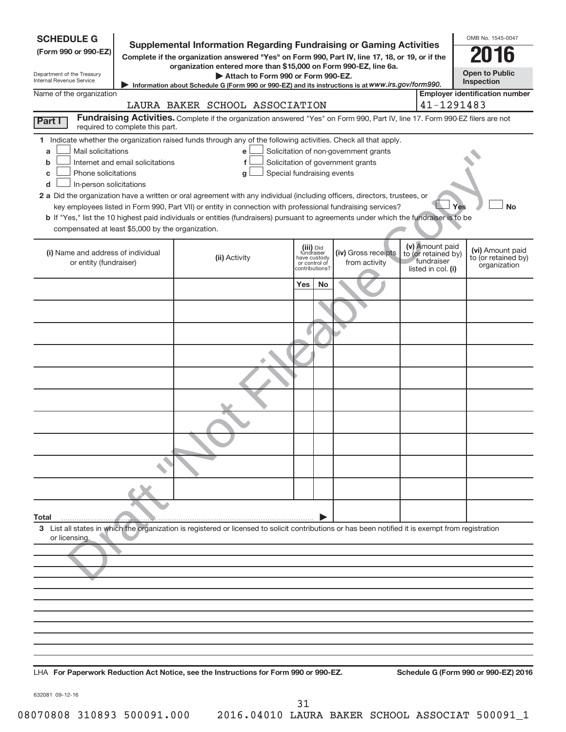| <b>SCHEDULE G</b><br>(Form 990 or 990-EZ)<br>Department of the Treasury<br>Internal Revenue Service                                           |                                  | <b>Supplemental Information Regarding Fundraising or Gaming Activities</b><br>Complete if the organization answered "Yes" on Form 990, Part IV, line 17, 18, or 19, or if the<br>organization entered more than \$15,000 on Form 990-EZ, line 6a.<br>Attach to Form 990 or Form 990-EZ.<br>Information about Schedule G (Form 990 or 990-EZ) and its instructions is at WWW.irs.gov/form990.                                                                                                                         |                                                                            |                                       |                                                                            | OMB No. 1545-0047<br><b>Open to Public</b><br>Inspection |
|-----------------------------------------------------------------------------------------------------------------------------------------------|----------------------------------|----------------------------------------------------------------------------------------------------------------------------------------------------------------------------------------------------------------------------------------------------------------------------------------------------------------------------------------------------------------------------------------------------------------------------------------------------------------------------------------------------------------------|----------------------------------------------------------------------------|---------------------------------------|----------------------------------------------------------------------------|----------------------------------------------------------|
| Name of the organization                                                                                                                      |                                  |                                                                                                                                                                                                                                                                                                                                                                                                                                                                                                                      |                                                                            |                                       |                                                                            | <b>Employer identification number</b>                    |
|                                                                                                                                               |                                  | LAURA BAKER SCHOOL ASSOCIATION<br>Fundraising Activities. Complete if the organization answered "Yes" on Form 990, Part IV, line 17. Form 990-EZ filers are not                                                                                                                                                                                                                                                                                                                                                      |                                                                            |                                       | 41-1291483                                                                 |                                                          |
| Part I                                                                                                                                        | required to complete this part.  |                                                                                                                                                                                                                                                                                                                                                                                                                                                                                                                      |                                                                            |                                       |                                                                            |                                                          |
| Mail solicitations<br>a<br>b<br>Phone solicitations<br>c<br>In-person solicitations<br>d<br>compensated at least \$5,000 by the organization. | Internet and email solicitations | 1 Indicate whether the organization raised funds through any of the following activities. Check all that apply.<br>e<br>f<br>g<br>2 a Did the organization have a written or oral agreement with any individual (including officers, directors, trustees, or<br>key employees listed in Form 990, Part VII) or entity in connection with professional fundraising services?<br>b If "Yes," list the 10 highest paid individuals or entities (fundraisers) pursuant to agreements under which the fundraiser is to be | Solicitation of government grants<br>Special fundraising events            | Solicitation of non-government grants |                                                                            | <b>No</b><br>Yes                                         |
| (i) Name and address of individual<br>or entity (fundraiser)                                                                                  |                                  | (ii) Activity                                                                                                                                                                                                                                                                                                                                                                                                                                                                                                        | (iii) Did<br>fundraiser<br>have custody<br>or control of<br>contributions? | (iv) Gross receipts<br>from activity  | (v) Amount paid<br>to (or retained by)<br>fundraiser<br>listed in col. (i) | (vi) Amount paid<br>to (or retained by)<br>organization  |
|                                                                                                                                               |                                  |                                                                                                                                                                                                                                                                                                                                                                                                                                                                                                                      | Yes<br>No                                                                  |                                       |                                                                            |                                                          |
|                                                                                                                                               |                                  |                                                                                                                                                                                                                                                                                                                                                                                                                                                                                                                      |                                                                            |                                       |                                                                            |                                                          |
|                                                                                                                                               |                                  |                                                                                                                                                                                                                                                                                                                                                                                                                                                                                                                      |                                                                            |                                       |                                                                            |                                                          |
|                                                                                                                                               |                                  |                                                                                                                                                                                                                                                                                                                                                                                                                                                                                                                      |                                                                            |                                       |                                                                            |                                                          |
|                                                                                                                                               |                                  |                                                                                                                                                                                                                                                                                                                                                                                                                                                                                                                      |                                                                            |                                       |                                                                            |                                                          |
|                                                                                                                                               |                                  |                                                                                                                                                                                                                                                                                                                                                                                                                                                                                                                      |                                                                            |                                       |                                                                            |                                                          |
|                                                                                                                                               |                                  |                                                                                                                                                                                                                                                                                                                                                                                                                                                                                                                      |                                                                            |                                       |                                                                            |                                                          |
|                                                                                                                                               |                                  |                                                                                                                                                                                                                                                                                                                                                                                                                                                                                                                      |                                                                            |                                       |                                                                            |                                                          |
|                                                                                                                                               |                                  |                                                                                                                                                                                                                                                                                                                                                                                                                                                                                                                      |                                                                            |                                       |                                                                            |                                                          |
|                                                                                                                                               |                                  |                                                                                                                                                                                                                                                                                                                                                                                                                                                                                                                      |                                                                            |                                       |                                                                            |                                                          |
| Total                                                                                                                                         |                                  |                                                                                                                                                                                                                                                                                                                                                                                                                                                                                                                      |                                                                            |                                       |                                                                            |                                                          |
| or licensing.                                                                                                                                 |                                  | 3 List all states in which the organization is registered or licensed to solicit contributions or has been notified it is exempt from registration                                                                                                                                                                                                                                                                                                                                                                   |                                                                            |                                       |                                                                            |                                                          |
|                                                                                                                                               |                                  |                                                                                                                                                                                                                                                                                                                                                                                                                                                                                                                      |                                                                            |                                       |                                                                            |                                                          |
|                                                                                                                                               |                                  |                                                                                                                                                                                                                                                                                                                                                                                                                                                                                                                      |                                                                            |                                       |                                                                            |                                                          |
|                                                                                                                                               |                                  |                                                                                                                                                                                                                                                                                                                                                                                                                                                                                                                      |                                                                            |                                       |                                                                            |                                                          |
|                                                                                                                                               |                                  |                                                                                                                                                                                                                                                                                                                                                                                                                                                                                                                      |                                                                            |                                       |                                                                            |                                                          |
|                                                                                                                                               |                                  |                                                                                                                                                                                                                                                                                                                                                                                                                                                                                                                      |                                                                            |                                       |                                                                            |                                                          |
|                                                                                                                                               |                                  |                                                                                                                                                                                                                                                                                                                                                                                                                                                                                                                      |                                                                            |                                       |                                                                            |                                                          |
|                                                                                                                                               |                                  | LHA For Paperwork Reduction Act Notice, see the Instructions for Form 990 or 990-EZ.                                                                                                                                                                                                                                                                                                                                                                                                                                 |                                                                            |                                       |                                                                            | Schedule G (Form 990 or 990-EZ) 2016                     |

632081 09-12-16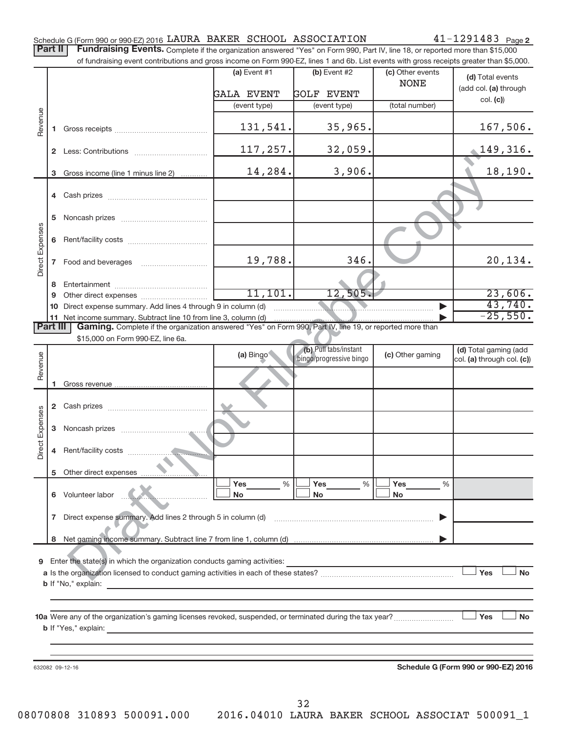| Schedule G (Form 990 or 990-EZ) 2016 LAURA BAKER SCHOOL ASSOCIATION |  |  |  | $41 - 1291483$ Page 2 |
|---------------------------------------------------------------------|--|--|--|-----------------------|
|---------------------------------------------------------------------|--|--|--|-----------------------|

Part II | Fundraising Events. Complete if the organization answered "Yes" on Form 990, Part IV, line 18, or reported more than \$15,000

|                            |                                                                                                                                                                                                | of fundraising event contributions and gross income on Form 990-EZ, lines 1 and 6b. List events with gross receipts greater than \$5,000. |                   |                                                                                                                                                                                                                                      |                  |                            |  |  |  |  |
|----------------------------|------------------------------------------------------------------------------------------------------------------------------------------------------------------------------------------------|-------------------------------------------------------------------------------------------------------------------------------------------|-------------------|--------------------------------------------------------------------------------------------------------------------------------------------------------------------------------------------------------------------------------------|------------------|----------------------------|--|--|--|--|
|                            |                                                                                                                                                                                                |                                                                                                                                           | (a) Event $#1$    | $(b)$ Event #2                                                                                                                                                                                                                       | (c) Other events | (d) Total events           |  |  |  |  |
|                            |                                                                                                                                                                                                |                                                                                                                                           |                   |                                                                                                                                                                                                                                      | <b>NONE</b>      | (add col. (a) through      |  |  |  |  |
|                            |                                                                                                                                                                                                |                                                                                                                                           | <b>GALA EVENT</b> | <b>GOLF EVENT</b>                                                                                                                                                                                                                    |                  | col. (c))                  |  |  |  |  |
|                            |                                                                                                                                                                                                |                                                                                                                                           | (event type)      | (event type)                                                                                                                                                                                                                         | (total number)   |                            |  |  |  |  |
| Revenue                    |                                                                                                                                                                                                |                                                                                                                                           |                   |                                                                                                                                                                                                                                      |                  |                            |  |  |  |  |
|                            | 1.                                                                                                                                                                                             |                                                                                                                                           | 131,541.          | 35,965.                                                                                                                                                                                                                              |                  | 167,506.                   |  |  |  |  |
|                            |                                                                                                                                                                                                |                                                                                                                                           |                   |                                                                                                                                                                                                                                      |                  |                            |  |  |  |  |
|                            |                                                                                                                                                                                                |                                                                                                                                           | 117,257.          | 32,059.                                                                                                                                                                                                                              |                  | <u>149,316.</u>            |  |  |  |  |
|                            |                                                                                                                                                                                                |                                                                                                                                           | 14,284.           | 3,906.                                                                                                                                                                                                                               |                  | 18,190.                    |  |  |  |  |
|                            | 3                                                                                                                                                                                              | Gross income (line 1 minus line 2)                                                                                                        |                   |                                                                                                                                                                                                                                      |                  |                            |  |  |  |  |
|                            |                                                                                                                                                                                                |                                                                                                                                           |                   |                                                                                                                                                                                                                                      |                  |                            |  |  |  |  |
| Direct Expenses            |                                                                                                                                                                                                |                                                                                                                                           |                   |                                                                                                                                                                                                                                      |                  |                            |  |  |  |  |
|                            | 5                                                                                                                                                                                              |                                                                                                                                           |                   |                                                                                                                                                                                                                                      |                  |                            |  |  |  |  |
|                            |                                                                                                                                                                                                |                                                                                                                                           |                   |                                                                                                                                                                                                                                      |                  |                            |  |  |  |  |
|                            | 6                                                                                                                                                                                              |                                                                                                                                           |                   |                                                                                                                                                                                                                                      |                  |                            |  |  |  |  |
|                            |                                                                                                                                                                                                |                                                                                                                                           |                   |                                                                                                                                                                                                                                      |                  |                            |  |  |  |  |
|                            | $7\phantom{.}$                                                                                                                                                                                 | Food and beverages                                                                                                                        | 19,788.           | 346.                                                                                                                                                                                                                                 |                  | 20,134.                    |  |  |  |  |
|                            |                                                                                                                                                                                                |                                                                                                                                           |                   |                                                                                                                                                                                                                                      |                  |                            |  |  |  |  |
|                            | 8.                                                                                                                                                                                             |                                                                                                                                           |                   |                                                                                                                                                                                                                                      |                  |                            |  |  |  |  |
|                            | 9                                                                                                                                                                                              |                                                                                                                                           | 11,101.           | 12,505.                                                                                                                                                                                                                              |                  | 23,606.                    |  |  |  |  |
|                            | 10                                                                                                                                                                                             | Direct expense summary. Add lines 4 through 9 in column (d)                                                                               |                   | <u> Elizabeth Communication de la communication de la communication de la communication de la communication de la communication de la communication de la communication de la communication de la communication de la communicat</u> |                  | 43,740.<br>$-25,550.$      |  |  |  |  |
|                            | 11 Net income summary. Subtract line 10 from line 3, column (d)<br><b>Part III</b><br>Gaming. Complete if the organization answered "Yes" on Form 990, Part IV, line 19, or reported more than |                                                                                                                                           |                   |                                                                                                                                                                                                                                      |                  |                            |  |  |  |  |
|                            |                                                                                                                                                                                                | \$15,000 on Form 990-EZ, line 6a.                                                                                                         |                   |                                                                                                                                                                                                                                      |                  |                            |  |  |  |  |
|                            |                                                                                                                                                                                                |                                                                                                                                           |                   | (b) Pull tabs/instant                                                                                                                                                                                                                |                  | (d) Total gaming (add      |  |  |  |  |
|                            |                                                                                                                                                                                                |                                                                                                                                           | (a) Bingo         | bingo/progressive bingo                                                                                                                                                                                                              | (c) Other gaming | col. (a) through col. (c)) |  |  |  |  |
|                            |                                                                                                                                                                                                |                                                                                                                                           |                   |                                                                                                                                                                                                                                      |                  |                            |  |  |  |  |
|                            | 1.                                                                                                                                                                                             |                                                                                                                                           |                   |                                                                                                                                                                                                                                      |                  |                            |  |  |  |  |
| Revenue<br>Direct Expenses |                                                                                                                                                                                                |                                                                                                                                           |                   |                                                                                                                                                                                                                                      |                  |                            |  |  |  |  |
|                            |                                                                                                                                                                                                |                                                                                                                                           |                   |                                                                                                                                                                                                                                      |                  |                            |  |  |  |  |
|                            |                                                                                                                                                                                                |                                                                                                                                           |                   |                                                                                                                                                                                                                                      |                  |                            |  |  |  |  |
|                            | 3                                                                                                                                                                                              |                                                                                                                                           |                   |                                                                                                                                                                                                                                      |                  |                            |  |  |  |  |
|                            |                                                                                                                                                                                                |                                                                                                                                           |                   |                                                                                                                                                                                                                                      |                  |                            |  |  |  |  |
|                            | 4                                                                                                                                                                                              |                                                                                                                                           |                   |                                                                                                                                                                                                                                      |                  |                            |  |  |  |  |
|                            |                                                                                                                                                                                                |                                                                                                                                           |                   |                                                                                                                                                                                                                                      |                  |                            |  |  |  |  |
|                            | 5                                                                                                                                                                                              | Other direct expenses                                                                                                                     | Yes<br>%          | Yes<br>%                                                                                                                                                                                                                             | Yes<br>%         |                            |  |  |  |  |
|                            |                                                                                                                                                                                                | 6 Volunteer labor                                                                                                                         | No                | <b>No</b>                                                                                                                                                                                                                            | No               |                            |  |  |  |  |
|                            |                                                                                                                                                                                                |                                                                                                                                           |                   |                                                                                                                                                                                                                                      |                  |                            |  |  |  |  |
|                            | $\mathbf{7}$                                                                                                                                                                                   | Direct expense summary. Add lines 2 through 5 in column (d)                                                                               |                   |                                                                                                                                                                                                                                      |                  |                            |  |  |  |  |
|                            |                                                                                                                                                                                                |                                                                                                                                           |                   |                                                                                                                                                                                                                                      |                  |                            |  |  |  |  |
|                            |                                                                                                                                                                                                |                                                                                                                                           |                   |                                                                                                                                                                                                                                      |                  |                            |  |  |  |  |
|                            |                                                                                                                                                                                                |                                                                                                                                           |                   |                                                                                                                                                                                                                                      |                  |                            |  |  |  |  |
| 9                          |                                                                                                                                                                                                | Enter the state(s) in which the organization conducts gaming activities:                                                                  |                   |                                                                                                                                                                                                                                      |                  |                            |  |  |  |  |
|                            |                                                                                                                                                                                                |                                                                                                                                           |                   |                                                                                                                                                                                                                                      |                  | Yes<br>No                  |  |  |  |  |
|                            |                                                                                                                                                                                                | <b>b</b> If "No," explain:                                                                                                                |                   |                                                                                                                                                                                                                                      |                  |                            |  |  |  |  |
|                            |                                                                                                                                                                                                |                                                                                                                                           |                   |                                                                                                                                                                                                                                      |                  |                            |  |  |  |  |
|                            |                                                                                                                                                                                                |                                                                                                                                           |                   |                                                                                                                                                                                                                                      |                  |                            |  |  |  |  |
|                            |                                                                                                                                                                                                |                                                                                                                                           |                   |                                                                                                                                                                                                                                      |                  | Yes<br>No                  |  |  |  |  |
|                            |                                                                                                                                                                                                |                                                                                                                                           |                   |                                                                                                                                                                                                                                      |                  |                            |  |  |  |  |
|                            |                                                                                                                                                                                                |                                                                                                                                           |                   |                                                                                                                                                                                                                                      |                  |                            |  |  |  |  |

632082 09-12-16

**Schedule G (Form 990 or 990-EZ) 2016**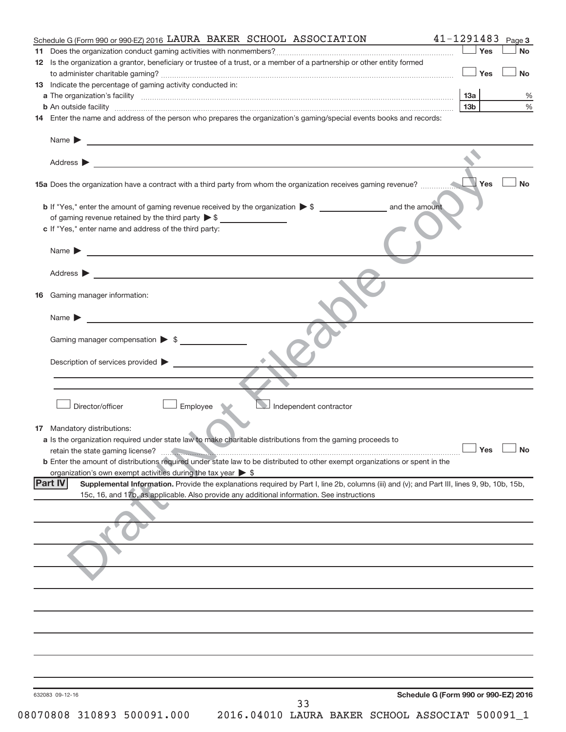| Schedule G (Form 990 or 990-EZ) 2016 LAURA BAKER SCHOOL ASSOCIATION                                                                                                                                                                     | $41 - 1291483$ Page 3                                                                     |
|-----------------------------------------------------------------------------------------------------------------------------------------------------------------------------------------------------------------------------------------|-------------------------------------------------------------------------------------------|
|                                                                                                                                                                                                                                         | Yes<br><b>No</b>                                                                          |
| 12 Is the organization a grantor, beneficiary or trustee of a trust, or a member of a partnership or other entity formed                                                                                                                |                                                                                           |
|                                                                                                                                                                                                                                         | $\Box$ Yes<br><b>No</b>                                                                   |
| 13 Indicate the percentage of gaming activity conducted in:                                                                                                                                                                             |                                                                                           |
|                                                                                                                                                                                                                                         | 13a<br>%                                                                                  |
|                                                                                                                                                                                                                                         | $\%$<br>13 <sub>b</sub>                                                                   |
| 14 Enter the name and address of the person who prepares the organization's gaming/special events books and records:                                                                                                                    |                                                                                           |
|                                                                                                                                                                                                                                         |                                                                                           |
| Name $\blacktriangleright$<br><u> 1989 - Andrea Stadt Britain, amerikansk politiker (</u>                                                                                                                                               |                                                                                           |
|                                                                                                                                                                                                                                         |                                                                                           |
| Address $\blacktriangleright$                                                                                                                                                                                                           |                                                                                           |
|                                                                                                                                                                                                                                         | Yes<br><b>No</b>                                                                          |
|                                                                                                                                                                                                                                         |                                                                                           |
| of gaming revenue retained by the third party $\triangleright$ \$                                                                                                                                                                       |                                                                                           |
| c If "Yes," enter name and address of the third party:                                                                                                                                                                                  |                                                                                           |
|                                                                                                                                                                                                                                         |                                                                                           |
| Name $\blacktriangleright$<br><u> 1989 - Johann Barbara, martin amerikan basal dan berasal dan berasal dalam basal dalam basal dalam basal dala</u>                                                                                     |                                                                                           |
|                                                                                                                                                                                                                                         |                                                                                           |
| Address $\blacktriangleright$                                                                                                                                                                                                           |                                                                                           |
|                                                                                                                                                                                                                                         |                                                                                           |
| Gaming manager information:<br>16                                                                                                                                                                                                       |                                                                                           |
|                                                                                                                                                                                                                                         |                                                                                           |
| Name $\blacktriangleright$<br><u> 1980 - Jan Stein, amerikansk politiker (d. 1980)</u>                                                                                                                                                  |                                                                                           |
|                                                                                                                                                                                                                                         |                                                                                           |
| Gaming manager compensation $\triangleright$ \$                                                                                                                                                                                         |                                                                                           |
|                                                                                                                                                                                                                                         |                                                                                           |
| Description of services provided >                                                                                                                                                                                                      | the control of the control of the control of the control of the control of the control of |
|                                                                                                                                                                                                                                         |                                                                                           |
|                                                                                                                                                                                                                                         |                                                                                           |
|                                                                                                                                                                                                                                         |                                                                                           |
| Independent contractor<br>Director/officer<br>Employee                                                                                                                                                                                  |                                                                                           |
|                                                                                                                                                                                                                                         |                                                                                           |
| 17 Mandatory distributions:                                                                                                                                                                                                             |                                                                                           |
| a Is the organization required under state law to make charitable distributions from the gaming proceeds to                                                                                                                             |                                                                                           |
| retain the state gaming license?                                                                                                                                                                                                        | _ Yes __ No                                                                               |
| <b>b</b> Enter the amount of distributions required under state law to be distributed to other exempt organizations or spent in the                                                                                                     |                                                                                           |
| organization's own exempt activities during the tax year $\triangleright$ \$<br> Part IV<br>Supplemental Information. Provide the explanations required by Part I, line 2b, columns (iii) and (v); and Part III, lines 9, 9b, 10b, 15b, |                                                                                           |
| 15c, 16, and 17b, as applicable. Also provide any additional information. See instructions                                                                                                                                              |                                                                                           |
|                                                                                                                                                                                                                                         |                                                                                           |
|                                                                                                                                                                                                                                         |                                                                                           |
|                                                                                                                                                                                                                                         |                                                                                           |
|                                                                                                                                                                                                                                         |                                                                                           |
|                                                                                                                                                                                                                                         |                                                                                           |
|                                                                                                                                                                                                                                         |                                                                                           |
|                                                                                                                                                                                                                                         |                                                                                           |
|                                                                                                                                                                                                                                         |                                                                                           |
|                                                                                                                                                                                                                                         |                                                                                           |
|                                                                                                                                                                                                                                         |                                                                                           |
|                                                                                                                                                                                                                                         |                                                                                           |
|                                                                                                                                                                                                                                         |                                                                                           |
|                                                                                                                                                                                                                                         |                                                                                           |
|                                                                                                                                                                                                                                         |                                                                                           |
|                                                                                                                                                                                                                                         |                                                                                           |
|                                                                                                                                                                                                                                         |                                                                                           |
|                                                                                                                                                                                                                                         |                                                                                           |
| 632083 09-12-16                                                                                                                                                                                                                         | Schedule G (Form 990 or 990-EZ) 2016                                                      |
| 33                                                                                                                                                                                                                                      |                                                                                           |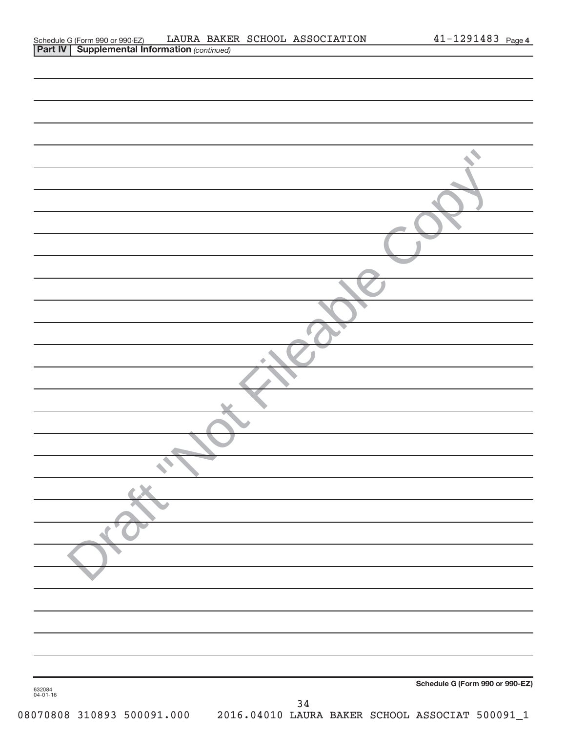| Schedule G (Form 990 or 990-EZ)                       |  | LAURA BAKER SCHOOL ASSOCIATION | $41 - 1291483$ Page 4 |  |
|-------------------------------------------------------|--|--------------------------------|-----------------------|--|
| <b>Part IV   Supplemental Information (continued)</b> |  |                                |                       |  |

|                    | Schedule G (Form 990 or 990-EZ) |  |
|--------------------|---------------------------------|--|
| 632084<br>04-01-16 | $34$                            |  |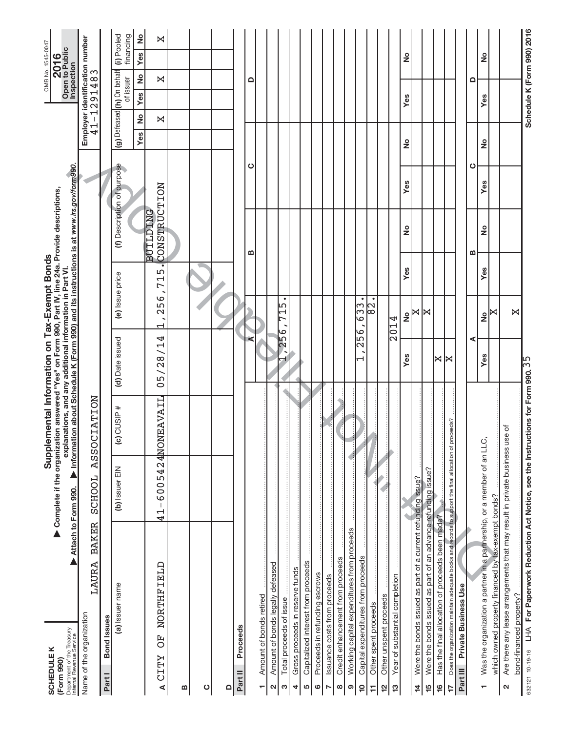| Department of the Treasury<br>Internal Revenue Service<br><b>SCHEDULEK</b><br>(Form 990)                                    | Complete if the organization answered "Yes" on Form 990, Part IV, line 24a. Provide descriptions,<br>Attach to Form 990. | Information about Schedule K (Form 990) and its instructions is at www.irs.gov/form990<br>Supplemental Information on Tax-Exempt Bonds<br>explanations, and any additional information in Part VI. |                                 |                                 |          |                                 |                            |        | Inspection                                | OMB No. 1545-0047<br>Open to Public<br>2016 |
|-----------------------------------------------------------------------------------------------------------------------------|--------------------------------------------------------------------------------------------------------------------------|----------------------------------------------------------------------------------------------------------------------------------------------------------------------------------------------------|---------------------------------|---------------------------------|----------|---------------------------------|----------------------------|--------|-------------------------------------------|---------------------------------------------|
| LAURA BAKER<br>Name of the organization                                                                                     | SCHOOL ASSOCIATION                                                                                                       |                                                                                                                                                                                                    |                                 |                                 |          |                                 |                            | $41 -$ | Employer identification number<br>1291483 |                                             |
| <b>Bond</b> Issues<br>Part I                                                                                                |                                                                                                                          |                                                                                                                                                                                                    |                                 |                                 |          |                                 |                            |        |                                           |                                             |
| (a) Issuer name                                                                                                             | (b) Issuer EIN                                                                                                           | CUSIP#<br>$\widehat{\mathbf{c}}$                                                                                                                                                                   | (d) Date issued                 | (e) Issue price                 |          |                                 | (f) Description of purpose |        | (g) Defeased (h) On behalf<br>of issuer   | (i) Pooled<br>financing                     |
|                                                                                                                             |                                                                                                                          |                                                                                                                                                                                                    |                                 |                                 |          |                                 |                            | Yes    | $\frac{1}{2}$<br>Yes<br>2                 | ş<br><b>Yes</b>                             |
| NORTHFIELD<br>F)<br><b>CITY</b><br>⋖                                                                                        | 6005424NON<br>$\mathsf I$<br>$\frac{1}{4}$                                                                               | EAVAIL                                                                                                                                                                                             | 05/28/14                        | 256<br>$\overline{\phantom{0}}$ | LŊ<br>71 | CONSTRUCTION<br><b>BUILDING</b> |                            |        | X<br>X                                    | X                                           |
| $\bf{m}$                                                                                                                    |                                                                                                                          |                                                                                                                                                                                                    |                                 |                                 |          |                                 |                            |        |                                           |                                             |
| ပ                                                                                                                           |                                                                                                                          |                                                                                                                                                                                                    |                                 |                                 |          |                                 |                            |        |                                           |                                             |
| ≏                                                                                                                           |                                                                                                                          |                                                                                                                                                                                                    |                                 |                                 |          |                                 |                            |        |                                           |                                             |
| Proceeds<br>Part II                                                                                                         |                                                                                                                          |                                                                                                                                                                                                    |                                 |                                 |          |                                 |                            |        |                                           |                                             |
|                                                                                                                             |                                                                                                                          |                                                                                                                                                                                                    |                                 |                                 |          | m                               | ပ                          |        | ≏                                         |                                             |
| Amount of bonds retired<br>٣                                                                                                |                                                                                                                          |                                                                                                                                                                                                    |                                 |                                 |          |                                 |                            |        |                                           |                                             |
| Amount of bonds legally defeased<br>N                                                                                       |                                                                                                                          |                                                                                                                                                                                                    |                                 |                                 |          |                                 |                            |        |                                           |                                             |
| Total proceeds of issue<br>ო                                                                                                |                                                                                                                          |                                                                                                                                                                                                    | 256                             | ٠<br>ഥ<br>⊳                     |          |                                 |                            |        |                                           |                                             |
| Gross proceeds in reserve funds<br>4                                                                                        |                                                                                                                          |                                                                                                                                                                                                    |                                 |                                 |          |                                 |                            |        |                                           |                                             |
| Capitalized interest from proceeds<br>5                                                                                     |                                                                                                                          |                                                                                                                                                                                                    |                                 |                                 |          |                                 |                            |        |                                           |                                             |
| Proceeds in refunding escrows<br>ဖ                                                                                          |                                                                                                                          |                                                                                                                                                                                                    |                                 |                                 |          |                                 |                            |        |                                           |                                             |
| Issuance costs from proceeds<br>N                                                                                           |                                                                                                                          |                                                                                                                                                                                                    |                                 |                                 |          |                                 |                            |        |                                           |                                             |
| Credit enhancement from proceeds<br>œ                                                                                       |                                                                                                                          |                                                                                                                                                                                                    |                                 |                                 |          |                                 |                            |        |                                           |                                             |
| Working capital expenditures from proceeds<br>ၜ                                                                             |                                                                                                                          |                                                                                                                                                                                                    |                                 |                                 |          |                                 |                            |        |                                           |                                             |
| Capital expenditures from proceeds<br>$\overline{10}$                                                                       |                                                                                                                          |                                                                                                                                                                                                    | 256<br>$\overline{\phantom{0}}$ | $\bullet$<br>$\overline{63}$    |          |                                 |                            |        |                                           |                                             |
| Other spent proceeds<br>Ξ                                                                                                   |                                                                                                                          |                                                                                                                                                                                                    |                                 | $\bullet$<br>2<br>8             |          |                                 |                            |        |                                           |                                             |
| Other unspent proceeds<br>$\frac{1}{2}$<br>51                                                                               |                                                                                                                          |                                                                                                                                                                                                    |                                 | 2014                            |          |                                 |                            |        |                                           |                                             |
| Year of substantial completion                                                                                              |                                                                                                                          |                                                                                                                                                                                                    | Yes                             | ž                               | Yes      | ş                               | Yes                        | ş      | Yes                                       | ş                                           |
| Were the bonds issued as part of a current refunding issue?<br>$\frac{4}{4}$                                                |                                                                                                                          |                                                                                                                                                                                                    |                                 | X                               |          |                                 |                            |        |                                           |                                             |
| Were the bonds issued as part of an advance refunding issue?<br>15                                                          |                                                                                                                          |                                                                                                                                                                                                    |                                 | ⋈                               |          |                                 |                            |        |                                           |                                             |
| Has the final allocation of proceeds been made?<br>$\frac{6}{5}$                                                            |                                                                                                                          |                                                                                                                                                                                                    | K                               |                                 |          |                                 |                            |        |                                           |                                             |
| Does the organization maintain adequate books and records to support the final allocation of proceeds?<br>17                |                                                                                                                          |                                                                                                                                                                                                    | ×                               |                                 |          |                                 |                            |        |                                           |                                             |
| Private Business Use<br>Part III                                                                                            |                                                                                                                          |                                                                                                                                                                                                    |                                 |                                 |          |                                 |                            |        |                                           |                                             |
|                                                                                                                             |                                                                                                                          |                                                                                                                                                                                                    | ⋖                               |                                 |          | ≃                               | ပ                          |        | ≏                                         |                                             |
| Was the organization a partner in a partnership, or a member of an LLC,<br>÷                                                |                                                                                                                          |                                                                                                                                                                                                    | Yes                             | ž                               | Yes      | ş                               | Yes                        | ž      | Yes                                       | ş                                           |
| which owned property financed by tax-exempt bonds?                                                                          |                                                                                                                          |                                                                                                                                                                                                    |                                 | ×                               |          |                                 |                            |        |                                           |                                             |
| Are there any lease arrangements that may result in private business use of<br>bond-financed property?<br>$\mathbf{\Omega}$ |                                                                                                                          |                                                                                                                                                                                                    |                                 | $\bowtie$                       |          |                                 |                            |        |                                           |                                             |
| 632121 10-19-16 LHA For Paperwork Reduction Act Notice, see the Instructions for Form 990. 35                               |                                                                                                                          |                                                                                                                                                                                                    |                                 |                                 |          |                                 |                            |        | Schedule K (Form 990) 2016                |                                             |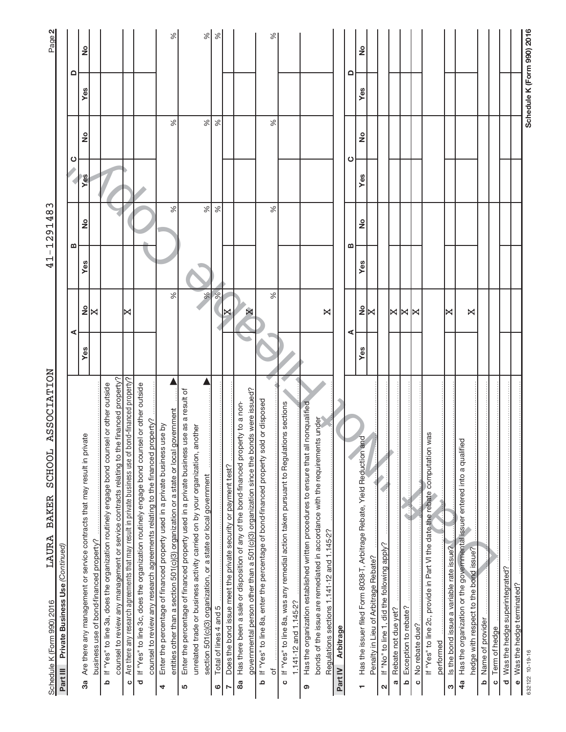| ASSOCIATION<br><b>SCHOOL</b><br><b>BAKER</b><br>LAURA<br>Schedule K (Form 990) 2016                                                                                            |     |                         | $\mathbf{I}$<br>⊣<br>4 | ო<br>$\frac{4}{8}$<br>291<br>$\overline{\phantom{0}}$ |     |      |     | Page 2                     |
|--------------------------------------------------------------------------------------------------------------------------------------------------------------------------------|-----|-------------------------|------------------------|-------------------------------------------------------|-----|------|-----|----------------------------|
| Private Business Use (Continued)<br>Part III                                                                                                                                   |     |                         |                        |                                                       |     |      |     |                            |
|                                                                                                                                                                                | ⋖   |                         |                        | ∞                                                     |     | ပ    |     | ≏                          |
| Are there any management or service contracts that may result in private<br>business use of bond-financed property?<br>3a                                                      | Yes | $\frac{9}{2}$ $\times$  | Yes                    | ş                                                     | Yes | ş    | Yes | ş                          |
| If "Yes" to line 3a, does the organization routinely engage bond counsel or other outside<br>ᅀ                                                                                 |     |                         |                        |                                                       |     |      |     |                            |
| counsel to review any management or service contracts relating to the financed property?                                                                                       |     |                         |                        |                                                       |     |      |     |                            |
| Are there any research agreements that may result in private business use of bond-financed property?<br>$\circ$                                                                |     | ⋈                       |                        |                                                       |     |      |     |                            |
| If "Yes" to line 3c, does the organization routinely engage bond counsel or other outside<br>counsel to review any research agreements relating to the financed property?<br>ਠ |     |                         |                        |                                                       |     |      |     |                            |
| Enter the percentage of financed property used in a private business use by<br>4                                                                                               |     |                         |                        |                                                       |     |      |     |                            |
| entities other than a section 501(c)(3) organization or a state or local government                                                                                            |     | ℅                       |                        | ℅                                                     |     | ℅    |     | $\%$                       |
| Enter the percentage of financed property used in a private business use as a result of<br>5                                                                                   |     |                         |                        |                                                       |     |      |     |                            |
| unrelated trade or business activity carried on by your organization, another                                                                                                  |     |                         |                        |                                                       |     |      |     |                            |
| section 501(c)(3) organization, or a state or local government                                                                                                                 |     | $\%$                    |                        | $\%$                                                  |     | $\%$ |     | $\%$                       |
| Total of lines 4 and 5<br>ဖ                                                                                                                                                    |     | $\frac{8}{5}$           |                        | ℅                                                     |     | $\%$ |     | $\%$                       |
| Does the bond issue meet the private security or payment test?<br>$\sim$                                                                                                       |     |                         |                        |                                                       |     |      |     |                            |
| Has there been a sale or disposition of any of the bond-financed property to a non-<br>88                                                                                      |     |                         |                        |                                                       |     |      |     |                            |
| governmental person other than a 501(c)(3) organization since the bonds were issued?                                                                                           |     |                         |                        |                                                       |     |      |     |                            |
| If "Yes" to line 8a, enter the percentage of bond-financed property sold or disposed<br>Ω                                                                                      |     |                         |                        |                                                       |     |      |     |                            |
| ৳                                                                                                                                                                              |     | ℅                       |                        | $\%$                                                  |     | ℅    |     | ℅                          |
| If "Yes" to line 8a, was any remedial action taken pursuant to Regulations sections<br>$\mathbf 0$                                                                             |     |                         |                        |                                                       |     |      |     |                            |
| 1.141-12 and 1.145-2?                                                                                                                                                          |     |                         |                        |                                                       |     |      |     |                            |
| nonqualified<br>Has the organization established written procedures to ensure that all<br>ၜ                                                                                    |     |                         |                        |                                                       |     |      |     |                            |
| s under<br>bonds of the issue are remediated in accordance with the requirement                                                                                                |     |                         |                        |                                                       |     |      |     |                            |
| Regulations sections 1.141-12 and 1.145-2?                                                                                                                                     |     | ×                       |                        |                                                       |     |      |     |                            |
| Arbitrage<br>Part IV                                                                                                                                                           |     |                         |                        |                                                       |     |      |     |                            |
|                                                                                                                                                                                | ⋖   |                         |                        | ≃                                                     |     | ပ    |     | ≏                          |
| Has the issuer filed Form 8038-T, Arbitrage Rebate, Yield Reduction and<br>٣                                                                                                   | Yes | $\frac{1}{2}$           | Yes                    | ş                                                     | Yes | ş    | Yes | ş                          |
| Penalty in Lieu of Arbitrage Rebate?                                                                                                                                           |     | ⋈                       |                        |                                                       |     |      |     |                            |
| If "No" to line 1, did the following apply?<br>N                                                                                                                               |     |                         |                        |                                                       |     |      |     |                            |
| Rebate not due yet?<br>Ø                                                                                                                                                       |     |                         |                        |                                                       |     |      |     |                            |
| Exception to rebate?<br>$\mathbf{a}$                                                                                                                                           |     | $\Join$ $\Join$ $\Join$ |                        |                                                       |     |      |     |                            |
| No rebate due?<br>$\circ$                                                                                                                                                      |     |                         |                        |                                                       |     |      |     |                            |
| If "Yes" to line 2c, provide in Part VI the date the rebate computation was                                                                                                    |     |                         |                        |                                                       |     |      |     |                            |
| performed                                                                                                                                                                      |     |                         |                        |                                                       |     |      |     |                            |
| Is the bond issue a variable rate issue?<br>S                                                                                                                                  |     | ×                       |                        |                                                       |     |      |     |                            |
| Has the organization or the governmental issuer entered into a qualified<br>4a                                                                                                 |     |                         |                        |                                                       |     |      |     |                            |
| hedge with respect to the bond issue?                                                                                                                                          |     | ×                       |                        |                                                       |     |      |     |                            |
| Name of provider<br>م                                                                                                                                                          |     |                         |                        |                                                       |     |      |     |                            |
| Term of hedge<br>$\mathbf{o}$                                                                                                                                                  |     |                         |                        |                                                       |     |      |     |                            |
| Was the hedge superintegrated?<br>$\overline{\mathbf{c}}$                                                                                                                      |     |                         |                        |                                                       |     |      |     |                            |
| Was the hedge terminated?<br>$\bullet$                                                                                                                                         |     |                         |                        |                                                       |     |      |     |                            |
| 632122 10-19-16                                                                                                                                                                |     |                         |                        |                                                       |     |      |     | Schedule K (Form 990) 2016 |
|                                                                                                                                                                                |     |                         |                        |                                                       |     |      |     |                            |
|                                                                                                                                                                                |     |                         |                        |                                                       |     |      |     |                            |
|                                                                                                                                                                                |     |                         |                        |                                                       |     |      |     |                            |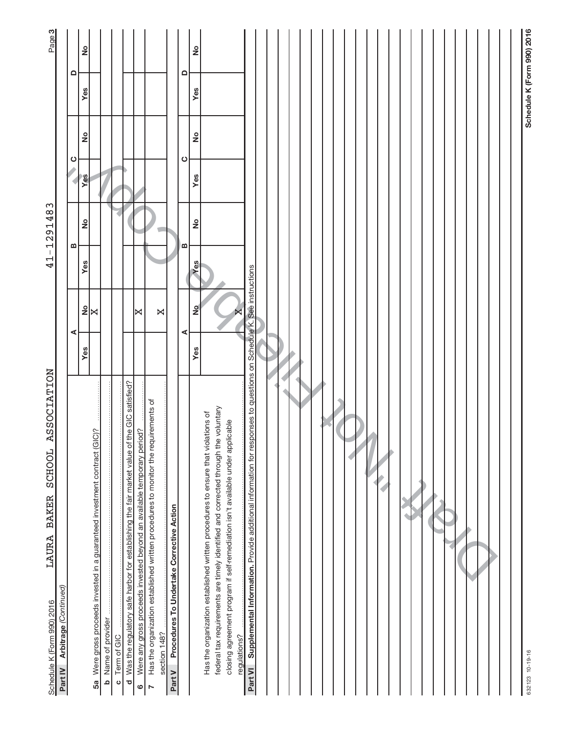| <b>ASSOCIATION</b><br><b>SCHOOL</b><br>LAURA BAKER<br>Schedule K (Form 990) 2016                                                                                     |          |                        | $\frac{1}{4}$ | $-1291483$    |     |                     |     | Page 3                     |
|----------------------------------------------------------------------------------------------------------------------------------------------------------------------|----------|------------------------|---------------|---------------|-----|---------------------|-----|----------------------------|
| Part IV Arbitrage (Continued)                                                                                                                                        |          |                        |               |               |     |                     |     |                            |
|                                                                                                                                                                      | ⋖        |                        | m             |               |     | ပ                   |     | $\Omega$                   |
| 5a Were gross proceeds invested in a guaranteed investment contract (GIC)?                                                                                           | Yes      | $\frac{9}{2}$ $\times$ | Yes           | <u>ខ</u>      | Yes | <u>ខ</u>            | Yes | $\frac{1}{2}$              |
| <b>b</b> Name of provider                                                                                                                                            |          |                        |               |               |     |                     |     |                            |
| Term of GIC<br>$\circ$                                                                                                                                               |          |                        |               |               |     |                     |     |                            |
| d Was the regulatory safe harbor for establishing the fair market value of the GIC satisfied?                                                                        |          |                        |               |               |     |                     |     |                            |
| Were any gross proceeds invested beyond an available temporary period?<br>$\circ$                                                                                    |          | ∣⋈                     |               |               |     |                     |     |                            |
| Has the organization established written procedures to monitor the requirements of<br>$\triangleright$                                                               |          |                        |               |               |     |                     |     |                            |
| section 148?                                                                                                                                                         |          | X                      |               |               |     |                     |     |                            |
| Procedures To Undertake Corrective Action<br>Part V                                                                                                                  |          |                        |               |               |     |                     |     |                            |
|                                                                                                                                                                      | ⋖<br>Yes | $\frac{1}{2}$          | œ<br>Yes      | $\frac{1}{2}$ | Yes | <u>ខ</u><br>$\circ$ | Yes | <u>ខ</u><br>$\Omega$       |
| Has the organization established written procedures to ensure that violations of                                                                                     |          |                        |               |               |     |                     |     |                            |
| federal tax requirements are timely identified and corrected through the voluntary<br>closing agreement program if self-remediation isn't available under applicable |          |                        |               |               |     |                     |     |                            |
| regulations?                                                                                                                                                         |          |                        |               |               |     |                     |     |                            |
| Supplemental Information. Provide additional information for responses to questions on Schedule K. See instructions<br>Part VI                                       |          |                        |               |               |     |                     |     |                            |
|                                                                                                                                                                      |          |                        |               |               |     |                     |     |                            |
|                                                                                                                                                                      |          |                        |               |               |     |                     |     |                            |
|                                                                                                                                                                      |          |                        |               |               |     |                     |     |                            |
|                                                                                                                                                                      |          |                        |               |               |     |                     |     |                            |
|                                                                                                                                                                      |          |                        |               |               |     |                     |     |                            |
|                                                                                                                                                                      |          |                        |               |               |     |                     |     |                            |
|                                                                                                                                                                      |          |                        |               |               |     |                     |     |                            |
|                                                                                                                                                                      |          |                        |               |               |     |                     |     |                            |
|                                                                                                                                                                      |          |                        |               |               |     |                     |     |                            |
|                                                                                                                                                                      |          |                        |               |               |     |                     |     |                            |
|                                                                                                                                                                      |          |                        |               |               |     |                     |     |                            |
|                                                                                                                                                                      |          |                        |               |               |     |                     |     |                            |
|                                                                                                                                                                      |          |                        |               |               |     |                     |     |                            |
|                                                                                                                                                                      |          |                        |               |               |     |                     |     |                            |
|                                                                                                                                                                      |          |                        |               |               |     |                     |     |                            |
|                                                                                                                                                                      |          |                        |               |               |     |                     |     |                            |
|                                                                                                                                                                      |          |                        |               |               |     |                     |     |                            |
|                                                                                                                                                                      |          |                        |               |               |     |                     |     |                            |
|                                                                                                                                                                      |          |                        |               |               |     |                     |     |                            |
|                                                                                                                                                                      |          |                        |               |               |     |                     |     |                            |
|                                                                                                                                                                      |          |                        |               |               |     |                     |     |                            |
|                                                                                                                                                                      |          |                        |               |               |     |                     |     |                            |
|                                                                                                                                                                      |          |                        |               |               |     |                     |     |                            |
| 632123 10-19-16                                                                                                                                                      |          |                        |               |               |     |                     |     | Schedule K (Form 990) 2016 |
|                                                                                                                                                                      |          |                        |               |               |     |                     |     |                            |
|                                                                                                                                                                      |          |                        |               |               |     |                     |     |                            |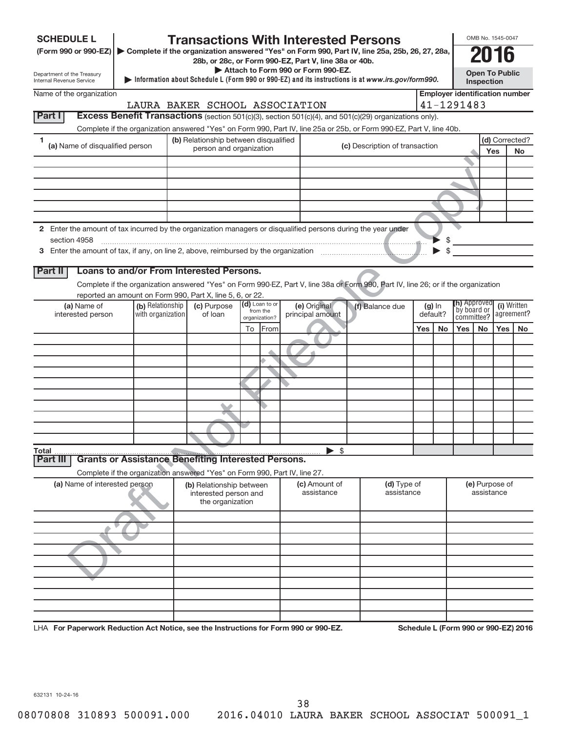| <b>SCHEDULE L</b>                                      |                               |                                                                                   |                                       |                         |               |                            |                                                                                             | <b>Transactions With Interested Persons</b>                                                                                        |     |                      |                                       | OMB No. 1545-0047                   |     |                                      |
|--------------------------------------------------------|-------------------------------|-----------------------------------------------------------------------------------|---------------------------------------|-------------------------|---------------|----------------------------|---------------------------------------------------------------------------------------------|------------------------------------------------------------------------------------------------------------------------------------|-----|----------------------|---------------------------------------|-------------------------------------|-----|--------------------------------------|
|                                                        |                               |                                                                                   |                                       |                         |               |                            |                                                                                             | (Form 990 or 990-EZ) > Complete if the organization answered "Yes" on Form 990, Part IV, line 25a, 25b, 26, 27, 28a,               |     |                      |                                       | 2016                                |     |                                      |
|                                                        |                               |                                                                                   |                                       |                         |               |                            | 28b, or 28c, or Form 990-EZ, Part V, line 38a or 40b.<br>Attach to Form 990 or Form 990-EZ. |                                                                                                                                    |     |                      |                                       |                                     |     |                                      |
| Department of the Treasury<br>Internal Revenue Service |                               |                                                                                   |                                       |                         |               |                            |                                                                                             | Information about Schedule L (Form 990 or 990-EZ) and its instructions is at www.irs.gov/form990.                                  |     |                      |                                       | <b>Open To Public</b><br>Inspection |     |                                      |
| Name of the organization                               |                               |                                                                                   |                                       |                         |               |                            |                                                                                             |                                                                                                                                    |     |                      | <b>Employer identification number</b> |                                     |     |                                      |
|                                                        |                               | LAURA BAKER SCHOOL ASSOCIATION                                                    |                                       |                         |               |                            |                                                                                             |                                                                                                                                    |     |                      | 41-1291483                            |                                     |     |                                      |
| <b>Part I</b>                                          |                               |                                                                                   |                                       |                         |               |                            |                                                                                             | Excess Benefit Transactions (section 501(c)(3), section 501(c)(4), and 501(c)(29) organizations only).                             |     |                      |                                       |                                     |     |                                      |
| 1                                                      |                               |                                                                                   |                                       |                         |               |                            |                                                                                             | Complete if the organization answered "Yes" on Form 990, Part IV, line 25a or 25b, or Form 990-EZ, Part V, line 40b.               |     |                      |                                       |                                     |     | (d) Corrected?                       |
| (a) Name of disqualified person                        |                               |                                                                                   | (b) Relationship between disqualified | person and organization |               |                            |                                                                                             | (c) Description of transaction                                                                                                     |     |                      |                                       |                                     | Yes | No                                   |
|                                                        |                               |                                                                                   |                                       |                         |               |                            |                                                                                             |                                                                                                                                    |     |                      |                                       |                                     |     |                                      |
|                                                        |                               |                                                                                   |                                       |                         |               |                            |                                                                                             |                                                                                                                                    |     |                      |                                       |                                     |     |                                      |
|                                                        |                               |                                                                                   |                                       |                         |               |                            |                                                                                             |                                                                                                                                    |     |                      |                                       |                                     |     |                                      |
|                                                        |                               |                                                                                   |                                       |                         |               |                            |                                                                                             |                                                                                                                                    |     |                      |                                       |                                     |     |                                      |
|                                                        |                               |                                                                                   |                                       |                         |               |                            |                                                                                             |                                                                                                                                    |     |                      |                                       |                                     |     |                                      |
|                                                        |                               |                                                                                   |                                       |                         |               |                            |                                                                                             | 2 Enter the amount of tax incurred by the organization managers or disqualified persons during the year under                      |     |                      |                                       |                                     |     |                                      |
| section 4958                                           |                               |                                                                                   |                                       |                         |               |                            |                                                                                             |                                                                                                                                    |     | \$                   |                                       |                                     |     |                                      |
|                                                        |                               |                                                                                   |                                       |                         |               |                            |                                                                                             |                                                                                                                                    |     | \$                   |                                       |                                     |     |                                      |
| <b>Part II</b>                                         |                               | Loans to and/or From Interested Persons.                                          |                                       |                         |               |                            |                                                                                             |                                                                                                                                    |     |                      |                                       |                                     |     |                                      |
|                                                        |                               |                                                                                   |                                       |                         |               |                            |                                                                                             | Complete if the organization answered "Yes" on Form 990-EZ, Part V, line 38a or Form 990, Part IV, line 26; or if the organization |     |                      |                                       |                                     |     |                                      |
|                                                        |                               | reported an amount on Form 990, Part X, line 5, 6, or 22.                         |                                       |                         |               |                            |                                                                                             |                                                                                                                                    |     |                      |                                       |                                     |     |                                      |
| (a) Name of<br>interested person                       |                               | (b) Relationship<br>with organization                                             |                                       | (c) Purpose<br>of loan  |               | (d) Loan to or<br>from the | (e) Original<br>principal amount                                                            | (f) Balance due                                                                                                                    |     | $(g)$ In<br>default? | `by board or                          | <b>(h)</b> Approved                 |     | (i) Written<br>agreement?            |
|                                                        |                               |                                                                                   |                                       |                         | organization? |                            |                                                                                             |                                                                                                                                    |     |                      | committee?                            |                                     |     |                                      |
|                                                        |                               |                                                                                   |                                       |                         | To            | From                       |                                                                                             |                                                                                                                                    | Yes | No                   | Yes                                   | No                                  | Yes | No.                                  |
|                                                        |                               |                                                                                   |                                       |                         |               |                            |                                                                                             |                                                                                                                                    |     |                      |                                       |                                     |     |                                      |
|                                                        |                               |                                                                                   |                                       |                         |               |                            |                                                                                             |                                                                                                                                    |     |                      |                                       |                                     |     |                                      |
|                                                        |                               |                                                                                   |                                       |                         |               |                            |                                                                                             |                                                                                                                                    |     |                      |                                       |                                     |     |                                      |
|                                                        |                               |                                                                                   |                                       |                         |               |                            |                                                                                             |                                                                                                                                    |     |                      |                                       |                                     |     |                                      |
|                                                        |                               |                                                                                   |                                       |                         |               |                            |                                                                                             |                                                                                                                                    |     |                      |                                       |                                     |     |                                      |
|                                                        |                               |                                                                                   |                                       |                         |               |                            |                                                                                             |                                                                                                                                    |     |                      |                                       |                                     |     |                                      |
|                                                        |                               |                                                                                   |                                       |                         |               |                            |                                                                                             |                                                                                                                                    |     |                      |                                       |                                     |     |                                      |
|                                                        |                               |                                                                                   |                                       |                         |               |                            |                                                                                             |                                                                                                                                    |     |                      |                                       |                                     |     |                                      |
| Total                                                  |                               |                                                                                   |                                       |                         |               |                            | \$                                                                                          |                                                                                                                                    |     |                      |                                       |                                     |     |                                      |
| <b>Part III</b>                                        |                               | <b>Grants or Assistance Benefiting Interested Persons.</b>                        |                                       |                         |               |                            |                                                                                             |                                                                                                                                    |     |                      |                                       |                                     |     |                                      |
|                                                        |                               | Complete if the organization answered "Yes" on Form 990, Part IV, line 27.        |                                       |                         |               |                            |                                                                                             |                                                                                                                                    |     |                      |                                       |                                     |     |                                      |
|                                                        | (a) Name of interested person |                                                                                   | (b) Relationship between              | interested person and   |               |                            | (c) Amount of<br>assistance                                                                 | (d) Type of<br>assistance                                                                                                          |     |                      |                                       | (e) Purpose of<br>assistance        |     |                                      |
|                                                        |                               |                                                                                   |                                       | the organization        |               |                            |                                                                                             |                                                                                                                                    |     |                      |                                       |                                     |     |                                      |
|                                                        |                               |                                                                                   |                                       |                         |               |                            |                                                                                             |                                                                                                                                    |     |                      |                                       |                                     |     |                                      |
|                                                        |                               |                                                                                   |                                       |                         |               |                            |                                                                                             |                                                                                                                                    |     |                      |                                       |                                     |     |                                      |
|                                                        |                               |                                                                                   |                                       |                         |               |                            |                                                                                             |                                                                                                                                    |     |                      |                                       |                                     |     |                                      |
|                                                        |                               |                                                                                   |                                       |                         |               |                            |                                                                                             |                                                                                                                                    |     |                      |                                       |                                     |     |                                      |
|                                                        |                               |                                                                                   |                                       |                         |               |                            |                                                                                             |                                                                                                                                    |     |                      |                                       |                                     |     |                                      |
|                                                        |                               |                                                                                   |                                       |                         |               |                            |                                                                                             |                                                                                                                                    |     |                      |                                       |                                     |     |                                      |
|                                                        |                               |                                                                                   |                                       |                         |               |                            |                                                                                             |                                                                                                                                    |     |                      |                                       |                                     |     |                                      |
|                                                        |                               |                                                                                   |                                       |                         |               |                            |                                                                                             |                                                                                                                                    |     |                      |                                       |                                     |     |                                      |
|                                                        |                               |                                                                                   |                                       |                         |               |                            |                                                                                             |                                                                                                                                    |     |                      |                                       |                                     |     |                                      |
|                                                        |                               | For Departments Reduction Act Notice, non the Instructions for Form 000 or 000 FZ |                                       |                         |               |                            |                                                                                             |                                                                                                                                    |     |                      |                                       |                                     |     | Schodule   (Form 000 or 000 E7) 2016 |

LHA For Paperwork Reduction Act Notice, see the Instructions for Form 990 or 990-EZ. Schedule L (Form 990 or 990-EZ) 2016

632131 10-24-16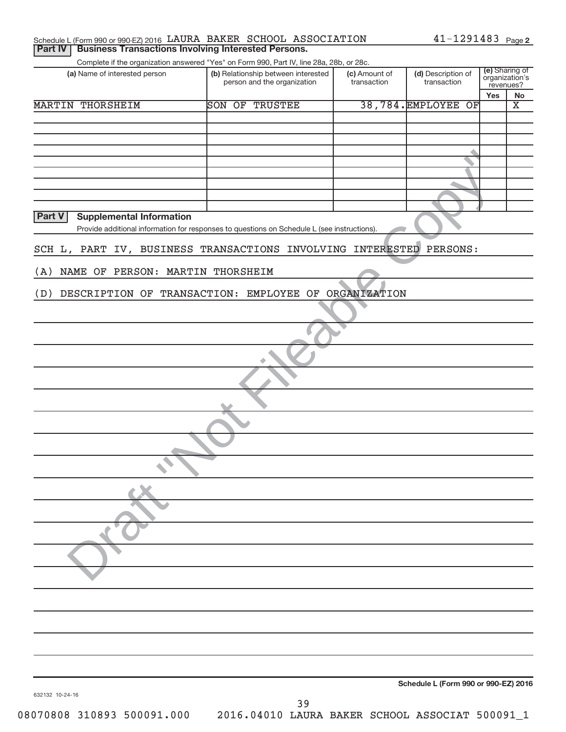|                                           | Schedule L (Form 990 or 990-EZ) 2016 LAURA BAKER SCHOOL ASSOCIATION                         |               | $41 - 1291483$ Page 2                |                                  |
|-------------------------------------------|---------------------------------------------------------------------------------------------|---------------|--------------------------------------|----------------------------------|
| <b>Part IV</b>                            | <b>Business Transactions Involving Interested Persons.</b>                                  |               |                                      |                                  |
|                                           | Complete if the organization answered "Yes" on Form 990, Part IV, line 28a, 28b, or 28c.    |               |                                      |                                  |
| (a) Name of interested person             | (b) Relationship between interested                                                         | (c) Amount of | (d) Description of                   | (e) Sharing of<br>organization's |
|                                           | person and the organization                                                                 | transaction   | transaction                          | revenues?                        |
|                                           |                                                                                             |               |                                      | Yes<br>No                        |
| <b>MARTIN THORSHEIM</b>                   | SON OF<br><b>TRUSTEE</b>                                                                    |               | 38,784. EMPLOYEE<br>$\overline{OF}$  | $\overline{\textbf{x}}$          |
|                                           |                                                                                             |               |                                      |                                  |
|                                           |                                                                                             |               |                                      |                                  |
|                                           |                                                                                             |               |                                      |                                  |
|                                           |                                                                                             |               |                                      |                                  |
|                                           |                                                                                             |               |                                      |                                  |
|                                           |                                                                                             |               |                                      |                                  |
|                                           |                                                                                             |               |                                      |                                  |
|                                           |                                                                                             |               |                                      |                                  |
|                                           |                                                                                             |               |                                      |                                  |
| Part V<br><b>Supplemental Information</b> |                                                                                             |               |                                      |                                  |
|                                           | Provide additional information for responses to questions on Schedule L (see instructions). |               |                                      |                                  |
|                                           |                                                                                             |               |                                      |                                  |
|                                           | SCH L, PART IV, BUSINESS TRANSACTIONS INVOLVING INTERESTED                                  |               | PERSONS:                             |                                  |
|                                           |                                                                                             |               |                                      |                                  |
| NAME OF PERSON: MARTIN THORSHEIM<br>(A)   |                                                                                             |               |                                      |                                  |
|                                           |                                                                                             |               |                                      |                                  |
| (D)                                       | DESCRIPTION OF TRANSACTION: EMPLOYEE OF ORGANIZATION                                        |               |                                      |                                  |
|                                           |                                                                                             |               |                                      |                                  |
|                                           |                                                                                             |               |                                      |                                  |
|                                           |                                                                                             |               |                                      |                                  |
|                                           |                                                                                             |               |                                      |                                  |
|                                           |                                                                                             |               |                                      |                                  |
|                                           |                                                                                             |               |                                      |                                  |
|                                           |                                                                                             |               |                                      |                                  |
|                                           |                                                                                             |               |                                      |                                  |
|                                           |                                                                                             |               |                                      |                                  |
|                                           |                                                                                             |               |                                      |                                  |
|                                           |                                                                                             |               |                                      |                                  |
|                                           |                                                                                             |               |                                      |                                  |
|                                           |                                                                                             |               |                                      |                                  |
|                                           |                                                                                             |               |                                      |                                  |
|                                           |                                                                                             |               |                                      |                                  |
|                                           |                                                                                             |               |                                      |                                  |
|                                           |                                                                                             |               |                                      |                                  |
|                                           |                                                                                             |               |                                      |                                  |
|                                           |                                                                                             |               |                                      |                                  |
|                                           |                                                                                             |               |                                      |                                  |
|                                           |                                                                                             |               |                                      |                                  |
|                                           |                                                                                             |               |                                      |                                  |
|                                           |                                                                                             |               |                                      |                                  |
|                                           |                                                                                             |               |                                      |                                  |
|                                           |                                                                                             |               |                                      |                                  |
|                                           |                                                                                             |               |                                      |                                  |
|                                           |                                                                                             |               |                                      |                                  |
|                                           |                                                                                             |               |                                      |                                  |
|                                           |                                                                                             |               |                                      |                                  |
|                                           |                                                                                             |               |                                      |                                  |
|                                           |                                                                                             |               |                                      |                                  |
|                                           |                                                                                             |               |                                      |                                  |
|                                           |                                                                                             |               |                                      |                                  |
|                                           |                                                                                             |               |                                      |                                  |
|                                           |                                                                                             |               |                                      |                                  |
|                                           |                                                                                             |               |                                      |                                  |
|                                           |                                                                                             |               | Schedule L (Form 990 or 990-EZ) 2016 |                                  |
| 632132 10-24-16                           |                                                                                             |               |                                      |                                  |
|                                           | 39                                                                                          |               |                                      |                                  |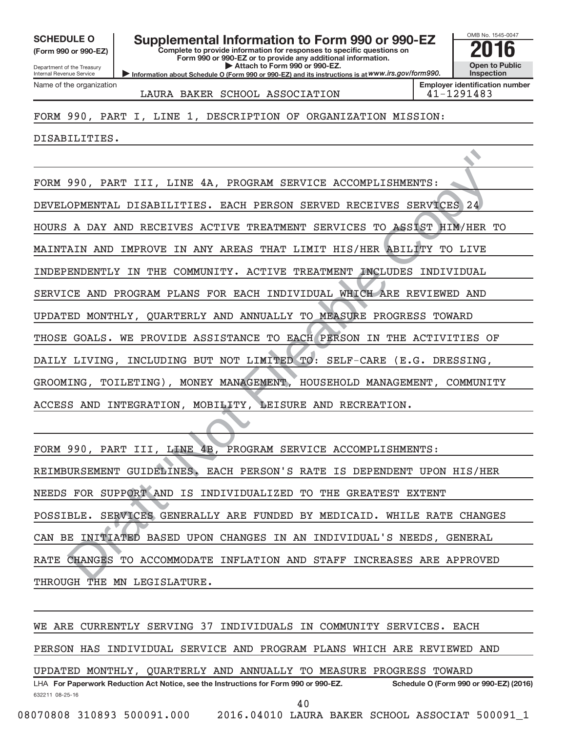**(Form 990 or 990-EZ)**

Department of the Treasury Internal Revenue Service Name of the organization

# SCHEDULE O **Supplemental Information to Form 990 or 990-EZ 2016**<br>(Form 990 or 990-EZ) **2016**

**Complete to provide information for responses to specific questions on Form 990 or 990-EZ or to provide any additional information. | Attach to Form 990 or 990-EZ.**

**Information about Schedule O (Form 990 or 990-EZ) and its instructions is at WWW.irs.gov/form990.** 



LAURA BAKER SCHOOL ASSOCIATION 41-1291483

FORM 990, PART I, LINE 1, DESCRIPTION OF ORGANIZATION MISSION:

DISABILITIES.

990, PART III, LINE 4A, PROGRAM SERVICE ACCOMPLISHMENTS:<br>
OPMENTAL DISABILITIES. EACH PERSON SERVED RECEIVES SERVECES 24<br>
A DAY AND RECEIVES ACTIVE TREATMENT SERVICES TO ASSIST HIM/HER<br>
XIN AND IMPROVE IN ANY AREAS THAT LI FORM 990, PART III, LINE 4A, PROGRAM SERVICE ACCOMPLISHMENTS: DEVELOPMENTAL DISABILITIES. EACH PERSON SERVED RECEIVES SERVICES 24 HOURS A DAY AND RECEIVES ACTIVE TREATMENT SERVICES TO ASSIST HIM/HER TO MAINTAIN AND IMPROVE IN ANY AREAS THAT LIMIT HIS/HER ABILITY TO LIVE INDEPENDENTLY IN THE COMMUNITY. ACTIVE TREATMENT INCLUDES INDIVIDUAL SERVICE AND PROGRAM PLANS FOR EACH INDIVIDUAL WHICH ARE REVIEWED AND UPDATED MONTHLY, QUARTERLY AND ANNUALLY TO MEASURE PROGRESS TOWARD THOSE GOALS. WE PROVIDE ASSISTANCE TO EACH PERSON IN THE ACTIVITIES OF DAILY LIVING, INCLUDING BUT NOT LIMITED TO: SELF-CARE (E.G. DRESSING, GROOMING, TOILETING), MONEY MANAGEMENT, HOUSEHOLD MANAGEMENT, COMMUNITY ACCESS AND INTEGRATION, MOBILITY, LEISURE AND RECREATION.

FORM 990, PART III, LINE 4B, PROGRAM SERVICE ACCOMPLISHMENTS: REIMBURSEMENT GUIDELINES. EACH PERSON'S RATE IS DEPENDENT UPON HIS/HER NEEDS FOR SUPPORT AND IS INDIVIDUALIZED TO THE GREATEST EXTENT POSSIBLE. SERVICES GENERALLY ARE FUNDED BY MEDICAID. WHILE RATE CHANGES CAN BE INITIATED BASED UPON CHANGES IN AN INDIVIDUAL'S NEEDS, GENERAL RATE CHANGES TO ACCOMMODATE INFLATION AND STAFF INCREASES ARE APPROVED THROUGH THE MN LEGISLATURE.

632211 08-25-16 LHA For Paperwork Reduction Act Notice, see the Instructions for Form 990 or 990-EZ. Schedule O (Form 990 or 990-EZ) (2016) WE ARE CURRENTLY SERVING 37 INDIVIDUALS IN COMMUNITY SERVICES. EACH PERSON HAS INDIVIDUAL SERVICE AND PROGRAM PLANS WHICH ARE REVIEWED AND UPDATED MONTHLY, QUARTERLY AND ANNUALLY TO MEASURE PROGRESS TOWARD 08070808 310893 500091.000 2016.04010 LAURA BAKER SCHOOL ASSOCIAT 500091\_1 40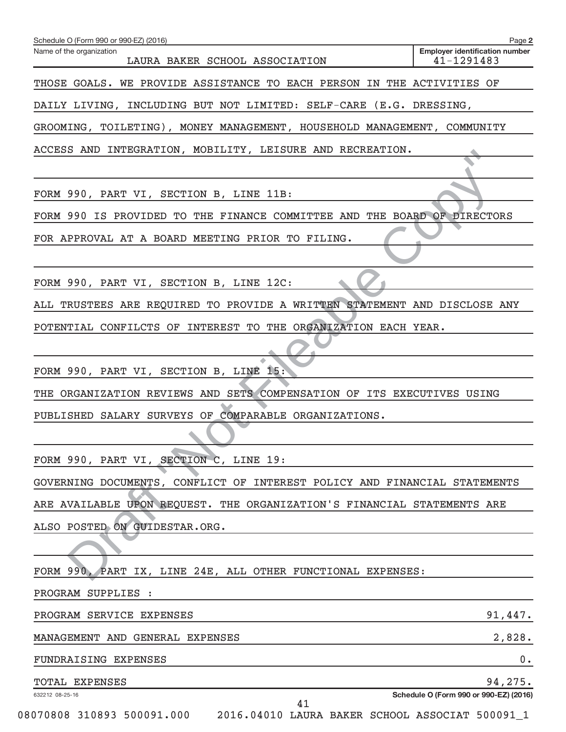| Name of the organization<br>LAURA BAKER SCHOOL ASSOCIATION                                          | <b>Employer identification number</b><br>41-1291483 |
|-----------------------------------------------------------------------------------------------------|-----------------------------------------------------|
| THOSE GOALS. WE PROVIDE ASSISTANCE TO EACH PERSON IN THE ACTIVITIES OF                              |                                                     |
| DAILY LIVING, INCLUDING BUT NOT LIMITED: SELF-CARE (E.G. DRESSING,                                  |                                                     |
| GROOMING, TOILETING), MONEY MANAGEMENT, HOUSEHOLD MANAGEMENT, COMMUNITY                             |                                                     |
| ACCESS AND INTEGRATION, MOBILITY, LEISURE AND RECREATION.                                           |                                                     |
|                                                                                                     |                                                     |
| FORM 990, PART VI, SECTION B, LINE 11B:                                                             |                                                     |
| FORM 990 IS PROVIDED TO THE FINANCE COMMITTEE AND THE BOARD OF DIRECTORS                            |                                                     |
| FOR APPROVAL AT A BOARD MEETING PRIOR TO FILING.                                                    |                                                     |
| FORM 990, PART VI, SECTION B, LINE 12C:                                                             |                                                     |
| ALL TRUSTEES ARE REQUIRED TO PROVIDE A WRITTEN STATEMENT AND DISCLOSE ANY                           |                                                     |
| POTENTIAL CONFILCTS OF INTEREST TO THE ORGANIZATION EACH YEAR.                                      |                                                     |
|                                                                                                     |                                                     |
| FORM 990, PART VI, SECTION B, LINE 15:                                                              |                                                     |
| THE ORGANIZATION REVIEWS AND SETS COMPENSATION OF ITS EXECUTIVES USING                              |                                                     |
| PUBLISHED SALARY SURVEYS OF COMPARABLE ORGANIZATIONS.                                               |                                                     |
|                                                                                                     |                                                     |
| FORM 990, PART VI, SECTION C, LINE 19:                                                              |                                                     |
| GOVERNING DOCUMENTS, CONFLICT OF INTEREST POLICY AND FINANCIAL STATEMENTS                           |                                                     |
| ARE AVAILABLE UPON REQUEST. THE ORGANIZATION'S FINANCIAL STATEMENTS ARE                             |                                                     |
| ALSO POSTED ON GUIDESTAR.ORG.                                                                       |                                                     |
|                                                                                                     |                                                     |
| FORM 990, PART IX, LINE 24E, ALL OTHER FUNCTIONAL EXPENSES:                                         |                                                     |
| PROGRAM SUPPLIES :                                                                                  |                                                     |
| PROGRAM SERVICE EXPENSES                                                                            | 91,447.                                             |
| MANAGEMENT AND GENERAL EXPENSES                                                                     | 2,828.                                              |
| FUNDRAISING EXPENSES                                                                                | 0.                                                  |
| TOTAL EXPENSES                                                                                      | 94,275.                                             |
| 632212 08-25-16<br>41<br>08070808 310893 500091.000 2016.04010 LAURA BAKER SCHOOL ASSOCIAT 500091_1 | Schedule O (Form 990 or 990-EZ) (2016)              |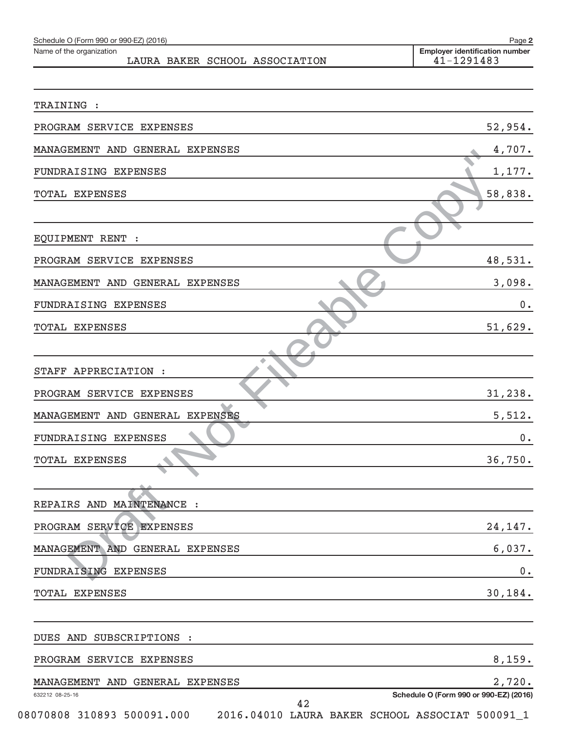| Schedule O (Form 990 or 990-EZ) (2016)                     | Page 2                                              |
|------------------------------------------------------------|-----------------------------------------------------|
| Name of the organization<br>LAURA BAKER SCHOOL ASSOCIATION | <b>Employer identification number</b><br>41-1291483 |
|                                                            |                                                     |
| TRAINING :                                                 |                                                     |
| PROGRAM SERVICE EXPENSES                                   | 52,954.                                             |
| MANAGEMENT AND GENERAL EXPENSES                            | 4,707.                                              |
| FUNDRAISING EXPENSES                                       | 1,177.                                              |
| TOTAL EXPENSES                                             | 58,838.                                             |
|                                                            |                                                     |
| EQUIPMENT RENT :                                           |                                                     |
| PROGRAM SERVICE EXPENSES                                   | 48,531.                                             |
| MANAGEMENT AND GENERAL EXPENSES                            | 3,098.                                              |
| FUNDRAISING EXPENSES                                       | 0.                                                  |
| TOTAL EXPENSES                                             | 51,629.                                             |
|                                                            |                                                     |
| STAFF APPRECIATION :                                       |                                                     |
| PROGRAM SERVICE EXPENSES                                   | 31,238.                                             |
| MANAGEMENT AND GENERAL EXPENSES                            | 5,512.                                              |
| FUNDRAISING EXPENSES                                       | 0.                                                  |
| TOTAL EXPENSES                                             | 36,750.                                             |
|                                                            |                                                     |
| REPAIRS AND MAINTENANCE :                                  |                                                     |
| PROGRAM SERVICE EXPENSES                                   | 24,147.                                             |
| MANAGEMENT AND GENERAL EXPENSES                            | 6,037.                                              |
| FUNDRAISING EXPENSES                                       | 0.                                                  |
| TOTAL EXPENSES                                             | 30,184.                                             |
|                                                            |                                                     |
| DUES AND SUBSCRIPTIONS :                                   |                                                     |
| PROGRAM SERVICE EXPENSES                                   | 8,159.                                              |
| MANAGEMENT AND GENERAL EXPENSES                            | 2,720.                                              |
| 632212 08-25-16<br>42                                      | Schedule O (Form 990 or 990-EZ) (2016)              |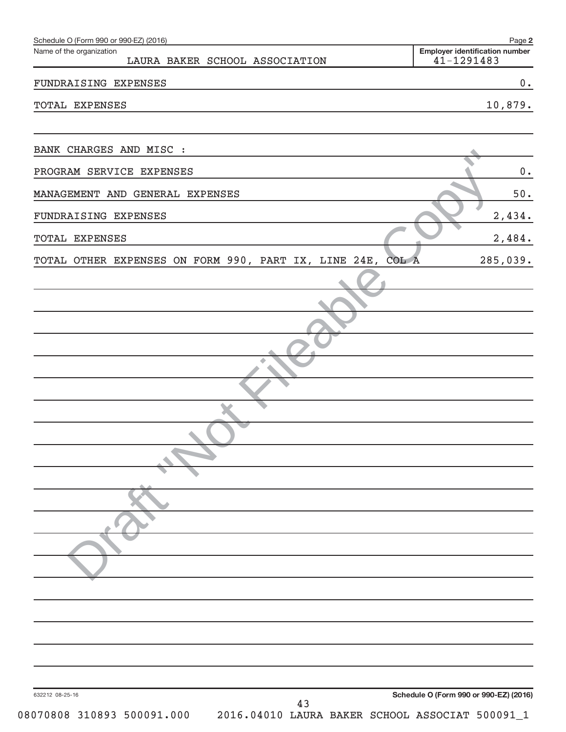| Schedule O (Form 990 or 990-EZ) (2016)                                              | Page 2                                              |
|-------------------------------------------------------------------------------------|-----------------------------------------------------|
| Name of the organization<br>LAURA BAKER SCHOOL ASSOCIATION                          | <b>Employer identification number</b><br>41-1291483 |
| FUNDRAISING EXPENSES                                                                | 0.                                                  |
| TOTAL EXPENSES                                                                      | 10,879.                                             |
|                                                                                     |                                                     |
| BANK CHARGES AND MISC :                                                             |                                                     |
| PROGRAM SERVICE EXPENSES                                                            | $0$ .                                               |
| MANAGEMENT AND GENERAL EXPENSES                                                     | $50.$                                               |
| FUNDRAISING EXPENSES                                                                | 2,434.                                              |
| TOTAL EXPENSES                                                                      | 2,484.                                              |
| TOTAL OTHER EXPENSES ON FORM 990, PART IX, LINE 24E,<br>COL A                       | 285,039.                                            |
|                                                                                     |                                                     |
|                                                                                     |                                                     |
|                                                                                     |                                                     |
|                                                                                     |                                                     |
|                                                                                     |                                                     |
|                                                                                     |                                                     |
|                                                                                     |                                                     |
|                                                                                     |                                                     |
|                                                                                     |                                                     |
|                                                                                     |                                                     |
|                                                                                     |                                                     |
|                                                                                     |                                                     |
|                                                                                     |                                                     |
|                                                                                     |                                                     |
|                                                                                     |                                                     |
|                                                                                     |                                                     |
|                                                                                     |                                                     |
|                                                                                     |                                                     |
| 632212 08-25-16                                                                     | Schedule O (Form 990 or 990-EZ) (2016)              |
| 43<br>08070808 310893 500091.000<br>2016.04010 LAURA BAKER SCHOOL ASSOCIAT 500091_1 |                                                     |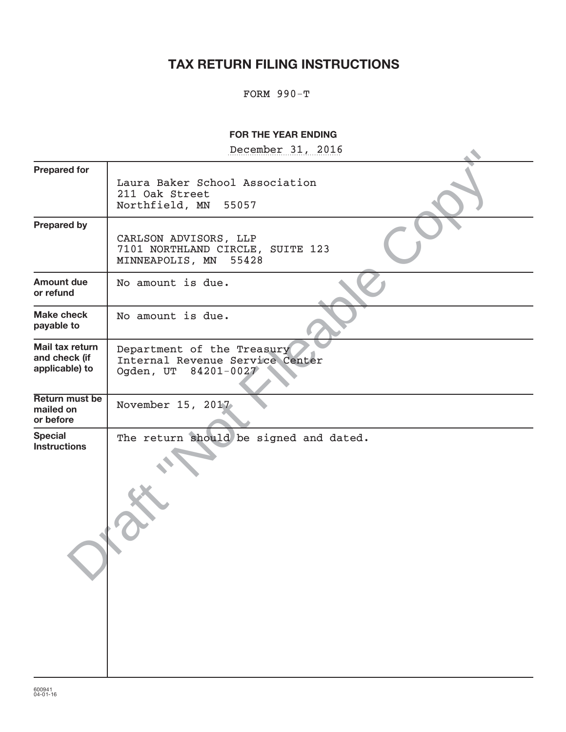# **TAX RETURN FILING INSTRUCTIONS**

## FORM 990-T

## **FOR THE YEAR ENDING**

December 31, 2016

| December 21' 2010                                                                     |
|---------------------------------------------------------------------------------------|
| Laura Baker School Association<br>211 Oak Street<br>Northfield, MN<br>55057           |
| CARLSON ADVISORS, LLP<br>7101 NORTHLAND CIRCLE, SUITE 123<br>55428<br>MINNEAPOLIS, MN |
| No amount is due.                                                                     |
| No amount is due.                                                                     |
| Department of the Treasury<br>Internal Revenue Service Center<br>Ogden, UT 84201-0027 |
| November 15, 2017.                                                                    |
| The return should be signed and dated.                                                |
|                                                                                       |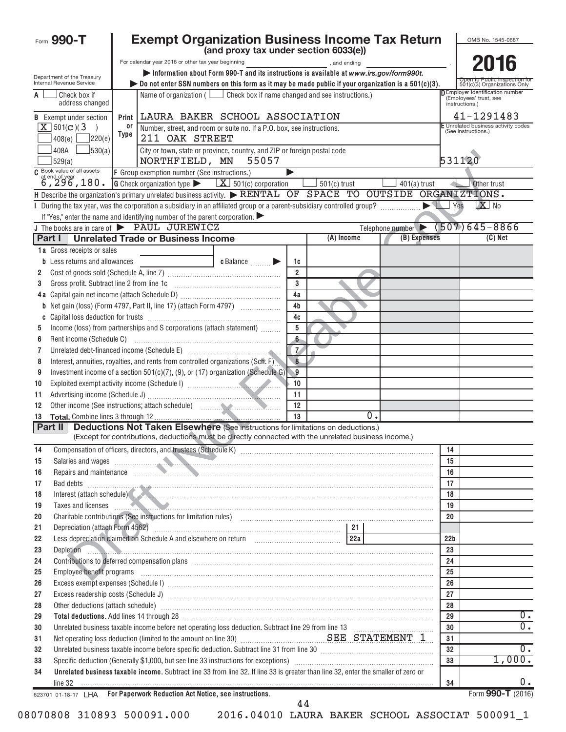|          | Form 990-T                                                    |             | <b>Exempt Organization Business Income Tax Return</b>                                                                                                                                                                                |                                                                                         |                  |                       |       |                                                  |                 | OMB No. 1545-0687                                                                  |
|----------|---------------------------------------------------------------|-------------|--------------------------------------------------------------------------------------------------------------------------------------------------------------------------------------------------------------------------------------|-----------------------------------------------------------------------------------------|------------------|-----------------------|-------|--------------------------------------------------|-----------------|------------------------------------------------------------------------------------|
|          |                                                               |             |                                                                                                                                                                                                                                      | (and proxy tax under section 6033(e))                                                   |                  |                       |       |                                                  |                 |                                                                                    |
|          |                                                               |             | For calendar year 2016 or other tax year beginning                                                                                                                                                                                   | Information about Form 990-T and its instructions is available at www.irs.gov/form990t. |                  | and ending and ending |       |                                                  |                 | 2016                                                                               |
|          | Department of the Treasury<br><b>Internal Revenue Service</b> |             | bo not enter SSN numbers on this form as it may be made public if your organization is a $501(c)(3)$ .                                                                                                                               |                                                                                         |                  |                       |       |                                                  |                 | 501(c)(3) Organizations Only                                                       |
| A        | Check box if<br>address changed                               |             |                                                                                                                                                                                                                                      | Name of organization ( $\Box$ Check box if name changed and see instructions.)          |                  |                       |       |                                                  |                 | <b>DEmployer identification number</b><br>(Employees' trust, see<br>instructions.) |
|          | <b>B</b> Exempt under section                                 |             | Print LAURA BAKER SCHOOL ASSOCIATION                                                                                                                                                                                                 |                                                                                         |                  |                       |       |                                                  |                 | 41-1291483                                                                         |
|          | $\boxed{\mathbf{X}}$ 501(c)(3<br>$\rightarrow$                | 0r          |                                                                                                                                                                                                                                      | Number, street, and room or suite no. If a P.O. box, see instructions.                  |                  |                       |       |                                                  |                 | E Unrelated business activity codes                                                |
|          | ]220(e)<br>408(e)                                             | <b>Type</b> | 211 OAK STREET                                                                                                                                                                                                                       |                                                                                         |                  |                       |       |                                                  |                 | (See instructions.)                                                                |
|          | 30(a)<br>408A                                                 |             |                                                                                                                                                                                                                                      | City or town, state or province, country, and ZIP or foreign postal code                |                  |                       |       |                                                  |                 |                                                                                    |
|          | 529(a)                                                        |             | NORTHFIELD, MN                                                                                                                                                                                                                       | 55057                                                                                   |                  |                       |       |                                                  | 531120          |                                                                                    |
|          | C Book value of all assets<br>at end of year<br>6, 296, 180.  |             | F Group exemption number (See instructions.)                                                                                                                                                                                         |                                                                                         |                  |                       |       |                                                  |                 |                                                                                    |
|          |                                                               |             | <b>G</b> Check organization type $\blacktriangleright$ $\mathbf{X}$ 501(c) corporation                                                                                                                                               |                                                                                         |                  | $501(c)$ trust        |       | $401(a)$ trust                                   |                 | Other trust                                                                        |
|          |                                                               |             | H Describe the organization's primary unrelated business activity. RENTAL OF SPACE TO OUTSIDE ORGANIZTIONS.                                                                                                                          |                                                                                         |                  |                       |       |                                                  | $\vert$ Yes     | $X$ No                                                                             |
|          |                                                               |             | I During the tax year, was the corporation a subsidiary in an affiliated group or a parent-subsidiary controlled group?<br>If "Yes," enter the name and identifying number of the parent corporation.                                |                                                                                         |                  |                       |       |                                                  |                 |                                                                                    |
|          |                                                               |             | J The books are in care of <b>FAUL JUREWICZ</b>                                                                                                                                                                                      |                                                                                         |                  |                       |       | Telephone number $\triangleright$ (507) 645-8866 |                 |                                                                                    |
|          | Part I I                                                      |             | <b>Unrelated Trade or Business Income</b>                                                                                                                                                                                            |                                                                                         |                  | (A) Income            |       | (B) Expenses                                     |                 | (C) Net                                                                            |
|          | 1a Gross receipts or sales                                    |             |                                                                                                                                                                                                                                      |                                                                                         |                  |                       |       |                                                  |                 |                                                                                    |
|          | Less returns and allowances                                   |             |                                                                                                                                                                                                                                      | c Balance                                                                               | 1c               |                       |       |                                                  |                 |                                                                                    |
| 2        |                                                               |             |                                                                                                                                                                                                                                      |                                                                                         | $\mathfrak{p}$   |                       |       |                                                  |                 |                                                                                    |
| 3        | Gross profit. Subtract line 2 from line 1c                    |             |                                                                                                                                                                                                                                      |                                                                                         | $\mathbf{3}$     |                       |       |                                                  |                 |                                                                                    |
|          |                                                               |             |                                                                                                                                                                                                                                      |                                                                                         | 4a               |                       |       |                                                  |                 |                                                                                    |
| b        |                                                               |             | Net gain (loss) (Form 4797, Part II, line 17) (attach Form 4797)                                                                                                                                                                     |                                                                                         | 4 <sub>b</sub>   |                       |       |                                                  |                 |                                                                                    |
|          |                                                               |             | Income (loss) from partnerships and S corporations (attach statement)                                                                                                                                                                |                                                                                         | 4c<br>5          |                       |       |                                                  |                 |                                                                                    |
| 5<br>6   |                                                               |             |                                                                                                                                                                                                                                      |                                                                                         | 6                |                       |       |                                                  |                 |                                                                                    |
| 7        |                                                               |             | Unrelated debt-financed income (Schedule E) [11] [2010] [2010] [2010] [2010] [2010] [2011] [2011] [2011] [2011                                                                                                                       |                                                                                         | $\overline{7}$   |                       |       |                                                  |                 |                                                                                    |
| 8        |                                                               |             | Interest, annuities, royalties, and rents from controlled organizations (Sch. F)                                                                                                                                                     |                                                                                         | $\overline{8}$   |                       |       |                                                  |                 |                                                                                    |
| 9        |                                                               |             | Investment income of a section $501(c)(7)$ , (9), or (17) organization (Schedule G)                                                                                                                                                  |                                                                                         | $\blacksquare$ 9 |                       |       |                                                  |                 |                                                                                    |
| 10       |                                                               |             |                                                                                                                                                                                                                                      |                                                                                         | 10               |                       |       |                                                  |                 |                                                                                    |
| 11       |                                                               |             |                                                                                                                                                                                                                                      |                                                                                         | 11               |                       |       |                                                  |                 |                                                                                    |
| 12       |                                                               |             |                                                                                                                                                                                                                                      |                                                                                         | 12               |                       |       |                                                  |                 |                                                                                    |
| 13       |                                                               |             |                                                                                                                                                                                                                                      |                                                                                         | 13               |                       | $0$ . |                                                  |                 |                                                                                    |
|          | Part II                                                       |             | <b>Deductions Not Taken Elsewhere (See instructions for limitations on deductions.)</b><br>(Except for contributions, deductions must be directly connected with the unrelated business income.)                                     |                                                                                         |                  |                       |       |                                                  |                 |                                                                                    |
| 14       |                                                               |             |                                                                                                                                                                                                                                      |                                                                                         |                  |                       |       |                                                  |                 |                                                                                    |
| 15       |                                                               |             |                                                                                                                                                                                                                                      |                                                                                         |                  |                       |       |                                                  | 14<br>15        |                                                                                    |
| 16       |                                                               |             | Salaries and wages<br>Repairs and maintenance                                                                                                                                                                                        |                                                                                         |                  |                       |       |                                                  | 16              |                                                                                    |
| 17       |                                                               |             | Bad debts <b>www.communications.communications.com</b>                                                                                                                                                                               |                                                                                         |                  |                       |       |                                                  | 17              |                                                                                    |
| 18       |                                                               |             | Interest (attach schedule)                                                                                                                                                                                                           |                                                                                         |                  |                       |       |                                                  | 18              |                                                                                    |
| 19       |                                                               |             | Taxes and licenses <b>contract the contract of the contract of the contract of the contract of the contract of the contract of the contract of the contract of the contract of the contract of the contract of the contract of t</b> |                                                                                         |                  |                       |       |                                                  | 19              |                                                                                    |
| 20       |                                                               |             | Charitable contributions (See instructions for limitation rules) [11] content to the content to the contributions (See instructions for limitation rules) [11] content to the content of the content of the content of the con       |                                                                                         |                  |                       |       |                                                  | 20              |                                                                                    |
| 21       |                                                               |             |                                                                                                                                                                                                                                      |                                                                                         |                  |                       |       |                                                  |                 |                                                                                    |
| 22       |                                                               |             |                                                                                                                                                                                                                                      |                                                                                         |                  |                       |       |                                                  | 22 <sub>b</sub> |                                                                                    |
| 23       | Depletion<br>- 7                                              |             | <u> 1988 - Andrea Barbara, americana americana americana americana americana americana americana a</u>                                                                                                                               |                                                                                         |                  |                       |       |                                                  | 23              |                                                                                    |
| 24<br>25 | Employee benefit programs                                     |             |                                                                                                                                                                                                                                      |                                                                                         |                  |                       |       |                                                  | 24<br>25        |                                                                                    |
| 26       |                                                               |             |                                                                                                                                                                                                                                      |                                                                                         |                  |                       |       |                                                  | 26              |                                                                                    |
| 27       |                                                               |             |                                                                                                                                                                                                                                      |                                                                                         |                  |                       |       |                                                  | 27              |                                                                                    |
| 28       |                                                               |             | Other deductions (attach schedule) www.communications.communications.communications.com                                                                                                                                              |                                                                                         |                  |                       |       |                                                  | 28              |                                                                                    |
| 29       |                                                               |             |                                                                                                                                                                                                                                      |                                                                                         |                  |                       |       |                                                  | 29              | 0.                                                                                 |
| 30       |                                                               |             |                                                                                                                                                                                                                                      |                                                                                         |                  |                       |       |                                                  | 30              | 0.                                                                                 |
| 31       |                                                               |             |                                                                                                                                                                                                                                      |                                                                                         |                  |                       |       |                                                  | 31              |                                                                                    |
| 32       |                                                               |             | Unrelated business taxable income before specific deduction. Subtract line 31 from line 30 [11] [11] Unrelated business taxable income before specific deduction. Subtract line 31 from line 30 [11] $\ldots$                        |                                                                                         |                  |                       |       |                                                  | 32              | $0$ .                                                                              |
| 33       |                                                               |             |                                                                                                                                                                                                                                      |                                                                                         |                  |                       |       |                                                  | 33              | 1,000.                                                                             |
| 34       | line 32                                                       |             | Unrelated business taxable income. Subtract line 33 from line 32. If line 33 is greater than line 32, enter the smaller of zero or                                                                                                   |                                                                                         |                  |                       |       |                                                  | 34              | 0.                                                                                 |
|          |                                                               |             | 623701 01-18-17 LHA For Paperwork Reduction Act Notice, see instructions.                                                                                                                                                            |                                                                                         | 44               |                       |       |                                                  |                 | Form 990-T (2016)                                                                  |

| 08070808 310893 500091.000 | 2016.04010 LAURA BAKER SCHOOL ASSOCIAT 500091 1 |  |  |  |
|----------------------------|-------------------------------------------------|--|--|--|
|----------------------------|-------------------------------------------------|--|--|--|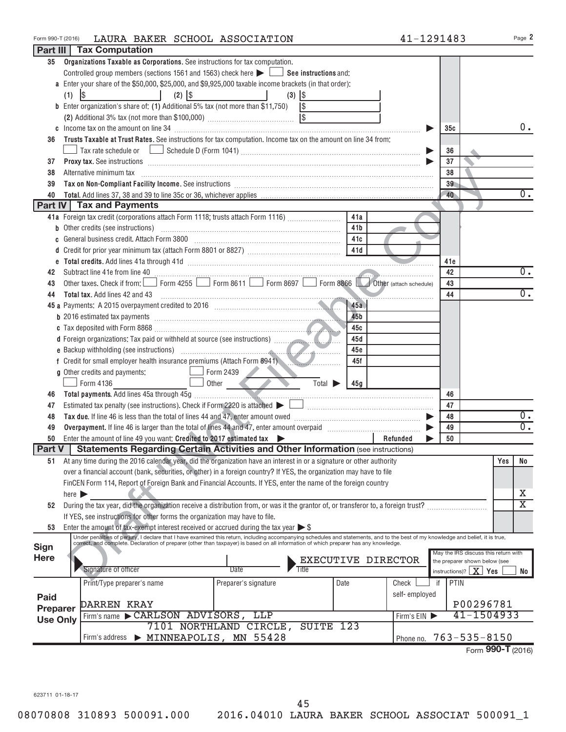| Form 990-T (2016) | LAURA BAKER SCHOOL ASSOCIATION                                                                                                                                                                                                                                                                                            |                                      |                    | 41-1291483    |                                      |     | Page 2                  |
|-------------------|---------------------------------------------------------------------------------------------------------------------------------------------------------------------------------------------------------------------------------------------------------------------------------------------------------------------------|--------------------------------------|--------------------|---------------|--------------------------------------|-----|-------------------------|
|                   | Part III   Tax Computation                                                                                                                                                                                                                                                                                                |                                      |                    |               |                                      |     |                         |
| 35                | Organizations Taxable as Corporations. See instructions for tax computation.                                                                                                                                                                                                                                              |                                      |                    |               |                                      |     |                         |
|                   | Controlled group members (sections 1561 and 1563) check here $\blacktriangleright$ $\Box$ See instructions and:                                                                                                                                                                                                           |                                      |                    |               |                                      |     |                         |
|                   | a Enter your share of the \$50,000, \$25,000, and \$9,925,000 taxable income brackets (in that order):                                                                                                                                                                                                                    |                                      |                    |               |                                      |     |                         |
|                   | \$<br>(1)                                                                                                                                                                                                                                                                                                                 | $(3)$ $ $ \$                         |                    |               |                                      |     |                         |
|                   | <b>b</b> Enter organization's share of: (1) Additional 5% tax (not more than \$11,750) $\sqrt{\$}$                                                                                                                                                                                                                        |                                      |                    |               |                                      |     |                         |
|                   |                                                                                                                                                                                                                                                                                                                           |                                      |                    |               |                                      |     |                         |
|                   |                                                                                                                                                                                                                                                                                                                           |                                      |                    |               | 35c                                  |     | $0$ .                   |
| 36                | Trusts Taxable at Trust Rates. See instructions for tax computation. Income tax on the amount on line 34 from:                                                                                                                                                                                                            |                                      |                    |               |                                      |     |                         |
|                   |                                                                                                                                                                                                                                                                                                                           |                                      |                    |               | 36                                   |     |                         |
| 37                | Proxy tax. See instructions information and contact the material contract of the contract of the material contract of the contract of the contract of the contract of the contract of the contract of the contract of the cont                                                                                            |                                      |                    |               | 37                                   |     |                         |
| 38                | Alternative minimum tax                                                                                                                                                                                                                                                                                                   |                                      |                    |               | 38                                   |     |                         |
| 39                |                                                                                                                                                                                                                                                                                                                           |                                      |                    |               | 39                                   |     |                         |
| 40                |                                                                                                                                                                                                                                                                                                                           |                                      |                    |               | 40                                   |     | $0$ .                   |
|                   | <b>Part IV Tax and Payments</b>                                                                                                                                                                                                                                                                                           |                                      |                    |               |                                      |     |                         |
|                   | 41a Foreign tax credit (corporations attach Form 1118; trusts attach Form 1116) [                                                                                                                                                                                                                                         |                                      | 41a                |               |                                      |     |                         |
|                   | <b>b</b> Other credits (see instructions)                                                                                                                                                                                                                                                                                 |                                      | 41 <sub>b</sub>    |               |                                      |     |                         |
| C                 |                                                                                                                                                                                                                                                                                                                           |                                      | 41c                |               |                                      |     |                         |
| d                 |                                                                                                                                                                                                                                                                                                                           |                                      | 41d                |               |                                      |     |                         |
|                   |                                                                                                                                                                                                                                                                                                                           |                                      |                    |               | 41e                                  |     |                         |
| 42                | Subtract line 41e from line 40 <b>manual contract of the 40</b> manual contract line 41e from line 40                                                                                                                                                                                                                     |                                      |                    |               | 42                                   |     | 0.                      |
| 43                | Other taxes. Check if from: Form 4255 Form 8611 Form 8697 Form 8866 Other (attach schedule)                                                                                                                                                                                                                               |                                      |                    |               | 43                                   |     |                         |
| 44                | <b>Total tax.</b> Add lines 42 and 43                                                                                                                                                                                                                                                                                     |                                      |                    |               | 44                                   |     | 0.                      |
|                   |                                                                                                                                                                                                                                                                                                                           |                                      | 45a                |               |                                      |     |                         |
|                   |                                                                                                                                                                                                                                                                                                                           |                                      | 45 <sub>b</sub>    |               |                                      |     |                         |
|                   |                                                                                                                                                                                                                                                                                                                           |                                      | 45c                |               |                                      |     |                         |
|                   |                                                                                                                                                                                                                                                                                                                           |                                      | 45d                |               |                                      |     |                         |
|                   |                                                                                                                                                                                                                                                                                                                           |                                      | 45e                |               |                                      |     |                         |
|                   | f Credit for small employer health insurance premiums (Attach Form 8941)                                                                                                                                                                                                                                                  |                                      | 45f                |               |                                      |     |                         |
|                   | g Other credits and payments:                                                                                                                                                                                                                                                                                             | Form 2439                            |                    |               |                                      |     |                         |
|                   | Form 4136                                                                                                                                                                                                                                                                                                                 | Other<br>Total $\blacktriangleright$ | 45g                |               |                                      |     |                         |
| 46                |                                                                                                                                                                                                                                                                                                                           |                                      |                    |               | 46                                   |     |                         |
| 47                | Estimated tax penalty (see instructions). Check if Form 2220 is attached $\blacktriangleright$                                                                                                                                                                                                                            |                                      |                    |               | 47                                   |     |                         |
| 48                |                                                                                                                                                                                                                                                                                                                           |                                      |                    |               | 48                                   |     | 0.                      |
| 49                |                                                                                                                                                                                                                                                                                                                           |                                      |                    |               | 49                                   |     | $\overline{0}$ .        |
| 50                | Enter the amount of line 49 you want: Credited to 2017 estimated tax                                                                                                                                                                                                                                                      |                                      |                    | Refunded      | 50                                   |     |                         |
| <b>Part V</b>     | <b>Statements Regarding Certain Activities and Other Information (see instructions)</b>                                                                                                                                                                                                                                   |                                      |                    |               |                                      |     |                         |
| 51                | At any time during the 2016 calendar year, did the organization have an interest in or a signature or other authority                                                                                                                                                                                                     |                                      |                    |               |                                      | Yes | No                      |
|                   | over a financial account (bank, securities, or other) in a foreign country? If YES, the organization may have to file                                                                                                                                                                                                     |                                      |                    |               |                                      |     |                         |
|                   | FinCEN Form 114, Report of Foreign Bank and Financial Accounts. If YES, enter the name of the foreign country                                                                                                                                                                                                             |                                      |                    |               |                                      |     |                         |
|                   | $here$ $\blacktriangleright$                                                                                                                                                                                                                                                                                              |                                      |                    |               |                                      |     | х                       |
| 52                | During the tax year, did the organization receive a distribution from, or was it the grantor of, or transferor to, a foreign trust?                                                                                                                                                                                       |                                      |                    |               |                                      |     | $\overline{\mathtt{x}}$ |
|                   | If YES, see instructions for other forms the organization may have to file.                                                                                                                                                                                                                                               |                                      |                    |               |                                      |     |                         |
| 53                | Enter the amount of tax-exempt interest received or accrued during the tax year $\triangleright$ \$                                                                                                                                                                                                                       |                                      |                    |               |                                      |     |                         |
|                   | Under penalties of perjury, I declare that I have examined this return, including accompanying schedules and statements, and to the best of my knowledge and belief, it is true,<br>correct, and complete. Declaration of preparer (other than taxpayer) is based on all information of which preparer has any knowledge. |                                      |                    |               |                                      |     |                         |
| <b>Sign</b>       |                                                                                                                                                                                                                                                                                                                           |                                      |                    |               | May the IRS discuss this return with |     |                         |
| Here              |                                                                                                                                                                                                                                                                                                                           |                                      | EXECUTIVE DIRECTOR |               | the preparer shown below (see        |     |                         |
|                   | Signature of officer                                                                                                                                                                                                                                                                                                      | Date<br>Title                        |                    |               | instructions)? $\mid X \mid$ Yes     |     | No                      |
|                   | Print/Type preparer's name                                                                                                                                                                                                                                                                                                | Preparer's signature                 | Date               | Check<br>if   | PTIN                                 |     |                         |
| <b>Paid</b>       |                                                                                                                                                                                                                                                                                                                           |                                      |                    | self-employed |                                      |     |                         |
| <b>Preparer</b>   | <b>DARREN KRAY</b>                                                                                                                                                                                                                                                                                                        |                                      |                    |               | P00296781                            |     |                         |
| <b>Use Only</b>   | Firm's name CARLSON ADVISORS, LLP                                                                                                                                                                                                                                                                                         |                                      |                    | Firm's EIN    | 41-1504933                           |     |                         |
|                   |                                                                                                                                                                                                                                                                                                                           | 7101 NORTHLAND CIRCLE, SUITE 123     |                    |               |                                      |     |                         |
|                   | Firm's address > MINNEAPOLIS, MN 55428                                                                                                                                                                                                                                                                                    |                                      |                    | Phone no.     | $763 - 535 - 8150$                   |     |                         |
|                   |                                                                                                                                                                                                                                                                                                                           |                                      |                    |               | Form 990-T (2016)                    |     |                         |

623711 01-18-17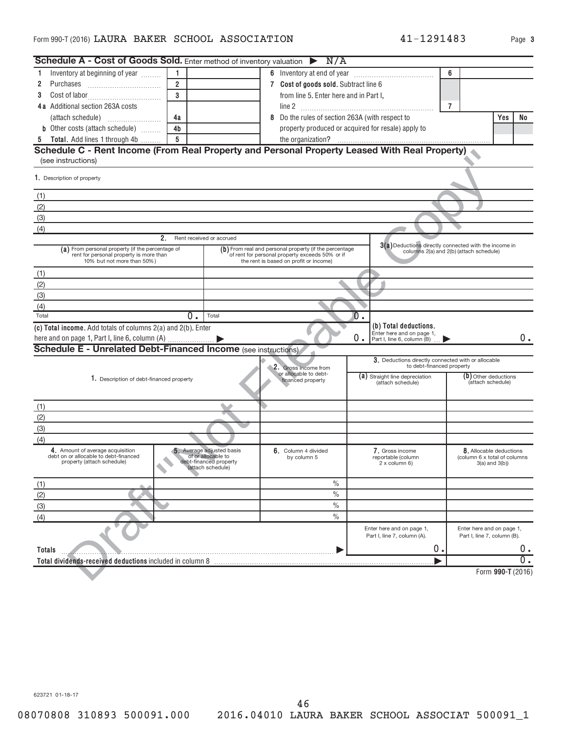| <b>Schedule A - Cost of Goods Sold.</b> Enter method of inventory valuation $\triangleright$ N/A                          |                                                                                                |                                                                                                                                                     |                                                                                        |                                                                                                  |  |  |  |
|---------------------------------------------------------------------------------------------------------------------------|------------------------------------------------------------------------------------------------|-----------------------------------------------------------------------------------------------------------------------------------------------------|----------------------------------------------------------------------------------------|--------------------------------------------------------------------------------------------------|--|--|--|
| Inventory at beginning of year<br>1                                                                                       | $\mathbf{1}$                                                                                   |                                                                                                                                                     |                                                                                        | 6                                                                                                |  |  |  |
| 2<br>Purchases                                                                                                            | $\overline{2}$                                                                                 | 7 Cost of goods sold. Subtract line 6                                                                                                               |                                                                                        |                                                                                                  |  |  |  |
| 3                                                                                                                         | $\overline{3}$                                                                                 |                                                                                                                                                     | from line 5. Enter here and in Part I,                                                 |                                                                                                  |  |  |  |
| <b>4a</b> Additional section 263A costs                                                                                   |                                                                                                |                                                                                                                                                     |                                                                                        | $\overline{7}$                                                                                   |  |  |  |
|                                                                                                                           | 4a                                                                                             | Do the rules of section 263A (with respect to<br>8                                                                                                  |                                                                                        | Yes<br>No.                                                                                       |  |  |  |
| <b>b</b> Other costs (attach schedule)                                                                                    | 4 <sub>b</sub>                                                                                 |                                                                                                                                                     | property produced or acquired for resale) apply to                                     |                                                                                                  |  |  |  |
| Total. Add lines 1 through 4b<br>5                                                                                        | 5                                                                                              |                                                                                                                                                     |                                                                                        |                                                                                                  |  |  |  |
| Schedule C - Rent Income (From Real Property and Personal Property Leased With Real Property)                             |                                                                                                |                                                                                                                                                     |                                                                                        |                                                                                                  |  |  |  |
| (see instructions)                                                                                                        |                                                                                                |                                                                                                                                                     |                                                                                        |                                                                                                  |  |  |  |
| 1. Description of property                                                                                                |                                                                                                |                                                                                                                                                     |                                                                                        |                                                                                                  |  |  |  |
| (1)                                                                                                                       |                                                                                                |                                                                                                                                                     |                                                                                        |                                                                                                  |  |  |  |
| (2)                                                                                                                       |                                                                                                |                                                                                                                                                     |                                                                                        |                                                                                                  |  |  |  |
| (3)                                                                                                                       |                                                                                                |                                                                                                                                                     |                                                                                        |                                                                                                  |  |  |  |
| (4)                                                                                                                       |                                                                                                |                                                                                                                                                     |                                                                                        |                                                                                                  |  |  |  |
|                                                                                                                           | 2. Rent received or accrued                                                                    |                                                                                                                                                     |                                                                                        |                                                                                                  |  |  |  |
| (a) From personal property (if the percentage of<br>rent for personal property is more than<br>10% but not more than 50%) |                                                                                                | (b) From real and personal property (if the percentage<br>of rent for personal property exceeds 50% or if<br>the rent is based on profit or income) |                                                                                        | 3(a) Deductions directly connected with the income in<br>columns 2(a) and 2(b) (attach schedule) |  |  |  |
| (1)                                                                                                                       |                                                                                                |                                                                                                                                                     |                                                                                        |                                                                                                  |  |  |  |
| (2)                                                                                                                       |                                                                                                |                                                                                                                                                     |                                                                                        |                                                                                                  |  |  |  |
| (3)                                                                                                                       |                                                                                                |                                                                                                                                                     |                                                                                        |                                                                                                  |  |  |  |
| (4)                                                                                                                       |                                                                                                |                                                                                                                                                     |                                                                                        |                                                                                                  |  |  |  |
| Total                                                                                                                     | $0$ .<br>Total                                                                                 |                                                                                                                                                     | $\overline{0}$ .                                                                       |                                                                                                  |  |  |  |
| (c) Total income. Add totals of columns 2(a) and 2(b). Enter                                                              |                                                                                                |                                                                                                                                                     | (b) Total deductions.<br>Enter here and on page 1,<br>0.<br>Part I, line 6, column (B) | 0.                                                                                               |  |  |  |
| <b>Schedule E - Unrelated Debt-Financed Income</b> (see instructions)                                                     |                                                                                                |                                                                                                                                                     |                                                                                        |                                                                                                  |  |  |  |
|                                                                                                                           |                                                                                                |                                                                                                                                                     | 3. Deductions directly connected with or allocable<br>to debt-financed property        |                                                                                                  |  |  |  |
| 1. Description of debt-financed property                                                                                  |                                                                                                | 2. Gross income from<br>or allocable to debt-<br>financed property                                                                                  | (a) Straight line depreciation<br>(attach schedule)                                    | (b) Other deductions<br>(attach schedule)                                                        |  |  |  |
| (1)                                                                                                                       |                                                                                                |                                                                                                                                                     |                                                                                        |                                                                                                  |  |  |  |
| (2)                                                                                                                       |                                                                                                |                                                                                                                                                     |                                                                                        |                                                                                                  |  |  |  |
| (3)                                                                                                                       |                                                                                                |                                                                                                                                                     |                                                                                        |                                                                                                  |  |  |  |
| (4)                                                                                                                       |                                                                                                |                                                                                                                                                     |                                                                                        |                                                                                                  |  |  |  |
| 4. Amount of average acquisition<br>debt on or allocable to debt-financed<br>property (attach schedule)                   | 5. Average adjusted basis<br>of or allocable to<br>debt-financed property<br>(attach schedule) | 6. Column 4 divided<br>by column 5                                                                                                                  | 7. Gross income<br>reportable (column<br>$2x$ column 6)                                | 8. Allocable deductions<br>(column 6 x total of columns<br>$3(a)$ and $3(b)$ )                   |  |  |  |
| (1)                                                                                                                       |                                                                                                | $\frac{0}{0}$                                                                                                                                       |                                                                                        |                                                                                                  |  |  |  |
| (2)                                                                                                                       |                                                                                                | $\%$                                                                                                                                                |                                                                                        |                                                                                                  |  |  |  |
| (3)                                                                                                                       |                                                                                                | $\%$                                                                                                                                                |                                                                                        |                                                                                                  |  |  |  |
| (4)                                                                                                                       |                                                                                                | $\%$                                                                                                                                                |                                                                                        |                                                                                                  |  |  |  |
|                                                                                                                           |                                                                                                |                                                                                                                                                     | Enter here and on page 1,<br>Part I, line 7, column (A).                               | Enter here and on page 1,<br>Part I, line 7, column (B).                                         |  |  |  |
| Totals                                                                                                                    |                                                                                                |                                                                                                                                                     | 0.                                                                                     | 0.                                                                                               |  |  |  |
| Total dividends-received deductions included in column 8                                                                  |                                                                                                |                                                                                                                                                     |                                                                                        | σ.                                                                                               |  |  |  |
|                                                                                                                           |                                                                                                |                                                                                                                                                     |                                                                                        | Form 990-T (2016)                                                                                |  |  |  |

623721 01-18-17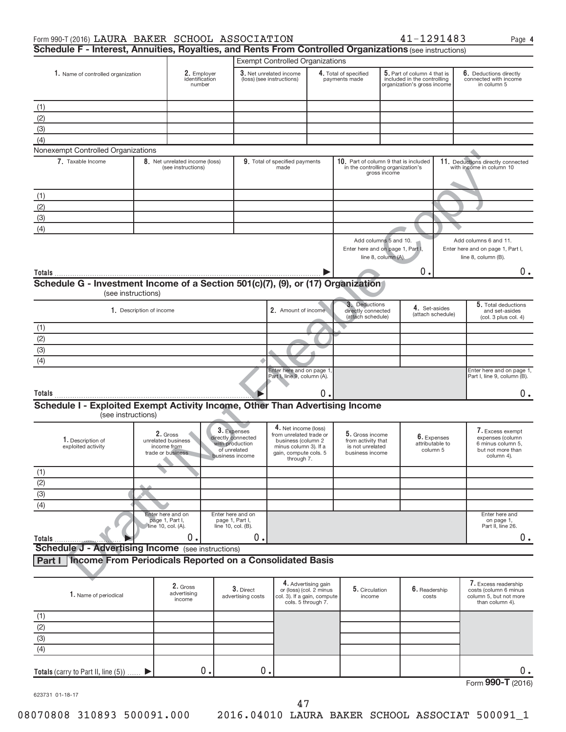| Schedule F - Interest, Annuities, Royalties, and Rents From Controlled Organizations (see instructions) | Form 990-T (2016) LAURA BAKER SCHOOL ASSOCIATION |  | 41-1291483 | Page |
|---------------------------------------------------------------------------------------------------------|--------------------------------------------------|--|------------|------|
|                                                                                                         |                                                  |  |            |      |

**4**

|                                                                                                        |                                        |                                                                    |                                                                                         | <b>Exempt Controlled Organizations</b>                                                                                                |    |                                                                              |                                                                                            |                                            |                                                                                              |
|--------------------------------------------------------------------------------------------------------|----------------------------------------|--------------------------------------------------------------------|-----------------------------------------------------------------------------------------|---------------------------------------------------------------------------------------------------------------------------------------|----|------------------------------------------------------------------------------|--------------------------------------------------------------------------------------------|--------------------------------------------|----------------------------------------------------------------------------------------------|
| 1. Name of controlled organization                                                                     |                                        | 2. Employer<br>identification<br>number                            |                                                                                         | 3. Net unrelated income<br>(loss) (see instructions)                                                                                  |    | 4. Total of specified<br>payments made                                       | 5. Part of column 4 that is<br>included in the controlling<br>organization's gross income  |                                            | 6. Deductions directly<br>connected with income<br>in column 5                               |
|                                                                                                        |                                        |                                                                    |                                                                                         |                                                                                                                                       |    |                                                                              |                                                                                            |                                            |                                                                                              |
| (1)                                                                                                    |                                        |                                                                    |                                                                                         |                                                                                                                                       |    |                                                                              |                                                                                            |                                            |                                                                                              |
| (2)                                                                                                    |                                        |                                                                    |                                                                                         |                                                                                                                                       |    |                                                                              |                                                                                            |                                            |                                                                                              |
| (3)                                                                                                    |                                        |                                                                    |                                                                                         |                                                                                                                                       |    |                                                                              |                                                                                            |                                            |                                                                                              |
| (4)                                                                                                    |                                        |                                                                    |                                                                                         |                                                                                                                                       |    |                                                                              |                                                                                            |                                            |                                                                                              |
| Nonexempt Controlled Organizations                                                                     |                                        |                                                                    |                                                                                         |                                                                                                                                       |    |                                                                              |                                                                                            |                                            |                                                                                              |
| 7. Taxable Income                                                                                      |                                        | 8. Net unrelated income (loss)<br>(see instructions)               |                                                                                         | 9. Total of specified payments<br>made                                                                                                |    |                                                                              | 10. Part of column 9 that is included<br>in the controlling organization's<br>gross income |                                            | 11. Deductions directly connected<br>with income in column 10                                |
| (1)                                                                                                    |                                        |                                                                    |                                                                                         |                                                                                                                                       |    |                                                                              |                                                                                            |                                            |                                                                                              |
| (2)                                                                                                    |                                        |                                                                    |                                                                                         |                                                                                                                                       |    |                                                                              |                                                                                            |                                            |                                                                                              |
| (3)                                                                                                    |                                        |                                                                    |                                                                                         |                                                                                                                                       |    |                                                                              |                                                                                            |                                            |                                                                                              |
| (4)                                                                                                    |                                        |                                                                    |                                                                                         |                                                                                                                                       |    |                                                                              |                                                                                            |                                            |                                                                                              |
|                                                                                                        |                                        |                                                                    |                                                                                         |                                                                                                                                       |    |                                                                              | Add columns 5 and 10.<br>Enter here and on page 1, Part I,<br>line 8, column (A).          |                                            | Add columns 6 and 11.<br>Enter here and on page 1, Part I,<br>line 8, column (B).            |
|                                                                                                        |                                        |                                                                    |                                                                                         |                                                                                                                                       |    |                                                                              | 0.                                                                                         |                                            | 0.                                                                                           |
| Schedule G - Investment Income of a Section 501(c)(7), (9), or (17) Organization<br>(see instructions) | 1. Description of income               |                                                                    |                                                                                         | 2. Amount of income                                                                                                                   |    | 3. Deductions<br>directly connected<br>(attach schedule)                     |                                                                                            | 4. Set-asides<br>(attach schedule)         | 5. Total deductions<br>and set-asides<br>(col. 3 plus col. 4)                                |
| (1)                                                                                                    |                                        |                                                                    |                                                                                         |                                                                                                                                       |    |                                                                              |                                                                                            |                                            |                                                                                              |
| (2)                                                                                                    |                                        |                                                                    |                                                                                         |                                                                                                                                       |    |                                                                              |                                                                                            |                                            |                                                                                              |
| $\overline{3}$                                                                                         |                                        |                                                                    |                                                                                         |                                                                                                                                       |    |                                                                              |                                                                                            |                                            |                                                                                              |
|                                                                                                        |                                        |                                                                    |                                                                                         |                                                                                                                                       |    |                                                                              |                                                                                            |                                            |                                                                                              |
| (4)                                                                                                    |                                        |                                                                    |                                                                                         | Enter here and on page 1                                                                                                              |    |                                                                              |                                                                                            |                                            | Enter here and on page 1,                                                                    |
| Totals                                                                                                 |                                        |                                                                    |                                                                                         | Part I, line 9, column (A).                                                                                                           | 0. |                                                                              |                                                                                            |                                            | Part I, line 9, column (B).<br>0.                                                            |
| Schedule I - Exploited Exempt Activity Income, Other Than Advertising Income<br>(see instructions)     |                                        |                                                                    |                                                                                         |                                                                                                                                       |    |                                                                              |                                                                                            |                                            |                                                                                              |
| 1. Description of<br>exploited activity                                                                |                                        | 2. Gross<br>unrelated business<br>income from<br>trade or business | 3. Expenses<br>directly connected<br>with production<br>of unrelated<br>business income | 4. Net income (loss)<br>from unrelated trade or<br>business (column 2<br>minus column 3). If a<br>gain, compute cols. 5<br>through 7. |    | 5. Gross income<br>from activity that<br>is not unrelated<br>business income |                                                                                            | 6. Expenses<br>attributable to<br>column 5 | 7. Excess exempt<br>expenses (column<br>6 minus column 5,<br>but not more than<br>column 4). |
| (1)                                                                                                    |                                        |                                                                    |                                                                                         |                                                                                                                                       |    |                                                                              |                                                                                            |                                            |                                                                                              |
| (2)                                                                                                    |                                        |                                                                    |                                                                                         |                                                                                                                                       |    |                                                                              |                                                                                            |                                            |                                                                                              |
| (3)                                                                                                    |                                        |                                                                    |                                                                                         |                                                                                                                                       |    |                                                                              |                                                                                            |                                            |                                                                                              |
| (4)                                                                                                    |                                        |                                                                    |                                                                                         |                                                                                                                                       |    |                                                                              |                                                                                            |                                            |                                                                                              |
| Totals                                                                                                 | page 1, Part I,<br>∗line 10, col. (A). | Enter here and on<br>0.                                            | Enter here and on<br>page 1, Part I,<br>line 10, col. (B).<br>О.                        |                                                                                                                                       |    |                                                                              |                                                                                            |                                            | Enter here and<br>on page 1,<br>Part II, line 26.<br>0.                                      |
| <b>Schedule J - Advertising Income</b> (see instructions)                                              |                                        |                                                                    |                                                                                         |                                                                                                                                       |    |                                                                              |                                                                                            |                                            |                                                                                              |
| Income From Periodicals Reported on a Consolidated Basis<br>Part I                                     |                                        |                                                                    |                                                                                         |                                                                                                                                       |    |                                                                              |                                                                                            |                                            |                                                                                              |
|                                                                                                        |                                        |                                                                    |                                                                                         |                                                                                                                                       |    |                                                                              |                                                                                            |                                            |                                                                                              |

## **Part I Income From Periodicals Reported on a Consolidated Basis**

| 1. Name of periodical                  | 2. Gross<br>advertising<br>income | 3. Direct<br>advertising costs | 4. Advertising gain<br>or (loss) (col. 2 minus<br>col. 3). If a gain, compute<br>cols. 5 through 7. | 5. Circulation<br>income | $6.$ Readership<br>costs | 7. Excess readership<br>costs (column 6 minus<br>column 5, but not more<br>than column 4). |
|----------------------------------------|-----------------------------------|--------------------------------|-----------------------------------------------------------------------------------------------------|--------------------------|--------------------------|--------------------------------------------------------------------------------------------|
| (1)                                    |                                   |                                |                                                                                                     |                          |                          |                                                                                            |
| (2)                                    |                                   |                                |                                                                                                     |                          |                          |                                                                                            |
| (3)                                    |                                   |                                |                                                                                                     |                          |                          |                                                                                            |
| (4)                                    |                                   |                                |                                                                                                     |                          |                          |                                                                                            |
| Totals (carry to Part II, line $(5)$ ) | 0.                                | 0                              |                                                                                                     |                          |                          | Ο.                                                                                         |
|                                        |                                   |                                |                                                                                                     |                          |                          | Form 990-T (2016)                                                                          |

623731 01-18-17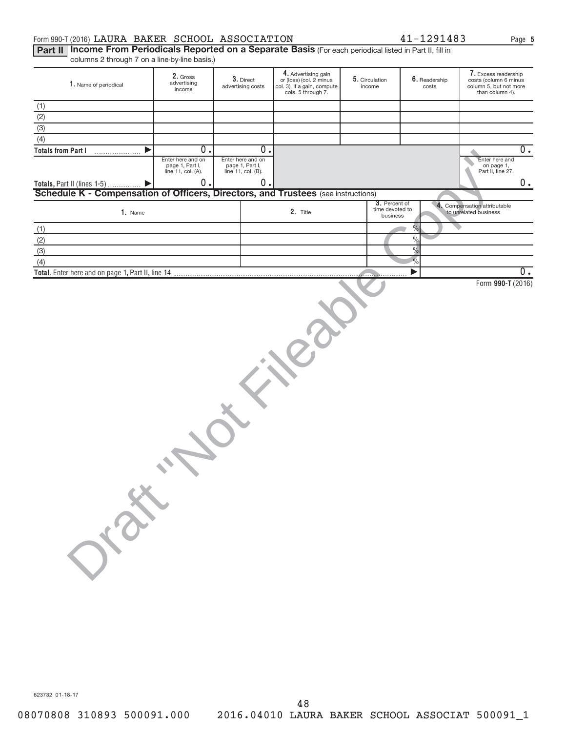### <code>Form</code> 990-T (2016) <code>LAURA BAKER SCHOOL ASSOCIATION</code>  $41-1291483$   $_{\rm Page}$

**5**

Part II | Income From Periodicals Reported on a Separate Basis (For each periodical listed in Part II, fill in columns 2 through 7 on a line-by-line basis.)

| $\frac{1}{2}$ colditions E trinsdegree on a line by line basis.                          |                                                            |                                                            |                                                                                                     |                                              |                        |                                                                                            |
|------------------------------------------------------------------------------------------|------------------------------------------------------------|------------------------------------------------------------|-----------------------------------------------------------------------------------------------------|----------------------------------------------|------------------------|--------------------------------------------------------------------------------------------|
| 1. Name of periodical                                                                    | 2. Gross<br>advertising<br>income                          | 3. Direct<br>advertising costs                             | 4. Advertising gain<br>or (loss) (col. 2 minus<br>col. 3). If a gain, compute<br>cols. 5 through 7. | 5. Circulation<br>income                     | 6. Readership<br>costs | 7. Excess readership<br>costs (column 6 minus<br>column 5, but not more<br>than column 4). |
|                                                                                          |                                                            |                                                            |                                                                                                     |                                              |                        |                                                                                            |
|                                                                                          |                                                            |                                                            |                                                                                                     |                                              |                        |                                                                                            |
| $\frac{(1)}{(2)}$<br>$\frac{(2)}{(3)}$                                                   |                                                            |                                                            |                                                                                                     |                                              |                        |                                                                                            |
|                                                                                          |                                                            |                                                            |                                                                                                     |                                              |                        |                                                                                            |
| $\overline{(4)}$                                                                         |                                                            |                                                            |                                                                                                     |                                              |                        |                                                                                            |
| <b>Totals from Part I</b>                                                                | 0.                                                         | 0.                                                         |                                                                                                     |                                              |                        | $\overline{0}$ .                                                                           |
|                                                                                          | Enter here and on<br>page 1, Part I,<br>line 11, col. (A). | Enter here and on<br>page 1, Part I,<br>line 11, col. (B). |                                                                                                     |                                              |                        | Enter here and<br>on page 1,<br>Part II, line 27.                                          |
| Totals, Part II (lines 1-5)                                                              | 0.                                                         | 0.                                                         |                                                                                                     |                                              |                        | $0$ .                                                                                      |
| <b>Schedule K - Compensation of Officers, Directors, and Trustees (see instructions)</b> |                                                            |                                                            |                                                                                                     |                                              |                        |                                                                                            |
| 1. Name                                                                                  |                                                            |                                                            | 2. Title                                                                                            | 3. Percent of<br>time devoted to<br>business |                        | 4. Compensation attributable<br>to unrelated business                                      |
|                                                                                          |                                                            |                                                            |                                                                                                     |                                              | $\frac{1}{2}$          |                                                                                            |
| (1)                                                                                      |                                                            |                                                            |                                                                                                     |                                              |                        |                                                                                            |
| (2)                                                                                      |                                                            |                                                            |                                                                                                     |                                              | $\%$                   |                                                                                            |
| (3)                                                                                      |                                                            |                                                            |                                                                                                     |                                              | $\frac{1}{2}$          |                                                                                            |
| (4)                                                                                      |                                                            |                                                            |                                                                                                     |                                              | $\frac{9}{6}$          |                                                                                            |
| Total. Enter here and on page 1, Part II, line 14                                        |                                                            |                                                            |                                                                                                     |                                              |                        | 0.                                                                                         |
|                                                                                          |                                                            |                                                            |                                                                                                     |                                              |                        |                                                                                            |
|                                                                                          |                                                            |                                                            |                                                                                                     |                                              |                        |                                                                                            |
|                                                                                          |                                                            |                                                            |                                                                                                     |                                              |                        |                                                                                            |
|                                                                                          |                                                            |                                                            |                                                                                                     |                                              |                        |                                                                                            |
|                                                                                          |                                                            |                                                            |                                                                                                     |                                              |                        |                                                                                            |
|                                                                                          |                                                            |                                                            |                                                                                                     |                                              |                        |                                                                                            |
|                                                                                          |                                                            |                                                            |                                                                                                     |                                              |                        |                                                                                            |
|                                                                                          |                                                            |                                                            |                                                                                                     |                                              |                        |                                                                                            |
|                                                                                          |                                                            |                                                            |                                                                                                     |                                              |                        |                                                                                            |
| OISE                                                                                     |                                                            |                                                            |                                                                                                     |                                              |                        |                                                                                            |
|                                                                                          |                                                            |                                                            |                                                                                                     |                                              |                        |                                                                                            |
|                                                                                          |                                                            |                                                            |                                                                                                     |                                              |                        |                                                                                            |

623732 01-18-17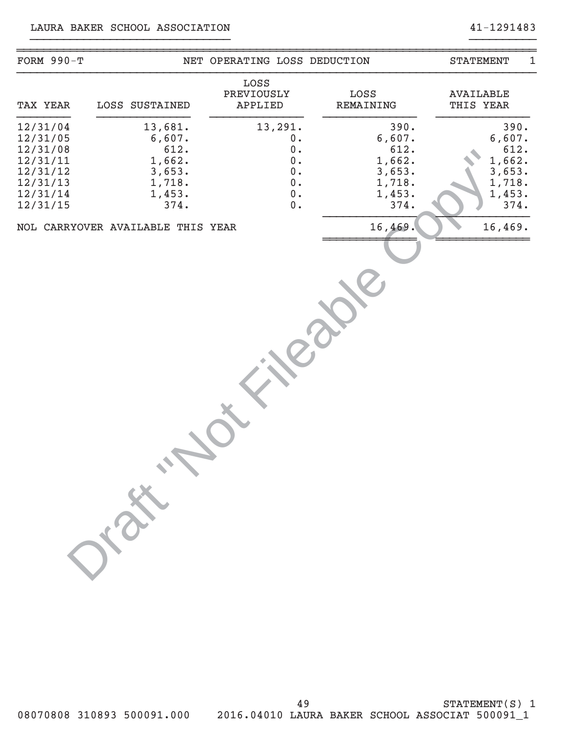## LAURA BAKER SCHOOL ASSOCIATION 41-1291483

| FORM $990-T$                                                                                 |                                                                           | NET OPERATING LOSS DEDUCTION                                                                                   |                                                                        | 1<br><b>STATEMENT</b>                                                  |
|----------------------------------------------------------------------------------------------|---------------------------------------------------------------------------|----------------------------------------------------------------------------------------------------------------|------------------------------------------------------------------------|------------------------------------------------------------------------|
| TAX YEAR                                                                                     | LOSS SUSTAINED                                                            | LOSS<br>PREVIOUSLY<br>APPLIED                                                                                  | LOSS<br><b>REMAINING</b>                                               | AVAILABLE<br>THIS YEAR                                                 |
| 12/31/04<br>12/31/05<br>12/31/08<br>12/31/11<br>12/31/12<br>12/31/13<br>12/31/14<br>12/31/15 | 13,681.<br>6,607.<br>612.<br>1,662.<br>3,653.<br>1,718.<br>1,453.<br>374. | 13,291.<br>$0$ .<br>$\mathbf 0$ .<br>$\mathbf 0$ .<br>$\mathbf 0$ .<br>$\mathbf 0$ .<br>$\mathbf 0$ .<br>$0$ . | 390.<br>6,607.<br>612.<br>1,662.<br>3,653.<br>1,718.<br>1,453.<br>374. | 390.<br>6,607.<br>612.<br>1,662.<br>3,653.<br>1,718.<br>1,453.<br>374. |
|                                                                                              | NOL CARRYOVER AVAILABLE THIS YEAR                                         |                                                                                                                | 16,469.                                                                | 16,469.                                                                |
|                                                                                              |                                                                           |                                                                                                                |                                                                        |                                                                        |
|                                                                                              | Jenne                                                                     |                                                                                                                |                                                                        |                                                                        |

~~~~~~~~~~~~~~~~~~~~~~~~~~~~~~~~~~~~~~~~~~~~~~~~~~~~~~~~~~~~~~~~~~~~~~~~~~~~~~

}}}}}}}}}}}}}}}}}}}}}}}}}}}}}} }}}}}}}}}}